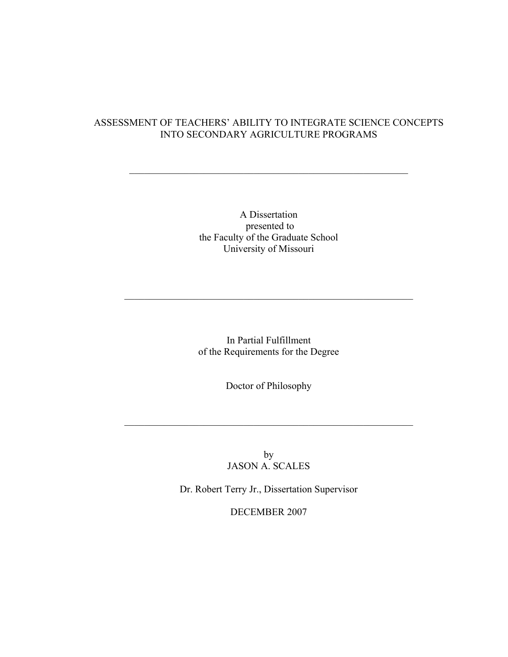## ASSESSMENT OF TEACHERS' ABILITY TO INTEGRATE SCIENCE CONCEPTS INTO SECONDARY AGRICULTURE PROGRAMS

 $\mathcal{L}_\text{max}$  and the contract of the contract of the contract of the contract of the contract of the contract of the contract of the contract of the contract of the contract of the contract of the contract of the contrac

A Dissertation presented to the Faculty of the Graduate School University of Missouri

In Partial Fulfillment of the Requirements for the Degree

 $\mathcal{L}_\text{max}$  , and the contribution of the contribution of the contribution of the contribution of the contribution of the contribution of the contribution of the contribution of the contribution of the contribution of t

Doctor of Philosophy

 $\mathcal{L}_\text{max}$  , and the contribution of the contribution of the contribution of the contribution of the contribution of the contribution of the contribution of the contribution of the contribution of the contribution of t

by JASON A. SCALES

Dr. Robert Terry Jr., Dissertation Supervisor

DECEMBER 2007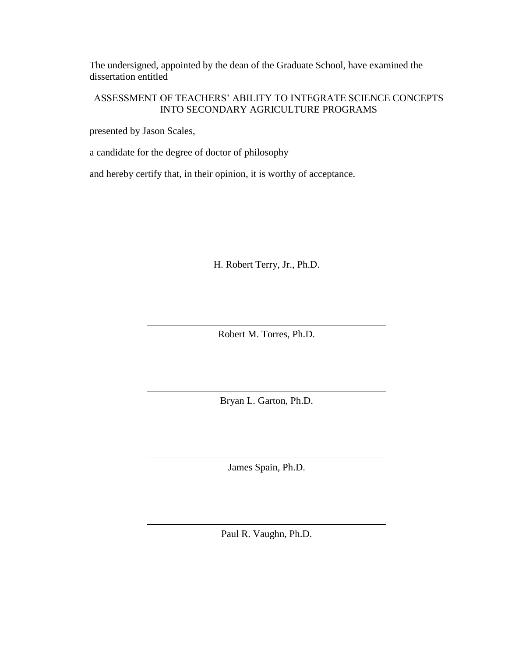The undersigned, appointed by the dean of the Graduate School, have examined the dissertation entitled

# ASSESSMENT OF TEACHERS' ABILITY TO INTEGRATE SCIENCE CONCEPTS INTO SECONDARY AGRICULTURE PROGRAMS

presented by Jason Scales,

a candidate for the degree of doctor of philosophy

and hereby certify that, in their opinion, it is worthy of acceptance.

H. Robert Terry, Jr., Ph.D.

Robert M. Torres, Ph.D.

Bryan L. Garton, Ph.D.

James Spain, Ph.D.

Paul R. Vaughn, Ph.D.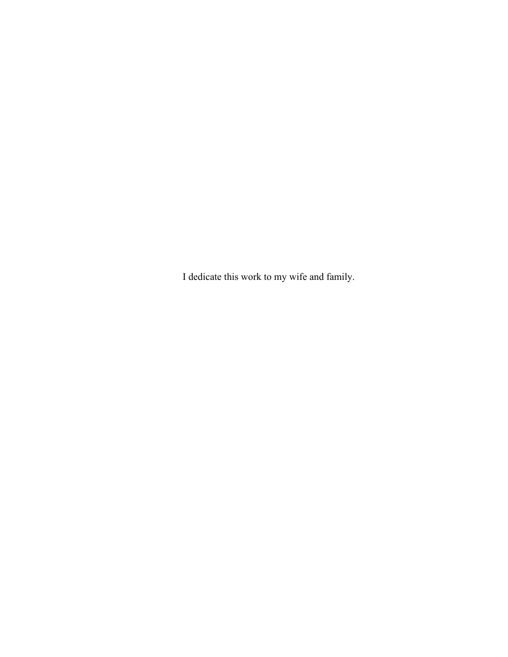I dedicate this work to my wife and family.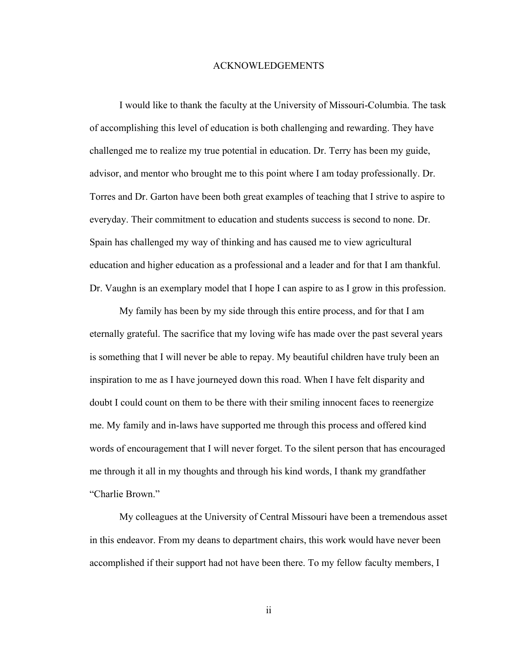#### ACKNOWLEDGEMENTS

I would like to thank the faculty at the University of Missouri-Columbia. The task of accomplishing this level of education is both challenging and rewarding. They have challenged me to realize my true potential in education. Dr. Terry has been my guide, advisor, and mentor who brought me to this point where I am today professionally. Dr. Torres and Dr. Garton have been both great examples of teaching that I strive to aspire to everyday. Their commitment to education and students success is second to none. Dr. Spain has challenged my way of thinking and has caused me to view agricultural education and higher education as a professional and a leader and for that I am thankful. Dr. Vaughn is an exemplary model that I hope I can aspire to as I grow in this profession.

My family has been by my side through this entire process, and for that I am eternally grateful. The sacrifice that my loving wife has made over the past several years is something that I will never be able to repay. My beautiful children have truly been an inspiration to me as I have journeyed down this road. When I have felt disparity and doubt I could count on them to be there with their smiling innocent faces to reenergize me. My family and in-laws have supported me through this process and offered kind words of encouragement that I will never forget. To the silent person that has encouraged me through it all in my thoughts and through his kind words, I thank my grandfather "Charlie Brown."

My colleagues at the University of Central Missouri have been a tremendous asset in this endeavor. From my deans to department chairs, this work would have never been accomplished if their support had not have been there. To my fellow faculty members, I

ii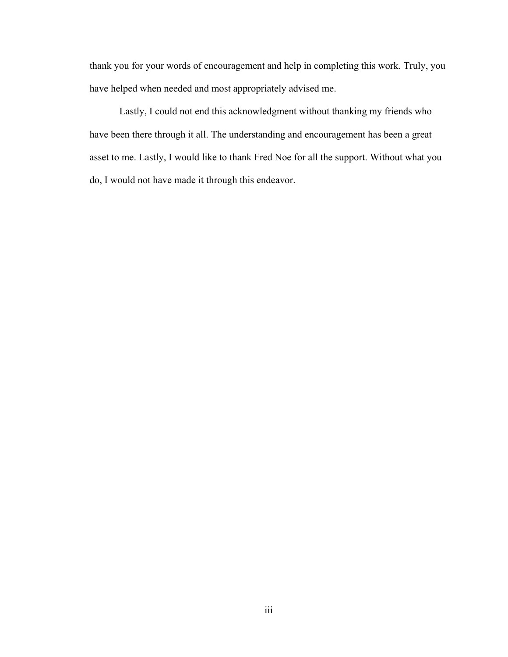thank you for your words of encouragement and help in completing this work. Truly, you have helped when needed and most appropriately advised me.

Lastly, I could not end this acknowledgment without thanking my friends who have been there through it all. The understanding and encouragement has been a great asset to me. Lastly, I would like to thank Fred Noe for all the support. Without what you do, I would not have made it through this endeavor.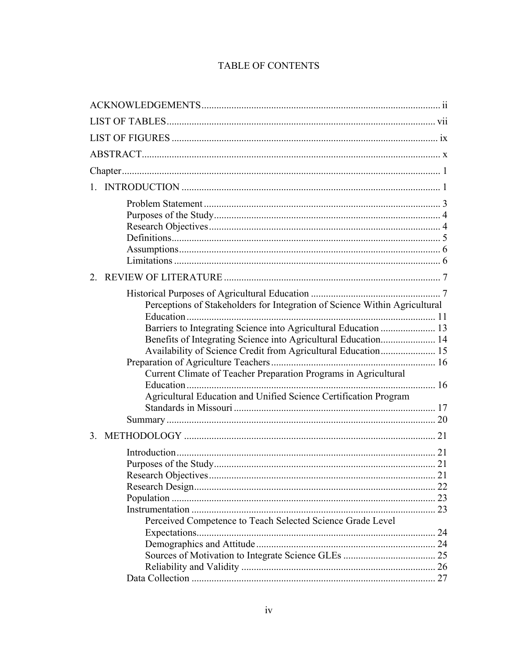# TABLE OF CONTENTS

| $\mathbf{1}$                                                               |  |
|----------------------------------------------------------------------------|--|
|                                                                            |  |
|                                                                            |  |
|                                                                            |  |
|                                                                            |  |
|                                                                            |  |
|                                                                            |  |
| $2^{\circ}$                                                                |  |
|                                                                            |  |
| Perceptions of Stakeholders for Integration of Science Within Agricultural |  |
|                                                                            |  |
| Barriers to Integrating Science into Agricultural Education  13            |  |
|                                                                            |  |
|                                                                            |  |
|                                                                            |  |
| Current Climate of Teacher Preparation Programs in Agricultural            |  |
|                                                                            |  |
| Agricultural Education and Unified Science Certification Program           |  |
|                                                                            |  |
|                                                                            |  |
| 3.                                                                         |  |
|                                                                            |  |
|                                                                            |  |
|                                                                            |  |
|                                                                            |  |
|                                                                            |  |
|                                                                            |  |
| Perceived Competence to Teach Selected Science Grade Level                 |  |
|                                                                            |  |
|                                                                            |  |
|                                                                            |  |
|                                                                            |  |
|                                                                            |  |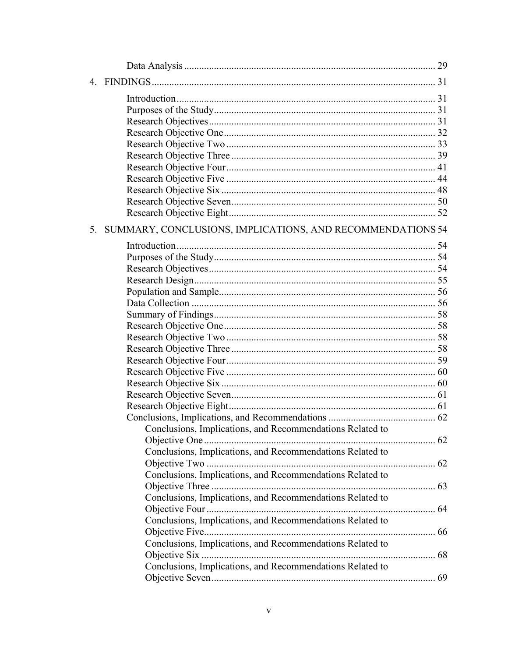| $\overline{4}$ |                                                            |  |
|----------------|------------------------------------------------------------|--|
|                |                                                            |  |
|                |                                                            |  |
|                |                                                            |  |
|                |                                                            |  |
|                |                                                            |  |
|                |                                                            |  |
|                |                                                            |  |
|                |                                                            |  |
|                |                                                            |  |
|                |                                                            |  |
|                |                                                            |  |
| 5.             | SUMMARY, CONCLUSIONS, IMPLICATIONS, AND RECOMMENDATIONS 54 |  |
|                |                                                            |  |
|                |                                                            |  |
|                |                                                            |  |
|                |                                                            |  |
|                |                                                            |  |
|                |                                                            |  |
|                |                                                            |  |
|                |                                                            |  |
|                |                                                            |  |
|                |                                                            |  |
|                |                                                            |  |
|                |                                                            |  |
|                |                                                            |  |
|                |                                                            |  |
|                |                                                            |  |
|                |                                                            |  |
|                | Conclusions, Implications, and Recommendations Related to  |  |
|                |                                                            |  |
|                | Conclusions, Implications, and Recommendations Related to  |  |
|                |                                                            |  |
|                | Conclusions, Implications, and Recommendations Related to  |  |
|                |                                                            |  |
|                | Conclusions, Implications, and Recommendations Related to  |  |
|                |                                                            |  |
|                | Conclusions, Implications, and Recommendations Related to  |  |
|                |                                                            |  |
|                | Conclusions, Implications, and Recommendations Related to  |  |
|                |                                                            |  |
|                | Conclusions, Implications, and Recommendations Related to  |  |
|                |                                                            |  |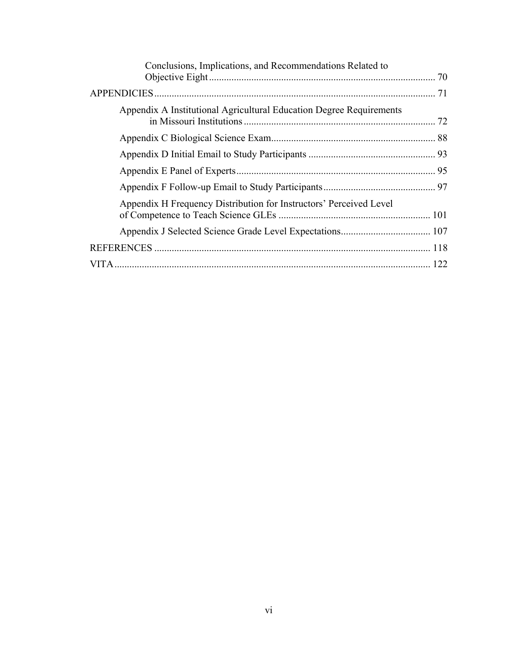| Conclusions, Implications, and Recommendations Related to           |  |
|---------------------------------------------------------------------|--|
|                                                                     |  |
| Appendix A Institutional Agricultural Education Degree Requirements |  |
|                                                                     |  |
|                                                                     |  |
|                                                                     |  |
|                                                                     |  |
| Appendix H Frequency Distribution for Instructors' Perceived Level  |  |
|                                                                     |  |
|                                                                     |  |
|                                                                     |  |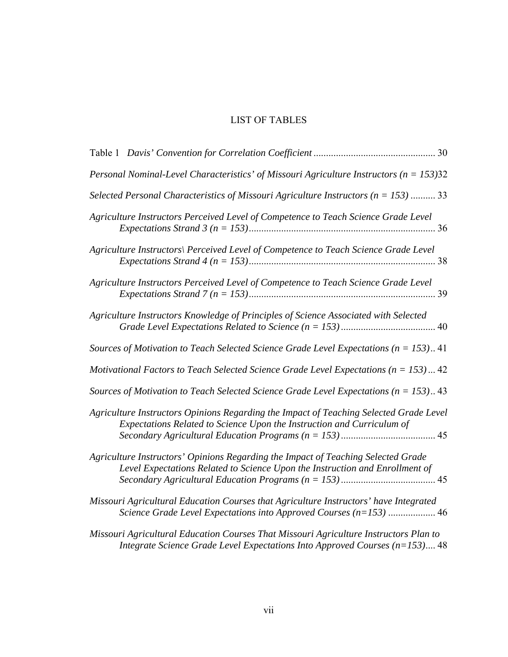# LIST OF TABLES

| Personal Nominal-Level Characteristics' of Missouri Agriculture Instructors ( $n = 153$ )32                                                                          |  |
|----------------------------------------------------------------------------------------------------------------------------------------------------------------------|--|
| Selected Personal Characteristics of Missouri Agriculture Instructors ( $n = 153$ )  33                                                                              |  |
| Agriculture Instructors Perceived Level of Competence to Teach Science Grade Level                                                                                   |  |
| Agriculture Instructors\ Perceived Level of Competence to Teach Science Grade Level                                                                                  |  |
| Agriculture Instructors Perceived Level of Competence to Teach Science Grade Level                                                                                   |  |
| Agriculture Instructors Knowledge of Principles of Science Associated with Selected                                                                                  |  |
| Sources of Motivation to Teach Selected Science Grade Level Expectations ( $n = 153$ ) 41                                                                            |  |
| Motivational Factors to Teach Selected Science Grade Level Expectations ( $n = 153$ )  42                                                                            |  |
| Sources of Motivation to Teach Selected Science Grade Level Expectations ( $n = 153$ ) 43                                                                            |  |
| Agriculture Instructors Opinions Regarding the Impact of Teaching Selected Grade Level<br>Expectations Related to Science Upon the Instruction and Curriculum of     |  |
| Agriculture Instructors' Opinions Regarding the Impact of Teaching Selected Grade<br>Level Expectations Related to Science Upon the Instruction and Enrollment of    |  |
| Missouri Agricultural Education Courses that Agriculture Instructors' have Integrated<br>Science Grade Level Expectations into Approved Courses (n=153)  46          |  |
| Missouri Agricultural Education Courses That Missouri Agriculture Instructors Plan to<br>Integrate Science Grade Level Expectations Into Approved Courses (n=153) 48 |  |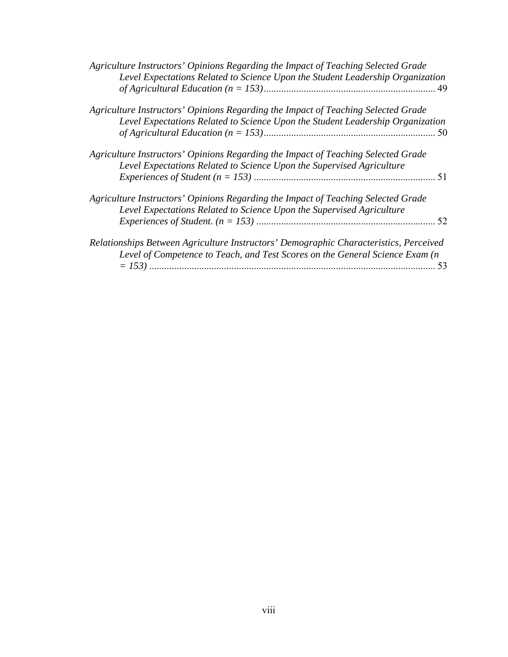| Agriculture Instructors' Opinions Regarding the Impact of Teaching Selected Grade<br>Level Expectations Related to Science Upon the Student Leadership Organization   |    |
|-----------------------------------------------------------------------------------------------------------------------------------------------------------------------|----|
| Agriculture Instructors' Opinions Regarding the Impact of Teaching Selected Grade<br>Level Expectations Related to Science Upon the Student Leadership Organization   |    |
| Agriculture Instructors' Opinions Regarding the Impact of Teaching Selected Grade<br>Level Expectations Related to Science Upon the Supervised Agriculture            |    |
| Agriculture Instructors' Opinions Regarding the Impact of Teaching Selected Grade<br>Level Expectations Related to Science Upon the Supervised Agriculture            |    |
| Relationships Between Agriculture Instructors' Demographic Characteristics, Perceived<br>Level of Competence to Teach, and Test Scores on the General Science Exam (n | 53 |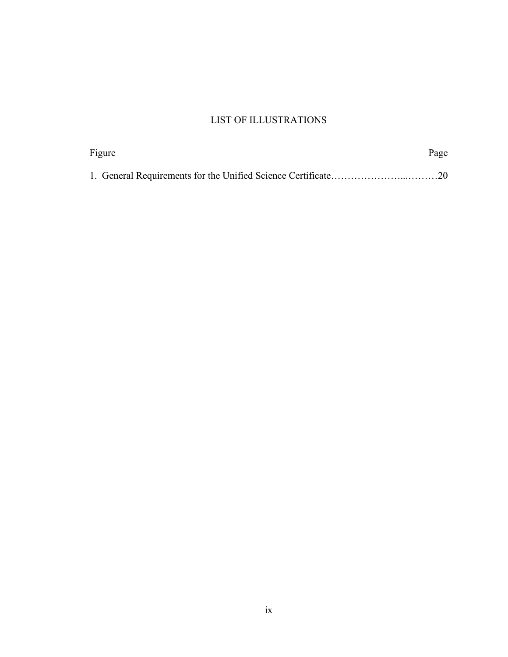# LIST OF ILLUSTRATIONS

| Figure | Page |
|--------|------|
|        |      |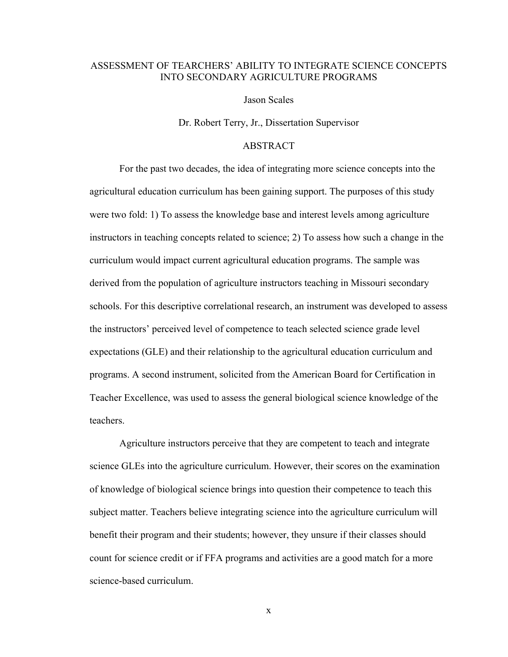### ASSESSMENT OF TEARCHERS' ABILITY TO INTEGRATE SCIENCE CONCEPTS INTO SECONDARY AGRICULTURE PROGRAMS

Jason Scales

Dr. Robert Terry, Jr., Dissertation Supervisor

### ABSTRACT

For the past two decades*,* the idea of integrating more science concepts into the agricultural education curriculum has been gaining support. The purposes of this study were two fold: 1) To assess the knowledge base and interest levels among agriculture instructors in teaching concepts related to science; 2) To assess how such a change in the curriculum would impact current agricultural education programs. The sample was derived from the population of agriculture instructors teaching in Missouri secondary schools. For this descriptive correlational research, an instrument was developed to assess the instructors' perceived level of competence to teach selected science grade level expectations (GLE) and their relationship to the agricultural education curriculum and programs. A second instrument, solicited from the American Board for Certification in Teacher Excellence, was used to assess the general biological science knowledge of the teachers.

Agriculture instructors perceive that they are competent to teach and integrate science GLEs into the agriculture curriculum. However, their scores on the examination of knowledge of biological science brings into question their competence to teach this subject matter. Teachers believe integrating science into the agriculture curriculum will benefit their program and their students; however, they unsure if their classes should count for science credit or if FFA programs and activities are a good match for a more science-based curriculum.

x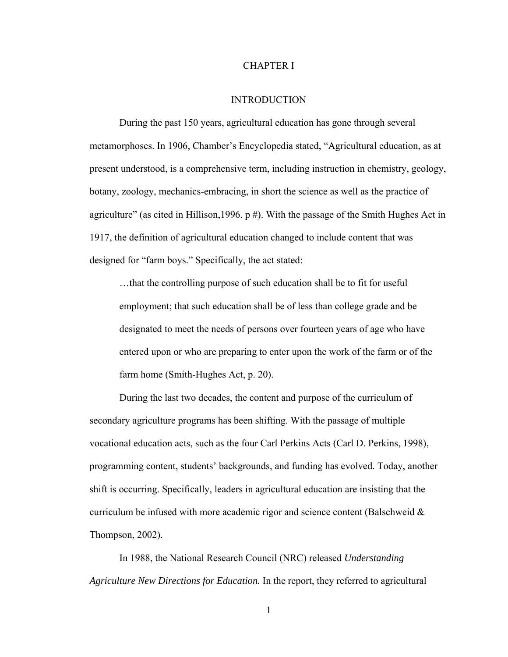### CHAPTER I

#### INTRODUCTION

During the past 150 years, agricultural education has gone through several metamorphoses. In 1906, Chamber's Encyclopedia stated, "Agricultural education, as at present understood, is a comprehensive term, including instruction in chemistry, geology, botany, zoology, mechanics-embracing, in short the science as well as the practice of agriculture" (as cited in Hillison, 1996. p #). With the passage of the Smith Hughes Act in 1917, the definition of agricultural education changed to include content that was designed for "farm boys." Specifically, the act stated:

…that the controlling purpose of such education shall be to fit for useful employment; that such education shall be of less than college grade and be designated to meet the needs of persons over fourteen years of age who have entered upon or who are preparing to enter upon the work of the farm or of the farm home (Smith-Hughes Act, p. 20).

During the last two decades, the content and purpose of the curriculum of secondary agriculture programs has been shifting. With the passage of multiple vocational education acts, such as the four Carl Perkins Acts (Carl D. Perkins, 1998), programming content, students' backgrounds, and funding has evolved. Today, another shift is occurring. Specifically, leaders in agricultural education are insisting that the curriculum be infused with more academic rigor and science content (Balschweid  $\&$ Thompson, 2002).

In 1988, the National Research Council (NRC) released *Understanding Agriculture New Directions for Education.* In the report, they referred to agricultural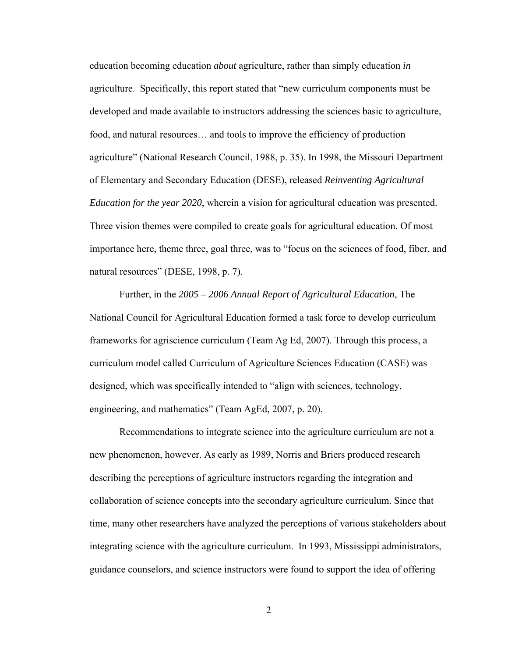education becoming education *about* agriculture, rather than simply education *in* agriculture. Specifically, this report stated that "new curriculum components must be developed and made available to instructors addressing the sciences basic to agriculture, food, and natural resources… and tools to improve the efficiency of production agriculture" (National Research Council, 1988, p. 35). In 1998, the Missouri Department of Elementary and Secondary Education (DESE), released *Reinventing Agricultural Education for the year 2020*, wherein a vision for agricultural education was presented. Three vision themes were compiled to create goals for agricultural education. Of most importance here, theme three, goal three, was to "focus on the sciences of food, fiber, and natural resources" (DESE, 1998, p. 7).

Further, in the *2005 – 2006 Annual Report of Agricultural Education*, The National Council for Agricultural Education formed a task force to develop curriculum frameworks for agriscience curriculum (Team Ag Ed, 2007). Through this process, a curriculum model called Curriculum of Agriculture Sciences Education (CASE) was designed, which was specifically intended to "align with sciences, technology, engineering, and mathematics" (Team AgEd, 2007, p. 20).

Recommendations to integrate science into the agriculture curriculum are not a new phenomenon, however. As early as 1989, Norris and Briers produced research describing the perceptions of agriculture instructors regarding the integration and collaboration of science concepts into the secondary agriculture curriculum. Since that time, many other researchers have analyzed the perceptions of various stakeholders about integrating science with the agriculture curriculum. In 1993, Mississippi administrators, guidance counselors, and science instructors were found to support the idea of offering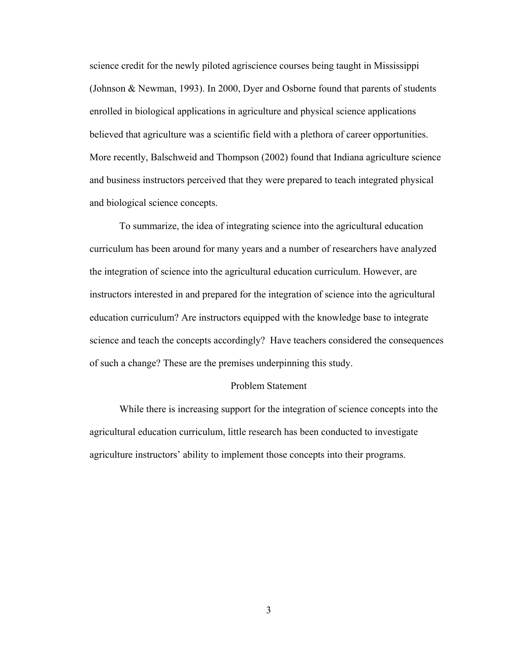science credit for the newly piloted agriscience courses being taught in Mississippi (Johnson & Newman, 1993). In 2000, Dyer and Osborne found that parents of students enrolled in biological applications in agriculture and physical science applications believed that agriculture was a scientific field with a plethora of career opportunities. More recently, Balschweid and Thompson (2002) found that Indiana agriculture science and business instructors perceived that they were prepared to teach integrated physical and biological science concepts.

To summarize, the idea of integrating science into the agricultural education curriculum has been around for many years and a number of researchers have analyzed the integration of science into the agricultural education curriculum. However, are instructors interested in and prepared for the integration of science into the agricultural education curriculum? Are instructors equipped with the knowledge base to integrate science and teach the concepts accordingly? Have teachers considered the consequences of such a change? These are the premises underpinning this study.

#### Problem Statement

While there is increasing support for the integration of science concepts into the agricultural education curriculum, little research has been conducted to investigate agriculture instructors' ability to implement those concepts into their programs.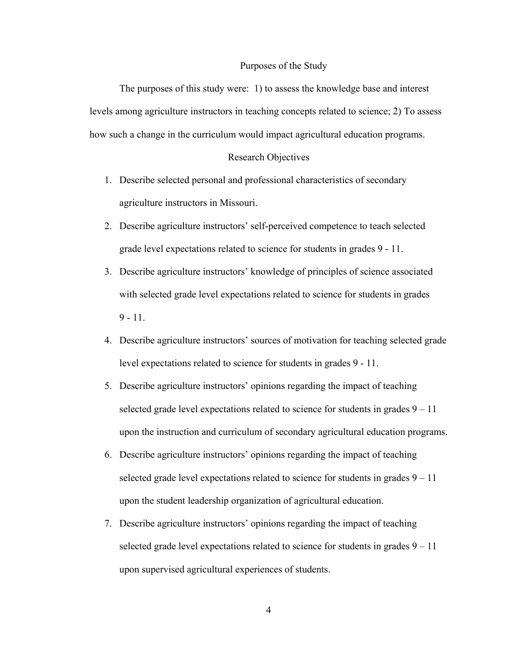#### Purposes of the Study

The purposes of this study were: 1) to assess the knowledge base and interest levels among agriculture instructors in teaching concepts related to science; 2) To assess how such a change in the curriculum would impact agricultural education programs.

### Research Objectives

- 1. Describe selected personal and professional characteristics of secondary agriculture instructors in Missouri.
- 2. Describe agriculture instructors' self-perceived competence to teach selected grade level expectations related to science for students in grades 9 - 11.
- 3. Describe agriculture instructors' knowledge of principles of science associated with selected grade level expectations related to science for students in grades  $9 - 11$ .
- 4. Describe agriculture instructors' sources of motivation for teaching selected grade level expectations related to science for students in grades 9 - 11.
- 5. Describe agriculture instructors' opinions regarding the impact of teaching selected grade level expectations related to science for students in grades  $9 - 11$ upon the instruction and curriculum of secondary agricultural education programs.
- 6. Describe agriculture instructors' opinions regarding the impact of teaching selected grade level expectations related to science for students in grades  $9 - 11$ upon the student leadership organization of agricultural education.
- 7. Describe agriculture instructors' opinions regarding the impact of teaching selected grade level expectations related to science for students in grades  $9 - 11$ upon supervised agricultural experiences of students.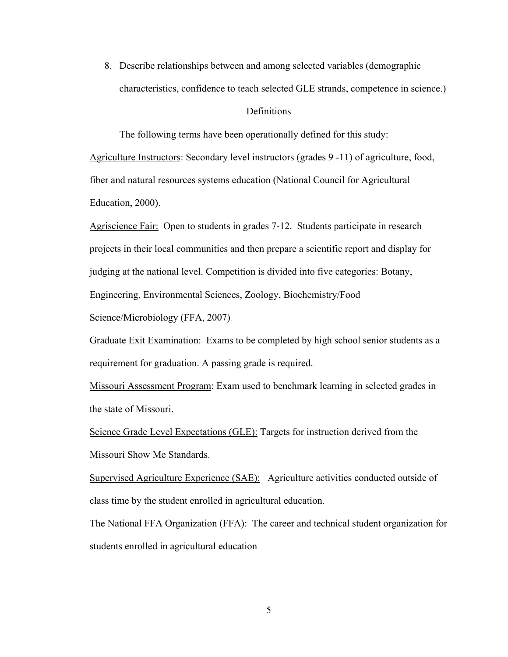8. Describe relationships between and among selected variables (demographic characteristics, confidence to teach selected GLE strands, competence in science.)

### **Definitions**

The following terms have been operationally defined for this study:

Agriculture Instructors: Secondary level instructors (grades 9 -11) of agriculture, food, fiber and natural resources systems education (National Council for Agricultural Education, 2000).

Agriscience Fair: Open to students in grades 7-12. Students participate in research projects in their local communities and then prepare a scientific report and display for judging at the national level. Competition is divided into five categories: Botany, Engineering, Environmental Sciences, Zoology, Biochemistry/Food

Science/Microbiology (FFA, 2007).

Graduate Exit Examination: Exams to be completed by high school senior students as a requirement for graduation. A passing grade is required.

Missouri Assessment Program: Exam used to benchmark learning in selected grades in the state of Missouri.

Science Grade Level Expectations (GLE): Targets for instruction derived from the Missouri Show Me Standards.

Supervised Agriculture Experience (SAE): Agriculture activities conducted outside of class time by the student enrolled in agricultural education.

The National FFA Organization (FFA): The career and technical student organization for students enrolled in agricultural education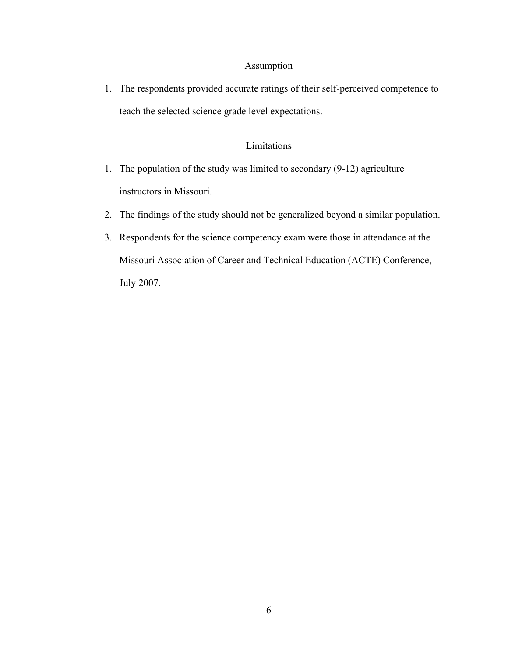## Assumption

1. The respondents provided accurate ratings of their self-perceived competence to teach the selected science grade level expectations.

## Limitations

- 1. The population of the study was limited to secondary (9-12) agriculture instructors in Missouri.
- 2. The findings of the study should not be generalized beyond a similar population.
- 3. Respondents for the science competency exam were those in attendance at the Missouri Association of Career and Technical Education (ACTE) Conference, July 2007.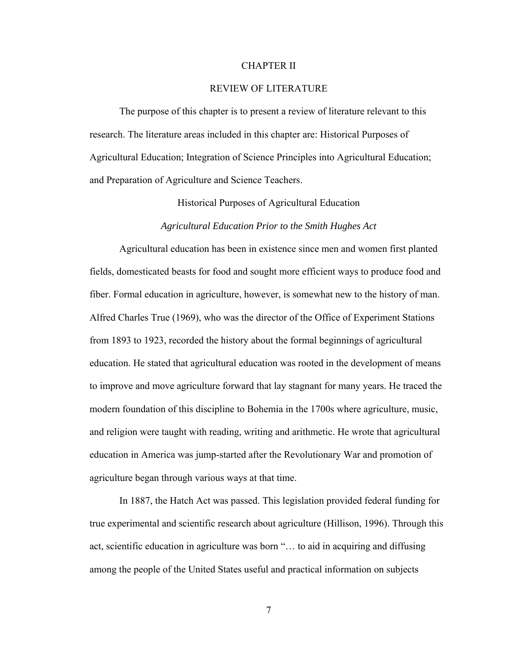#### CHAPTER II

### REVIEW OF LITERATURE

 The purpose of this chapter is to present a review of literature relevant to this research. The literature areas included in this chapter are: Historical Purposes of Agricultural Education; Integration of Science Principles into Agricultural Education; and Preparation of Agriculture and Science Teachers.

Historical Purposes of Agricultural Education

#### *Agricultural Education Prior to the Smith Hughes Act*

Agricultural education has been in existence since men and women first planted fields, domesticated beasts for food and sought more efficient ways to produce food and fiber. Formal education in agriculture, however, is somewhat new to the history of man. Alfred Charles True (1969), who was the director of the Office of Experiment Stations from 1893 to 1923, recorded the history about the formal beginnings of agricultural education. He stated that agricultural education was rooted in the development of means to improve and move agriculture forward that lay stagnant for many years. He traced the modern foundation of this discipline to Bohemia in the 1700s where agriculture, music, and religion were taught with reading, writing and arithmetic. He wrote that agricultural education in America was jump-started after the Revolutionary War and promotion of agriculture began through various ways at that time.

 In 1887, the Hatch Act was passed. This legislation provided federal funding for true experimental and scientific research about agriculture (Hillison, 1996). Through this act, scientific education in agriculture was born "… to aid in acquiring and diffusing among the people of the United States useful and practical information on subjects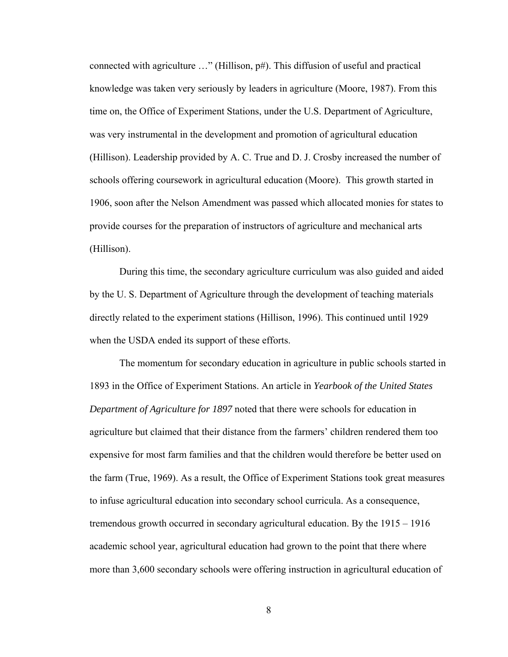connected with agriculture …" (Hillison, p#). This diffusion of useful and practical knowledge was taken very seriously by leaders in agriculture (Moore, 1987). From this time on, the Office of Experiment Stations, under the U.S. Department of Agriculture, was very instrumental in the development and promotion of agricultural education (Hillison). Leadership provided by A. C. True and D. J. Crosby increased the number of schools offering coursework in agricultural education (Moore). This growth started in 1906, soon after the Nelson Amendment was passed which allocated monies for states to provide courses for the preparation of instructors of agriculture and mechanical arts (Hillison).

 During this time, the secondary agriculture curriculum was also guided and aided by the U. S. Department of Agriculture through the development of teaching materials directly related to the experiment stations (Hillison, 1996). This continued until 1929 when the USDA ended its support of these efforts.

 The momentum for secondary education in agriculture in public schools started in 1893 in the Office of Experiment Stations. An article in *Yearbook of the United States Department of Agriculture for 1897* noted that there were schools for education in agriculture but claimed that their distance from the farmers' children rendered them too expensive for most farm families and that the children would therefore be better used on the farm (True, 1969). As a result, the Office of Experiment Stations took great measures to infuse agricultural education into secondary school curricula. As a consequence, tremendous growth occurred in secondary agricultural education. By the 1915 – 1916 academic school year, agricultural education had grown to the point that there where more than 3,600 secondary schools were offering instruction in agricultural education of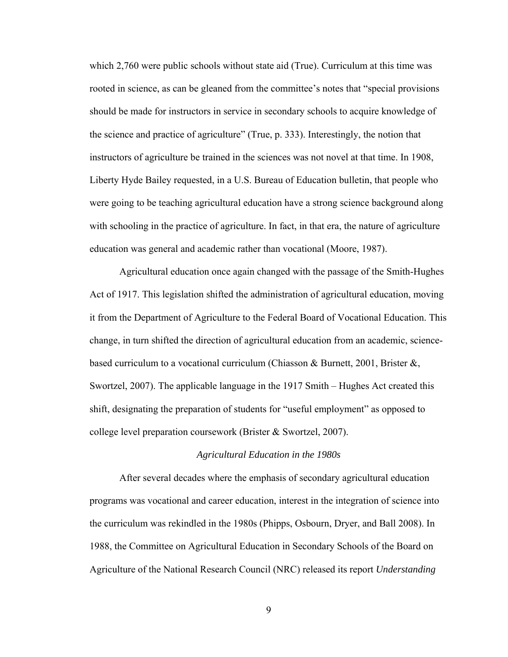which 2,760 were public schools without state aid (True). Curriculum at this time was rooted in science, as can be gleaned from the committee's notes that "special provisions should be made for instructors in service in secondary schools to acquire knowledge of the science and practice of agriculture" (True, p. 333). Interestingly, the notion that instructors of agriculture be trained in the sciences was not novel at that time. In 1908, Liberty Hyde Bailey requested, in a U.S. Bureau of Education bulletin, that people who were going to be teaching agricultural education have a strong science background along with schooling in the practice of agriculture. In fact, in that era, the nature of agriculture education was general and academic rather than vocational (Moore, 1987).

 Agricultural education once again changed with the passage of the Smith-Hughes Act of 1917. This legislation shifted the administration of agricultural education, moving it from the Department of Agriculture to the Federal Board of Vocational Education. This change, in turn shifted the direction of agricultural education from an academic, sciencebased curriculum to a vocational curriculum (Chiasson & Burnett, 2001, Brister  $\&\,$ , Swortzel, 2007). The applicable language in the 1917 Smith – Hughes Act created this shift, designating the preparation of students for "useful employment" as opposed to college level preparation coursework (Brister & Swortzel, 2007).

#### *Agricultural Education in the 1980s*

 After several decades where the emphasis of secondary agricultural education programs was vocational and career education, interest in the integration of science into the curriculum was rekindled in the 1980s (Phipps, Osbourn, Dryer, and Ball 2008). In 1988, the Committee on Agricultural Education in Secondary Schools of the Board on Agriculture of the National Research Council (NRC) released its report *Understanding*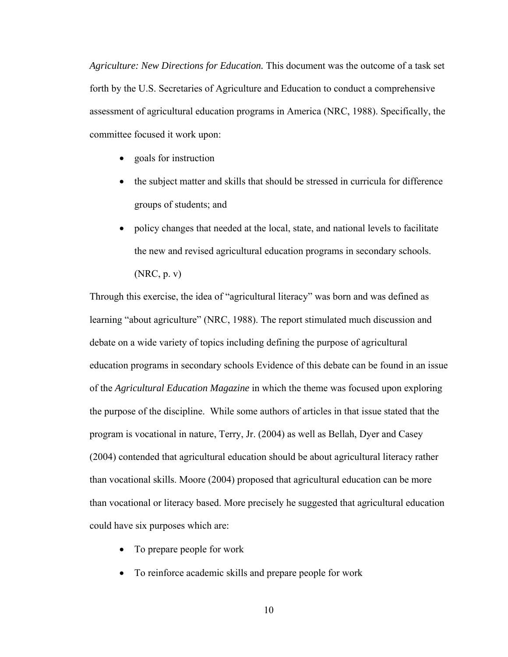*Agriculture: New Directions for Education.* This document was the outcome of a task set forth by the U.S. Secretaries of Agriculture and Education to conduct a comprehensive assessment of agricultural education programs in America (NRC, 1988). Specifically, the committee focused it work upon:

- goals for instruction
- the subject matter and skills that should be stressed in curricula for difference groups of students; and
- policy changes that needed at the local, state, and national levels to facilitate the new and revised agricultural education programs in secondary schools. (NRC, p. v)

Through this exercise, the idea of "agricultural literacy" was born and was defined as learning "about agriculture" (NRC, 1988). The report stimulated much discussion and debate on a wide variety of topics including defining the purpose of agricultural education programs in secondary schools Evidence of this debate can be found in an issue of the *Agricultural Education Magazine* in which the theme was focused upon exploring the purpose of the discipline. While some authors of articles in that issue stated that the program is vocational in nature, Terry, Jr. (2004) as well as Bellah, Dyer and Casey (2004) contended that agricultural education should be about agricultural literacy rather than vocational skills. Moore (2004) proposed that agricultural education can be more than vocational or literacy based. More precisely he suggested that agricultural education could have six purposes which are:

- To prepare people for work
- To reinforce academic skills and prepare people for work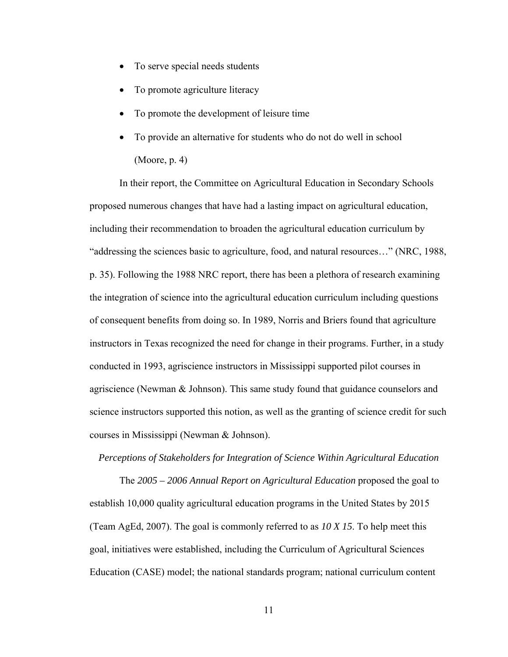- To serve special needs students
- To promote agriculture literacy
- To promote the development of leisure time
- To provide an alternative for students who do not do well in school (Moore, p. 4)

 In their report, the Committee on Agricultural Education in Secondary Schools proposed numerous changes that have had a lasting impact on agricultural education, including their recommendation to broaden the agricultural education curriculum by "addressing the sciences basic to agriculture, food, and natural resources…" (NRC, 1988, p. 35). Following the 1988 NRC report, there has been a plethora of research examining the integration of science into the agricultural education curriculum including questions of consequent benefits from doing so. In 1989, Norris and Briers found that agriculture instructors in Texas recognized the need for change in their programs. Further, in a study conducted in 1993, agriscience instructors in Mississippi supported pilot courses in agriscience (Newman & Johnson). This same study found that guidance counselors and science instructors supported this notion, as well as the granting of science credit for such courses in Mississippi (Newman & Johnson).

#### *Perceptions of Stakeholders for Integration of Science Within Agricultural Education*

The *2005 – 2006 Annual Report on Agricultural Education* proposed the goal to establish 10,000 quality agricultural education programs in the United States by 2015 (Team AgEd, 2007). The goal is commonly referred to as *10 X 15*. To help meet this goal, initiatives were established, including the Curriculum of Agricultural Sciences Education (CASE) model; the national standards program; national curriculum content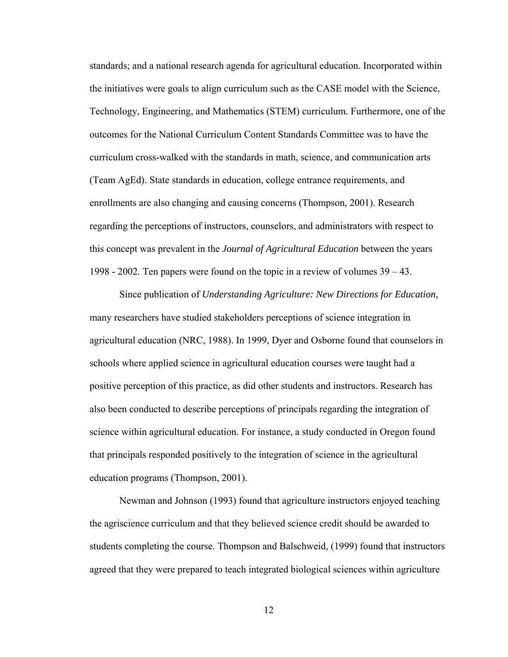standards; and a national research agenda for agricultural education. Incorporated within the initiatives were goals to align curriculum such as the CASE model with the Science, Technology, Engineering, and Mathematics (STEM) curriculum. Furthermore, one of the outcomes for the National Curriculum Content Standards Committee was to have the curriculum cross-walked with the standards in math, science, and communication arts (Team AgEd). State standards in education, college entrance requirements, and enrollments are also changing and causing concerns (Thompson, 2001). Research regarding the perceptions of instructors, counselors, and administrators with respect to this concept was prevalent in the *Journal of Agricultural Education* between the years 1998 - 2002*.* Ten papers were found on the topic in a review of volumes 39 – 43.

 Since publication of *Understanding Agriculture: New Directions for Education,*  many researchers have studied stakeholders perceptions of science integration in agricultural education (NRC, 1988). In 1999, Dyer and Osborne found that counselors in schools where applied science in agricultural education courses were taught had a positive perception of this practice, as did other students and instructors. Research has also been conducted to describe perceptions of principals regarding the integration of science within agricultural education. For instance, a study conducted in Oregon found that principals responded positively to the integration of science in the agricultural education programs (Thompson, 2001).

 Newman and Johnson (1993) found that agriculture instructors enjoyed teaching the agriscience curriculum and that they believed science credit should be awarded to students completing the course. Thompson and Balschweid, (1999) found that instructors agreed that they were prepared to teach integrated biological sciences within agriculture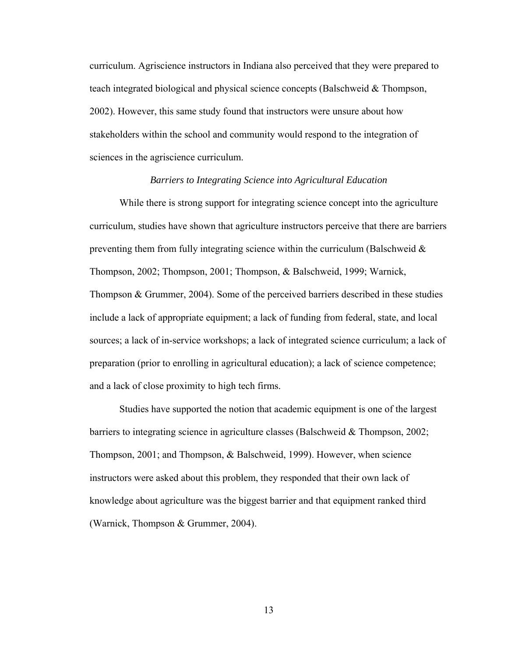curriculum. Agriscience instructors in Indiana also perceived that they were prepared to teach integrated biological and physical science concepts (Balschweid & Thompson, 2002). However, this same study found that instructors were unsure about how stakeholders within the school and community would respond to the integration of sciences in the agriscience curriculum.

### *Barriers to Integrating Science into Agricultural Education*

 While there is strong support for integrating science concept into the agriculture curriculum, studies have shown that agriculture instructors perceive that there are barriers preventing them from fully integrating science within the curriculum (Balschweid  $\&$ Thompson, 2002; Thompson, 2001; Thompson, & Balschweid, 1999; Warnick, Thompson & Grummer, 2004). Some of the perceived barriers described in these studies include a lack of appropriate equipment; a lack of funding from federal, state, and local sources; a lack of in-service workshops; a lack of integrated science curriculum; a lack of preparation (prior to enrolling in agricultural education); a lack of science competence; and a lack of close proximity to high tech firms.

 Studies have supported the notion that academic equipment is one of the largest barriers to integrating science in agriculture classes (Balschweid  $\&$  Thompson, 2002; Thompson, 2001; and Thompson, & Balschweid, 1999). However, when science instructors were asked about this problem, they responded that their own lack of knowledge about agriculture was the biggest barrier and that equipment ranked third (Warnick, Thompson & Grummer, 2004).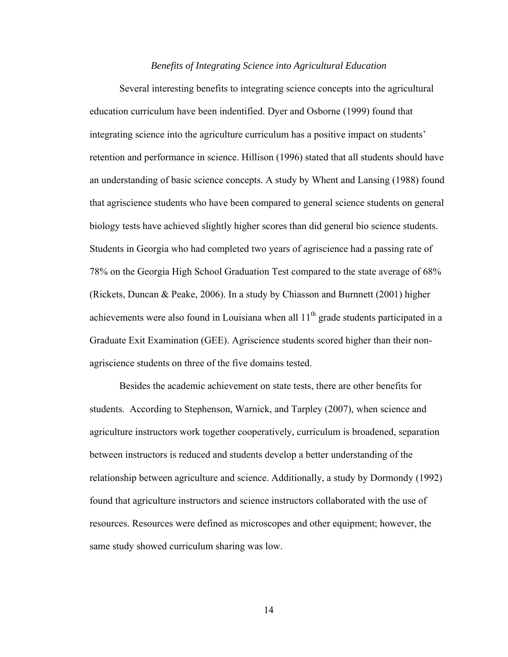### *Benefits of Integrating Science into Agricultural Education*

Several interesting benefits to integrating science concepts into the agricultural education curriculum have been indentified. Dyer and Osborne (1999) found that integrating science into the agriculture curriculum has a positive impact on students' retention and performance in science. Hillison (1996) stated that all students should have an understanding of basic science concepts. A study by Whent and Lansing (1988) found that agriscience students who have been compared to general science students on general biology tests have achieved slightly higher scores than did general bio science students. Students in Georgia who had completed two years of agriscience had a passing rate of 78% on the Georgia High School Graduation Test compared to the state average of 68% (Rickets, Duncan & Peake, 2006). In a study by Chiasson and Burnnett (2001) higher achievements were also found in Louisiana when all  $11<sup>th</sup>$  grade students participated in a Graduate Exit Examination (GEE). Agriscience students scored higher than their nonagriscience students on three of the five domains tested.

 Besides the academic achievement on state tests, there are other benefits for students. According to Stephenson, Warnick, and Tarpley (2007), when science and agriculture instructors work together cooperatively, curriculum is broadened, separation between instructors is reduced and students develop a better understanding of the relationship between agriculture and science. Additionally, a study by Dormondy (1992) found that agriculture instructors and science instructors collaborated with the use of resources. Resources were defined as microscopes and other equipment; however, the same study showed curriculum sharing was low.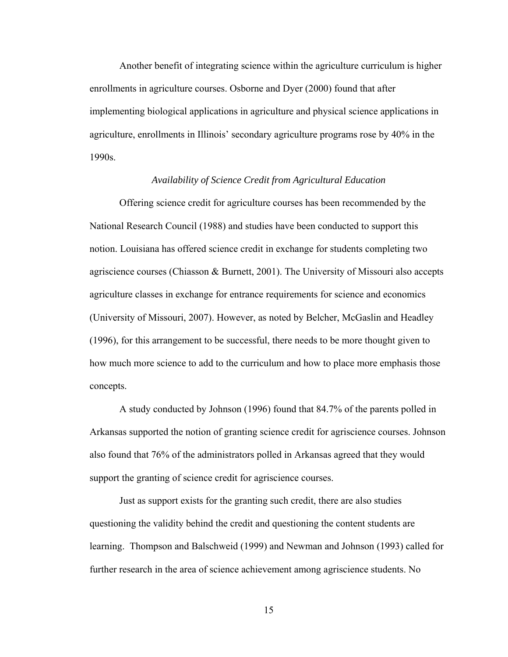Another benefit of integrating science within the agriculture curriculum is higher enrollments in agriculture courses. Osborne and Dyer (2000) found that after implementing biological applications in agriculture and physical science applications in agriculture, enrollments in Illinois' secondary agriculture programs rose by 40% in the 1990s.

### *Availability of Science Credit from Agricultural Education*

Offering science credit for agriculture courses has been recommended by the National Research Council (1988) and studies have been conducted to support this notion. Louisiana has offered science credit in exchange for students completing two agriscience courses (Chiasson & Burnett, 2001). The University of Missouri also accepts agriculture classes in exchange for entrance requirements for science and economics (University of Missouri, 2007). However, as noted by Belcher, McGaslin and Headley (1996), for this arrangement to be successful, there needs to be more thought given to how much more science to add to the curriculum and how to place more emphasis those concepts.

 A study conducted by Johnson (1996) found that 84.7% of the parents polled in Arkansas supported the notion of granting science credit for agriscience courses. Johnson also found that 76% of the administrators polled in Arkansas agreed that they would support the granting of science credit for agriscience courses.

Just as support exists for the granting such credit, there are also studies questioning the validity behind the credit and questioning the content students are learning. Thompson and Balschweid (1999) and Newman and Johnson (1993) called for further research in the area of science achievement among agriscience students. No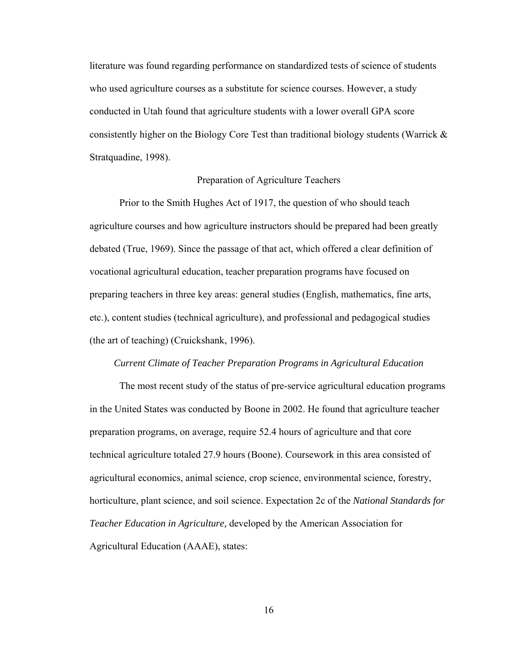literature was found regarding performance on standardized tests of science of students who used agriculture courses as a substitute for science courses. However, a study conducted in Utah found that agriculture students with a lower overall GPA score consistently higher on the Biology Core Test than traditional biology students (Warrick & Stratquadine, 1998).

### Preparation of Agriculture Teachers

Prior to the Smith Hughes Act of 1917, the question of who should teach agriculture courses and how agriculture instructors should be prepared had been greatly debated (True, 1969). Since the passage of that act, which offered a clear definition of vocational agricultural education, teacher preparation programs have focused on preparing teachers in three key areas: general studies (English, mathematics, fine arts, etc.), content studies (technical agriculture), and professional and pedagogical studies (the art of teaching) (Cruickshank, 1996).

#### *Current Climate of Teacher Preparation Programs in Agricultural Education*

The most recent study of the status of pre-service agricultural education programs in the United States was conducted by Boone in 2002. He found that agriculture teacher preparation programs, on average, require 52.4 hours of agriculture and that core technical agriculture totaled 27.9 hours (Boone). Coursework in this area consisted of agricultural economics, animal science, crop science, environmental science, forestry, horticulture, plant science, and soil science. Expectation 2c of the *National Standards for Teacher Education in Agriculture,* developed by the American Association for Agricultural Education (AAAE), states: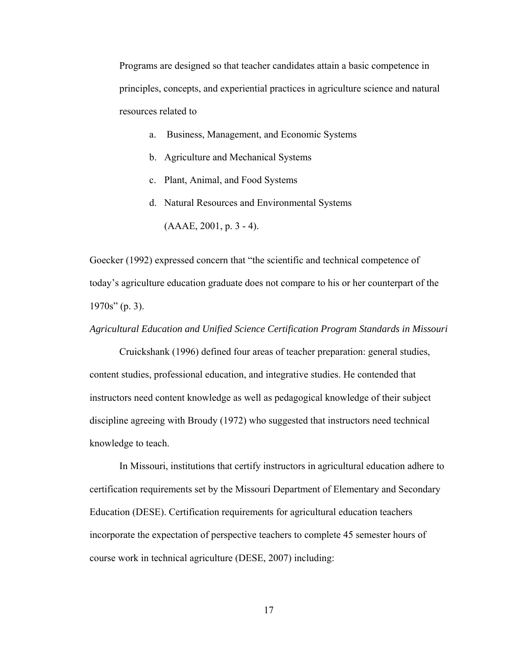Programs are designed so that teacher candidates attain a basic competence in principles, concepts, and experiential practices in agriculture science and natural resources related to

- a. Business, Management, and Economic Systems
- b. Agriculture and Mechanical Systems
- c. Plant, Animal, and Food Systems
- d. Natural Resources and Environmental Systems  $(AAAE, 2001, p. 3 - 4)$ .

Goecker (1992) expressed concern that "the scientific and technical competence of today's agriculture education graduate does not compare to his or her counterpart of the 1970s" (p. 3).

*Agricultural Education and Unified Science Certification Program Standards in Missouri* 

 Cruickshank (1996) defined four areas of teacher preparation: general studies, content studies, professional education, and integrative studies. He contended that instructors need content knowledge as well as pedagogical knowledge of their subject discipline agreeing with Broudy (1972) who suggested that instructors need technical knowledge to teach.

In Missouri, institutions that certify instructors in agricultural education adhere to certification requirements set by the Missouri Department of Elementary and Secondary Education (DESE). Certification requirements for agricultural education teachers incorporate the expectation of perspective teachers to complete 45 semester hours of course work in technical agriculture (DESE, 2007) including: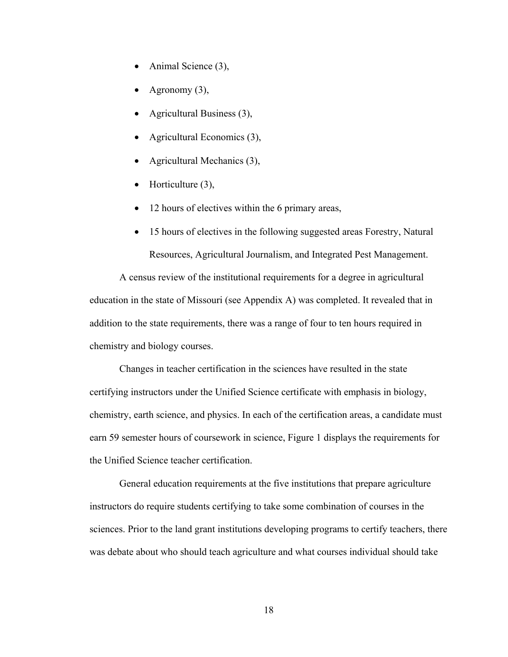- Animal Science (3),
- Agronomy (3),
- Agricultural Business (3),
- Agricultural Economics (3),
- Agricultural Mechanics (3),
- Horticulture  $(3)$ ,
- 12 hours of electives within the 6 primary areas,
- 15 hours of electives in the following suggested areas Forestry, Natural Resources, Agricultural Journalism, and Integrated Pest Management.

 A census review of the institutional requirements for a degree in agricultural education in the state of Missouri (see Appendix A) was completed. It revealed that in addition to the state requirements, there was a range of four to ten hours required in chemistry and biology courses.

Changes in teacher certification in the sciences have resulted in the state certifying instructors under the Unified Science certificate with emphasis in biology, chemistry, earth science, and physics. In each of the certification areas, a candidate must earn 59 semester hours of coursework in science, Figure 1 displays the requirements for the Unified Science teacher certification.

General education requirements at the five institutions that prepare agriculture instructors do require students certifying to take some combination of courses in the sciences. Prior to the land grant institutions developing programs to certify teachers, there was debate about who should teach agriculture and what courses individual should take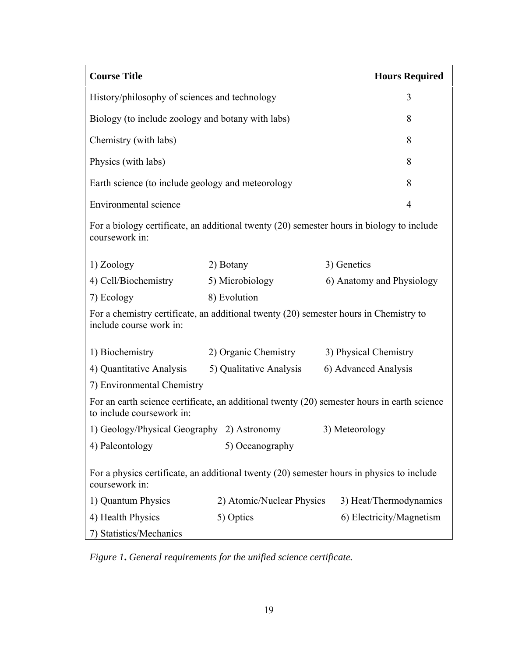| <b>Course Title</b>                                                                                                      |                           | <b>Hours Required</b>     |  |
|--------------------------------------------------------------------------------------------------------------------------|---------------------------|---------------------------|--|
| History/philosophy of sciences and technology<br>3                                                                       |                           |                           |  |
| Biology (to include zoology and botany with labs)                                                                        |                           | 8                         |  |
| Chemistry (with labs)                                                                                                    | 8                         |                           |  |
| Physics (with labs)<br>8                                                                                                 |                           |                           |  |
| Earth science (to include geology and meteorology                                                                        |                           | 8                         |  |
| Environmental science                                                                                                    |                           | $\overline{4}$            |  |
| For a biology certificate, an additional twenty (20) semester hours in biology to include<br>coursework in:              |                           |                           |  |
| 1) Zoology                                                                                                               | 2) Botany                 | 3) Genetics               |  |
| 4) Cell/Biochemistry                                                                                                     | 5) Microbiology           | 6) Anatomy and Physiology |  |
| 7) Ecology                                                                                                               | 8) Evolution              |                           |  |
| For a chemistry certificate, an additional twenty (20) semester hours in Chemistry to<br>include course work in:         |                           |                           |  |
| 1) Biochemistry                                                                                                          | 2) Organic Chemistry      | 3) Physical Chemistry     |  |
| 4) Quantitative Analysis                                                                                                 | 5) Qualitative Analysis   | 6) Advanced Analysis      |  |
| 7) Environmental Chemistry                                                                                               |                           |                           |  |
| For an earth science certificate, an additional twenty (20) semester hours in earth science<br>to include coursework in: |                           |                           |  |
| 1) Geology/Physical Geography 2) Astronomy                                                                               |                           | 3) Meteorology            |  |
| 4) Paleontology                                                                                                          | 5) Oceanography           |                           |  |
| For a physics certificate, an additional twenty (20) semester hours in physics to include<br>coursework in:              |                           |                           |  |
| 1) Quantum Physics                                                                                                       | 2) Atomic/Nuclear Physics | 3) Heat/Thermodynamics    |  |
| 4) Health Physics                                                                                                        | 5) Optics                 | 6) Electricity/Magnetism  |  |
| 7) Statistics/Mechanics                                                                                                  |                           |                           |  |

*Figure 1***.** *General requirements for the unified science certificate.*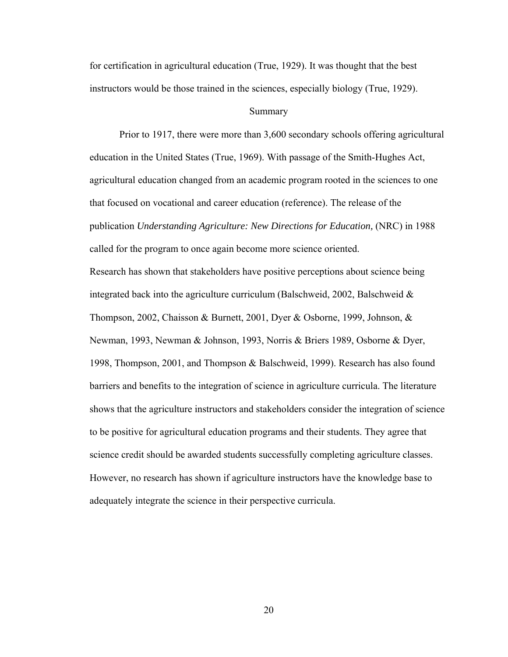for certification in agricultural education (True, 1929). It was thought that the best instructors would be those trained in the sciences, especially biology (True, 1929).

#### Summary

Prior to 1917, there were more than 3,600 secondary schools offering agricultural education in the United States (True, 1969). With passage of the Smith-Hughes Act, agricultural education changed from an academic program rooted in the sciences to one that focused on vocational and career education (reference). The release of the publication *Understanding Agriculture: New Directions for Education,* (NRC) in 1988 called for the program to once again become more science oriented.

Research has shown that stakeholders have positive perceptions about science being integrated back into the agriculture curriculum (Balschweid, 2002, Balschweid  $\&$ Thompson, 2002, Chaisson & Burnett, 2001, Dyer & Osborne, 1999, Johnson, & Newman, 1993, Newman & Johnson, 1993, Norris & Briers 1989, Osborne & Dyer, 1998, Thompson, 2001, and Thompson & Balschweid, 1999). Research has also found barriers and benefits to the integration of science in agriculture curricula. The literature shows that the agriculture instructors and stakeholders consider the integration of science to be positive for agricultural education programs and their students. They agree that science credit should be awarded students successfully completing agriculture classes. However, no research has shown if agriculture instructors have the knowledge base to adequately integrate the science in their perspective curricula.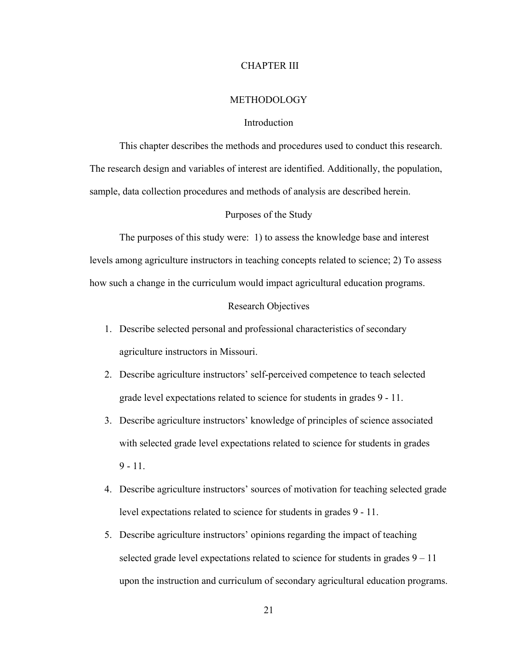#### CHAPTER III

#### **METHODOLOGY**

### Introduction

This chapter describes the methods and procedures used to conduct this research. The research design and variables of interest are identified. Additionally, the population, sample, data collection procedures and methods of analysis are described herein.

### Purposes of the Study

The purposes of this study were: 1) to assess the knowledge base and interest levels among agriculture instructors in teaching concepts related to science; 2) To assess how such a change in the curriculum would impact agricultural education programs.

### Research Objectives

- 1. Describe selected personal and professional characteristics of secondary agriculture instructors in Missouri.
- 2. Describe agriculture instructors' self-perceived competence to teach selected grade level expectations related to science for students in grades 9 - 11.
- 3. Describe agriculture instructors' knowledge of principles of science associated with selected grade level expectations related to science for students in grades  $9 - 11$ .
- 4. Describe agriculture instructors' sources of motivation for teaching selected grade level expectations related to science for students in grades 9 - 11.
- 5. Describe agriculture instructors' opinions regarding the impact of teaching selected grade level expectations related to science for students in grades  $9 - 11$ upon the instruction and curriculum of secondary agricultural education programs.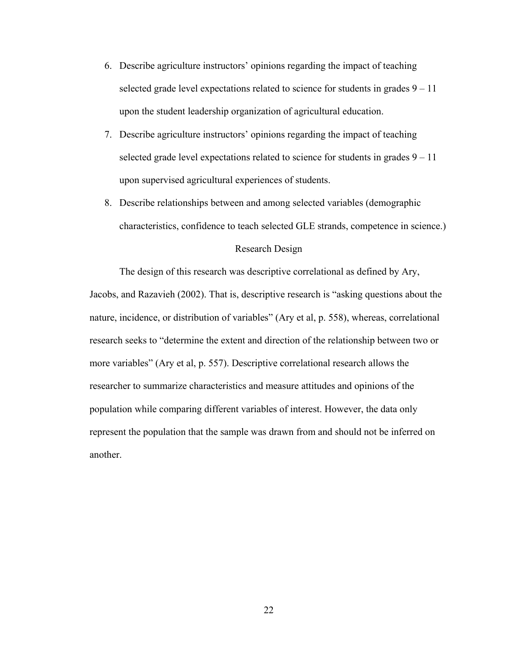- 6. Describe agriculture instructors' opinions regarding the impact of teaching selected grade level expectations related to science for students in grades  $9 - 11$ upon the student leadership organization of agricultural education.
- 7. Describe agriculture instructors' opinions regarding the impact of teaching selected grade level expectations related to science for students in grades  $9 - 11$ upon supervised agricultural experiences of students.
- 8. Describe relationships between and among selected variables (demographic characteristics, confidence to teach selected GLE strands, competence in science.)

### Research Design

The design of this research was descriptive correlational as defined by Ary, Jacobs, and Razavieh (2002). That is, descriptive research is "asking questions about the nature, incidence, or distribution of variables" (Ary et al, p. 558), whereas, correlational research seeks to "determine the extent and direction of the relationship between two or more variables" (Ary et al, p. 557). Descriptive correlational research allows the researcher to summarize characteristics and measure attitudes and opinions of the population while comparing different variables of interest. However, the data only represent the population that the sample was drawn from and should not be inferred on another.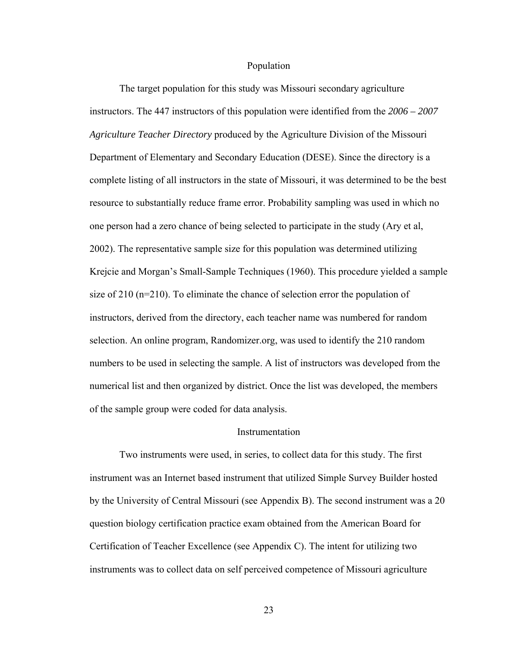#### Population

The target population for this study was Missouri secondary agriculture instructors. The 447 instructors of this population were identified from the *2006 – 2007 Agriculture Teacher Directory* produced by the Agriculture Division of the Missouri Department of Elementary and Secondary Education (DESE). Since the directory is a complete listing of all instructors in the state of Missouri, it was determined to be the best resource to substantially reduce frame error. Probability sampling was used in which no one person had a zero chance of being selected to participate in the study (Ary et al, 2002). The representative sample size for this population was determined utilizing Krejcie and Morgan's Small-Sample Techniques (1960). This procedure yielded a sample size of 210 ( $n=210$ ). To eliminate the chance of selection error the population of instructors, derived from the directory, each teacher name was numbered for random selection. An online program, Randomizer.org, was used to identify the 210 random numbers to be used in selecting the sample. A list of instructors was developed from the numerical list and then organized by district. Once the list was developed, the members of the sample group were coded for data analysis.

### **Instrumentation**

Two instruments were used, in series, to collect data for this study. The first instrument was an Internet based instrument that utilized Simple Survey Builder hosted by the University of Central Missouri (see Appendix B). The second instrument was a 20 question biology certification practice exam obtained from the American Board for Certification of Teacher Excellence (see Appendix C). The intent for utilizing two instruments was to collect data on self perceived competence of Missouri agriculture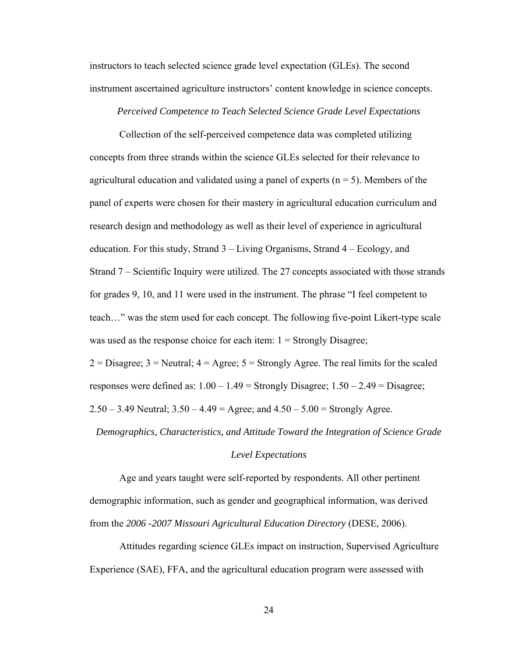instructors to teach selected science grade level expectation (GLEs). The second instrument ascertained agriculture instructors' content knowledge in science concepts.

*Perceived Competence to Teach Selected Science Grade Level Expectations* 

 Collection of the self-perceived competence data was completed utilizing concepts from three strands within the science GLEs selected for their relevance to agricultural education and validated using a panel of experts  $(n = 5)$ . Members of the panel of experts were chosen for their mastery in agricultural education curriculum and research design and methodology as well as their level of experience in agricultural education. For this study, Strand 3 – Living Organisms, Strand 4 – Ecology, and Strand 7 – Scientific Inquiry were utilized. The 27 concepts associated with those strands for grades 9, 10, and 11 were used in the instrument. The phrase "I feel competent to teach…" was the stem used for each concept. The following five-point Likert-type scale was used as the response choice for each item:  $1 =$  Strongly Disagree;

 $2 = Disagree; 3 = Neutral; 4 = Agree; 5 = Strongly Agree. The real limits for the scaled$ responses were defined as:  $1.00 - 1.49$  = Strongly Disagree;  $1.50 - 2.49$  = Disagree;  $2.50 - 3.49$  Neutral;  $3.50 - 4.49 =$  Agree; and  $4.50 - 5.00 =$  Strongly Agree.

*Demographics, Characteristics, and Attitude Toward the Integration of Science Grade* 

#### *Level Expectations*

Age and years taught were self-reported by respondents. All other pertinent demographic information, such as gender and geographical information, was derived from the *2006 -2007 Missouri Agricultural Education Directory* (DESE, 2006).

 Attitudes regarding science GLEs impact on instruction, Supervised Agriculture Experience (SAE), FFA, and the agricultural education program were assessed with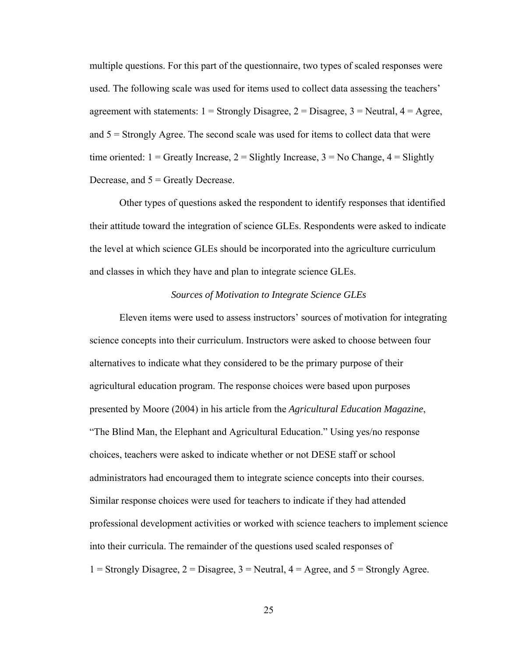multiple questions. For this part of the questionnaire, two types of scaled responses were used. The following scale was used for items used to collect data assessing the teachers' agreement with statements:  $1 =$  Strongly Disagree,  $2 =$  Disagree,  $3 =$  Neutral,  $4 =$  Agree, and  $5 =$  Strongly Agree. The second scale was used for items to collect data that were time oriented:  $1 =$  Greatly Increase,  $2 =$  Slightly Increase,  $3 =$  No Change,  $4 =$  Slightly Decrease, and  $5 =$  Greatly Decrease.

 Other types of questions asked the respondent to identify responses that identified their attitude toward the integration of science GLEs. Respondents were asked to indicate the level at which science GLEs should be incorporated into the agriculture curriculum and classes in which they have and plan to integrate science GLEs.

### *Sources of Motivation to Integrate Science GLEs*

 Eleven items were used to assess instructors' sources of motivation for integrating science concepts into their curriculum. Instructors were asked to choose between four alternatives to indicate what they considered to be the primary purpose of their agricultural education program. The response choices were based upon purposes presented by Moore (2004) in his article from the *Agricultural Education Magazine*, "The Blind Man, the Elephant and Agricultural Education." Using yes/no response choices, teachers were asked to indicate whether or not DESE staff or school administrators had encouraged them to integrate science concepts into their courses. Similar response choices were used for teachers to indicate if they had attended professional development activities or worked with science teachers to implement science into their curricula. The remainder of the questions used scaled responses of 1 = Strongly Disagree,  $2 =$  Disagree,  $3 =$  Neutral,  $4 =$  Agree, and  $5 =$  Strongly Agree.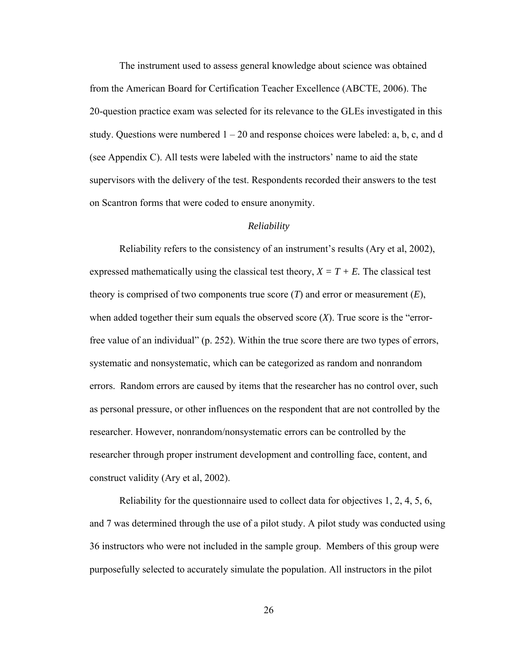The instrument used to assess general knowledge about science was obtained from the American Board for Certification Teacher Excellence (ABCTE, 2006). The 20-question practice exam was selected for its relevance to the GLEs investigated in this study. Questions were numbered  $1 - 20$  and response choices were labeled: a, b, c, and d (see Appendix C). All tests were labeled with the instructors' name to aid the state supervisors with the delivery of the test. Respondents recorded their answers to the test on Scantron forms that were coded to ensure anonymity.

#### *Reliability*

 Reliability refers to the consistency of an instrument's results (Ary et al, 2002), expressed mathematically using the classical test theory,  $X = T + E$ . The classical test theory is comprised of two components true score (*T*) and error or measurement (*E*), when added together their sum equals the observed score (*X*). True score is the "errorfree value of an individual" (p. 252). Within the true score there are two types of errors, systematic and nonsystematic, which can be categorized as random and nonrandom errors. Random errors are caused by items that the researcher has no control over, such as personal pressure, or other influences on the respondent that are not controlled by the researcher. However, nonrandom/nonsystematic errors can be controlled by the researcher through proper instrument development and controlling face, content, and construct validity (Ary et al, 2002).

 Reliability for the questionnaire used to collect data for objectives 1, 2, 4, 5, 6, and 7 was determined through the use of a pilot study. A pilot study was conducted using 36 instructors who were not included in the sample group. Members of this group were purposefully selected to accurately simulate the population. All instructors in the pilot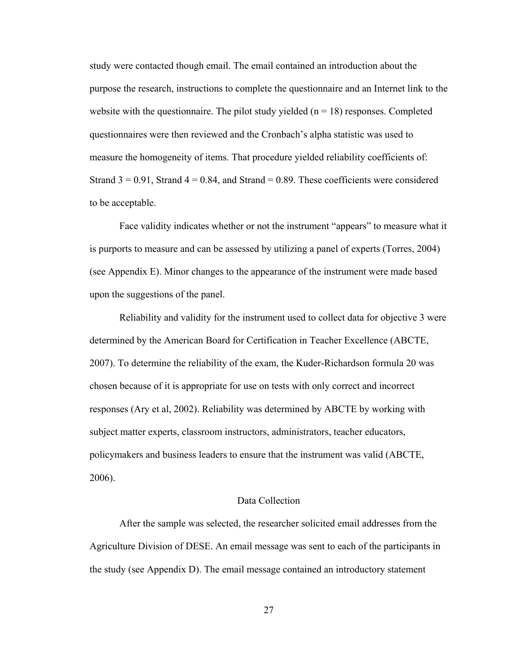study were contacted though email. The email contained an introduction about the purpose the research, instructions to complete the questionnaire and an Internet link to the website with the questionnaire. The pilot study yielded  $(n = 18)$  responses. Completed questionnaires were then reviewed and the Cronbach's alpha statistic was used to measure the homogeneity of items. That procedure yielded reliability coefficients of: Strand  $3 = 0.91$ , Strand  $4 = 0.84$ , and Strand  $= 0.89$ . These coefficients were considered to be acceptable.

Face validity indicates whether or not the instrument "appears" to measure what it is purports to measure and can be assessed by utilizing a panel of experts (Torres, 2004) (see Appendix E). Minor changes to the appearance of the instrument were made based upon the suggestions of the panel.

 Reliability and validity for the instrument used to collect data for objective 3 were determined by the American Board for Certification in Teacher Excellence (ABCTE, 2007). To determine the reliability of the exam, the Kuder-Richardson formula 20 was chosen because of it is appropriate for use on tests with only correct and incorrect responses (Ary et al, 2002). Reliability was determined by ABCTE by working with subject matter experts, classroom instructors, administrators, teacher educators, policymakers and business leaders to ensure that the instrument was valid (ABCTE, 2006).

#### Data Collection

After the sample was selected, the researcher solicited email addresses from the Agriculture Division of DESE. An email message was sent to each of the participants in the study (see Appendix D). The email message contained an introductory statement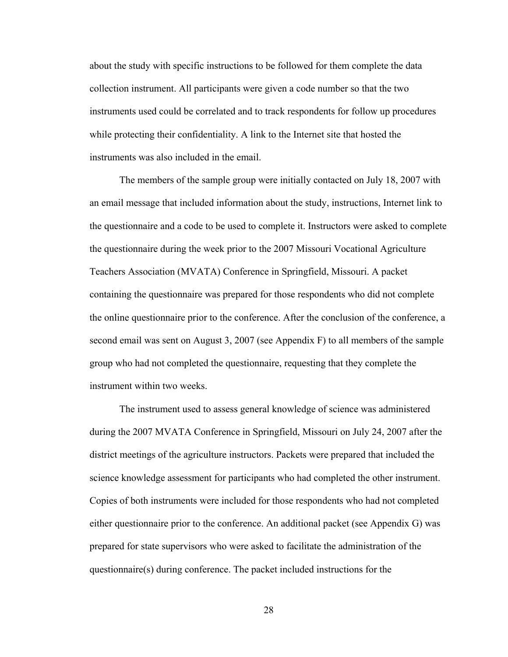about the study with specific instructions to be followed for them complete the data collection instrument. All participants were given a code number so that the two instruments used could be correlated and to track respondents for follow up procedures while protecting their confidentiality. A link to the Internet site that hosted the instruments was also included in the email.

The members of the sample group were initially contacted on July 18, 2007 with an email message that included information about the study, instructions, Internet link to the questionnaire and a code to be used to complete it. Instructors were asked to complete the questionnaire during the week prior to the 2007 Missouri Vocational Agriculture Teachers Association (MVATA) Conference in Springfield, Missouri. A packet containing the questionnaire was prepared for those respondents who did not complete the online questionnaire prior to the conference. After the conclusion of the conference, a second email was sent on August 3, 2007 (see Appendix F) to all members of the sample group who had not completed the questionnaire, requesting that they complete the instrument within two weeks.

The instrument used to assess general knowledge of science was administered during the 2007 MVATA Conference in Springfield, Missouri on July 24, 2007 after the district meetings of the agriculture instructors. Packets were prepared that included the science knowledge assessment for participants who had completed the other instrument. Copies of both instruments were included for those respondents who had not completed either questionnaire prior to the conference. An additional packet (see Appendix G) was prepared for state supervisors who were asked to facilitate the administration of the questionnaire(s) during conference. The packet included instructions for the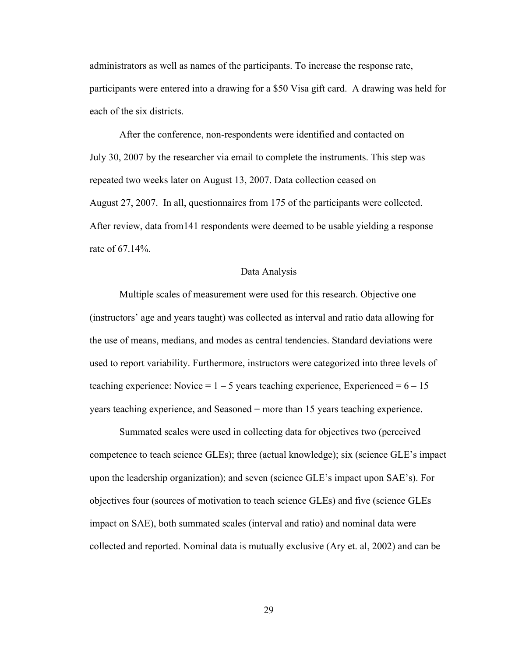administrators as well as names of the participants. To increase the response rate, participants were entered into a drawing for a \$50 Visa gift card. A drawing was held for each of the six districts.

After the conference, non-respondents were identified and contacted on July 30, 2007 by the researcher via email to complete the instruments. This step was repeated two weeks later on August 13, 2007. Data collection ceased on August 27, 2007. In all, questionnaires from 175 of the participants were collected. After review, data from141 respondents were deemed to be usable yielding a response rate of 67.14%.

#### Data Analysis

 Multiple scales of measurement were used for this research. Objective one (instructors' age and years taught) was collected as interval and ratio data allowing for the use of means, medians, and modes as central tendencies. Standard deviations were used to report variability. Furthermore, instructors were categorized into three levels of teaching experience: Novice =  $1 - 5$  years teaching experience, Experienced =  $6 - 15$ years teaching experience, and Seasoned = more than 15 years teaching experience.

Summated scales were used in collecting data for objectives two (perceived competence to teach science GLEs); three (actual knowledge); six (science GLE's impact upon the leadership organization); and seven (science GLE's impact upon SAE's). For objectives four (sources of motivation to teach science GLEs) and five (science GLEs impact on SAE), both summated scales (interval and ratio) and nominal data were collected and reported. Nominal data is mutually exclusive (Ary et. al, 2002) and can be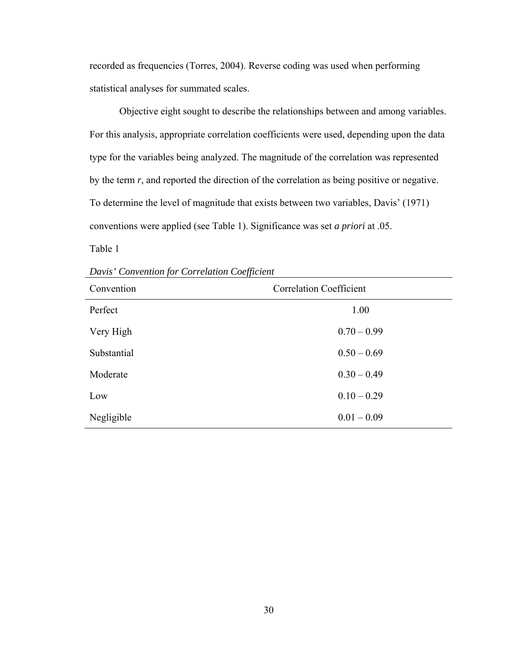recorded as frequencies (Torres, 2004). Reverse coding was used when performing statistical analyses for summated scales.

Objective eight sought to describe the relationships between and among variables. For this analysis, appropriate correlation coefficients were used, depending upon the data type for the variables being analyzed. The magnitude of the correlation was represented by the term *r*, and reported the direction of the correlation as being positive or negative. To determine the level of magnitude that exists between two variables, Davis' (1971) conventions were applied (see Table 1). Significance was set *a priori* at .05.

Table 1

*Davis' Convention for Correlation Coefficient* 

| Convention  | <b>Correlation Coefficient</b> |  |
|-------------|--------------------------------|--|
| Perfect     | 1.00                           |  |
| Very High   | $0.70 - 0.99$                  |  |
| Substantial | $0.50 - 0.69$                  |  |
| Moderate    | $0.30 - 0.49$                  |  |
| Low         | $0.10 - 0.29$                  |  |
| Negligible  | $0.01 - 0.09$                  |  |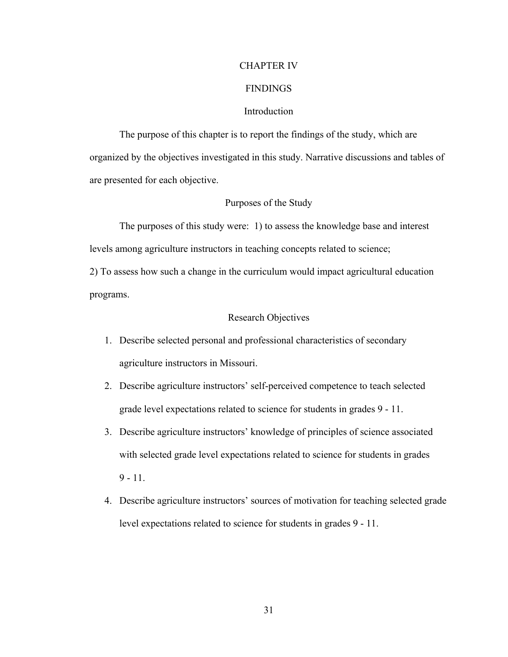#### CHAPTER IV

## **FINDINGS**

# Introduction

The purpose of this chapter is to report the findings of the study, which are organized by the objectives investigated in this study. Narrative discussions and tables of are presented for each objective.

### Purposes of the Study

The purposes of this study were: 1) to assess the knowledge base and interest levels among agriculture instructors in teaching concepts related to science;

2) To assess how such a change in the curriculum would impact agricultural education programs.

#### Research Objectives

- 1. Describe selected personal and professional characteristics of secondary agriculture instructors in Missouri.
- 2. Describe agriculture instructors' self-perceived competence to teach selected grade level expectations related to science for students in grades 9 - 11.
- 3. Describe agriculture instructors' knowledge of principles of science associated with selected grade level expectations related to science for students in grades  $9 - 11$ .
- 4. Describe agriculture instructors' sources of motivation for teaching selected grade level expectations related to science for students in grades 9 - 11.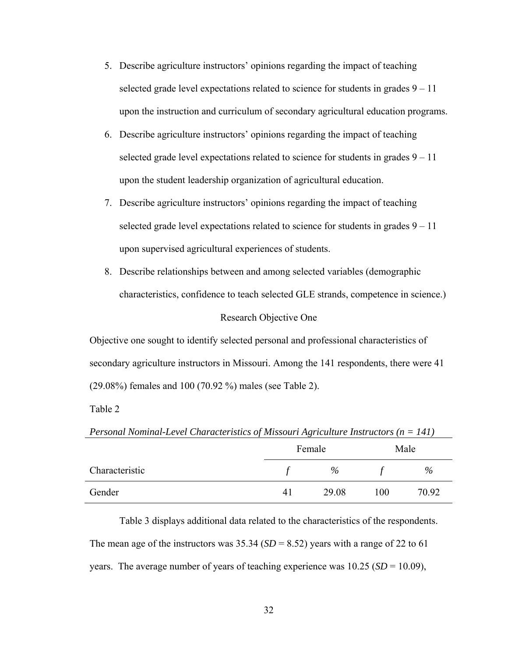- 5. Describe agriculture instructors' opinions regarding the impact of teaching selected grade level expectations related to science for students in grades  $9 - 11$ upon the instruction and curriculum of secondary agricultural education programs.
- 6. Describe agriculture instructors' opinions regarding the impact of teaching selected grade level expectations related to science for students in grades  $9 - 11$ upon the student leadership organization of agricultural education.
- 7. Describe agriculture instructors' opinions regarding the impact of teaching selected grade level expectations related to science for students in grades  $9 - 11$ upon supervised agricultural experiences of students.
- 8. Describe relationships between and among selected variables (demographic characteristics, confidence to teach selected GLE strands, competence in science.)

# Research Objective One

Objective one sought to identify selected personal and professional characteristics of secondary agriculture instructors in Missouri. Among the 141 respondents, there were 41 (29.08%) females and 100 (70.92 %) males (see Table 2).

Table 2

| Personal Nominal-Level Characteristics of Missouri Agriculture Instructors ( $n = 141$ ) |    |        |     |       |
|------------------------------------------------------------------------------------------|----|--------|-----|-------|
|                                                                                          |    | Female |     | Male  |
| Characteristic                                                                           |    | $\%$   |     | $\%$  |
| Gender                                                                                   | 41 | 29.08  | 100 | 70.92 |

Table 3 displays additional data related to the characteristics of the respondents. The mean age of the instructors was  $35.34$  (*SD* = 8.52) years with a range of 22 to 61 years. The average number of years of teaching experience was 10.25 (*SD* = 10.09),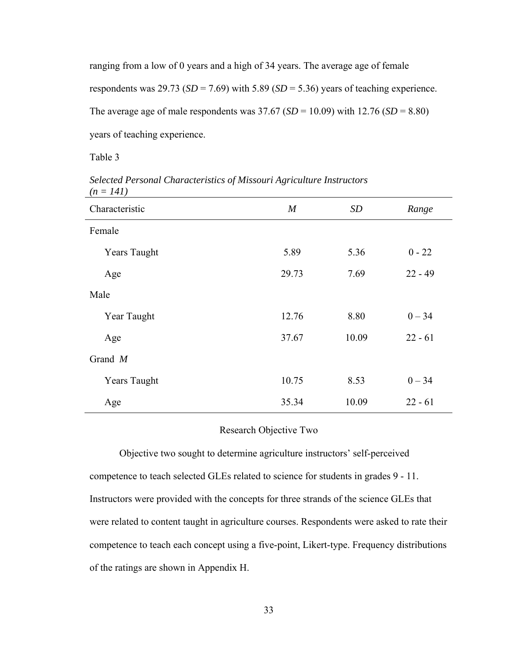ranging from a low of 0 years and a high of 34 years. The average age of female respondents was  $29.73$  ( $SD = 7.69$ ) with  $5.89$  ( $SD = 5.36$ ) years of teaching experience. The average age of male respondents was  $37.67$  (*SD* = 10.09) with 12.76 (*SD* = 8.80) years of teaching experience.

Table 3

*Selected Personal Characteristics of Missouri Agriculture Instructors (n = 141)*

| Characteristic      | $\boldsymbol{M}$ | SD    | Range     |
|---------------------|------------------|-------|-----------|
| Female              |                  |       |           |
| <b>Years Taught</b> | 5.89             | 5.36  | $0 - 22$  |
| Age                 | 29.73            | 7.69  | $22 - 49$ |
| Male                |                  |       |           |
| Year Taught         | 12.76            | 8.80  | $0 - 34$  |
| Age                 | 37.67            | 10.09 | $22 - 61$ |
| Grand $M$           |                  |       |           |
| <b>Years Taught</b> | 10.75            | 8.53  | $0 - 34$  |
| Age                 | 35.34            | 10.09 | $22 - 61$ |

## Research Objective Two

Objective two sought to determine agriculture instructors' self-perceived competence to teach selected GLEs related to science for students in grades 9 - 11. Instructors were provided with the concepts for three strands of the science GLEs that were related to content taught in agriculture courses. Respondents were asked to rate their competence to teach each concept using a five-point, Likert-type. Frequency distributions of the ratings are shown in Appendix H.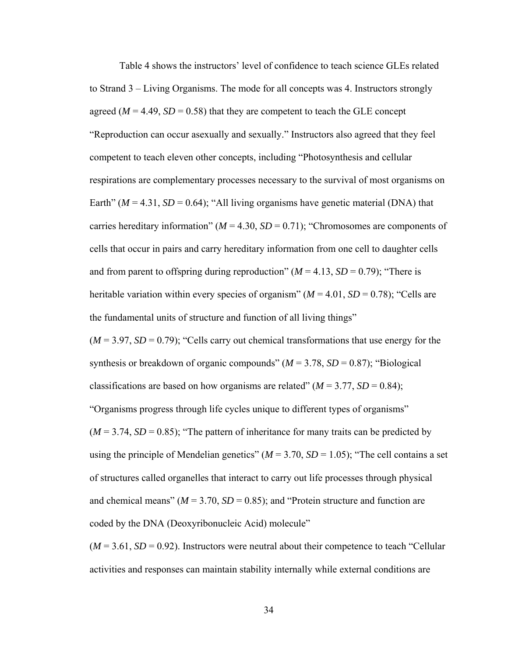Table 4 shows the instructors' level of confidence to teach science GLEs related to Strand 3 – Living Organisms. The mode for all concepts was 4. Instructors strongly agreed ( $M = 4.49$ ,  $SD = 0.58$ ) that they are competent to teach the GLE concept "Reproduction can occur asexually and sexually." Instructors also agreed that they feel competent to teach eleven other concepts, including "Photosynthesis and cellular respirations are complementary processes necessary to the survival of most organisms on Earth" ( $M = 4.31$ ,  $SD = 0.64$ ); "All living organisms have genetic material (DNA) that carries hereditary information" ( $M = 4.30$ ,  $SD = 0.71$ ); "Chromosomes are components of cells that occur in pairs and carry hereditary information from one cell to daughter cells and from parent to offspring during reproduction"  $(M = 4.13, SD = 0.79)$ ; "There is heritable variation within every species of organism"  $(M = 4.01, SD = 0.78)$ ; "Cells are the fundamental units of structure and function of all living things"

 $(M = 3.97, SD = 0.79)$ ; "Cells carry out chemical transformations that use energy for the synthesis or breakdown of organic compounds"  $(M = 3.78, SD = 0.87)$ ; "Biological classifications are based on how organisms are related"  $(M = 3.77, SD = 0.84)$ ; "Organisms progress through life cycles unique to different types of organisms"  $(M = 3.74, SD = 0.85)$ ; "The pattern of inheritance for many traits can be predicted by using the principle of Mendelian genetics" ( $M = 3.70$ ,  $SD = 1.05$ ); "The cell contains a set of structures called organelles that interact to carry out life processes through physical and chemical means" ( $M = 3.70$ ,  $SD = 0.85$ ); and "Protein structure and function are coded by the DNA (Deoxyribonucleic Acid) molecule"

 $(M = 3.61, SD = 0.92)$ . Instructors were neutral about their competence to teach "Cellular" activities and responses can maintain stability internally while external conditions are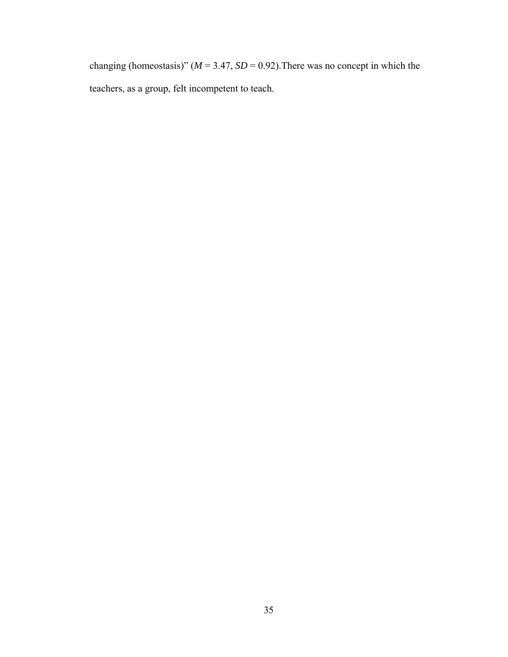changing (homeostasis)" ( $M = 3.47$ ,  $SD = 0.92$ ). There was no concept in which the teachers, as a group, felt incompetent to teach.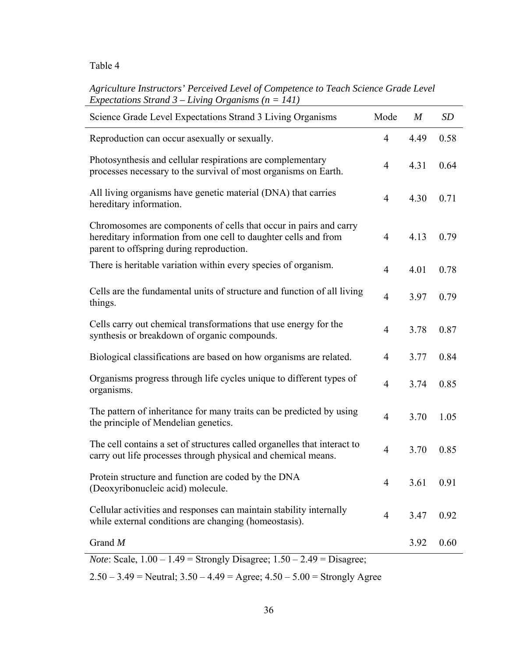# *Agriculture Instructors' Perceived Level of Competence to Teach Science Grade Level Expectations Strand 3 – Living Organisms (n = 141)*

| Science Grade Level Expectations Strand 3 Living Organisms                                                                                                                       | Mode           | $\boldsymbol{M}$ | <b>SD</b> |
|----------------------------------------------------------------------------------------------------------------------------------------------------------------------------------|----------------|------------------|-----------|
| Reproduction can occur as exually or sexually.                                                                                                                                   | $\overline{4}$ | 4.49             | 0.58      |
| Photosynthesis and cellular respirations are complementary<br>processes necessary to the survival of most organisms on Earth.                                                    | $\overline{4}$ | 4.31             | 0.64      |
| All living organisms have genetic material (DNA) that carries<br>hereditary information.                                                                                         | $\overline{4}$ | 4.30             | 0.71      |
| Chromosomes are components of cells that occur in pairs and carry<br>hereditary information from one cell to daughter cells and from<br>parent to offspring during reproduction. | $\overline{4}$ | 4.13             | 0.79      |
| There is heritable variation within every species of organism.                                                                                                                   | $\overline{4}$ | 4.01             | 0.78      |
| Cells are the fundamental units of structure and function of all living<br>things.                                                                                               | $\overline{4}$ | 3.97             | 0.79      |
| Cells carry out chemical transformations that use energy for the<br>synthesis or breakdown of organic compounds.                                                                 | $\overline{4}$ | 3.78             | 0.87      |
| Biological classifications are based on how organisms are related.                                                                                                               | $\overline{4}$ | 3.77             | 0.84      |
| Organisms progress through life cycles unique to different types of<br>organisms.                                                                                                | $\overline{4}$ | 3.74             | 0.85      |
| The pattern of inheritance for many traits can be predicted by using<br>the principle of Mendelian genetics.                                                                     | $\overline{4}$ | 3.70             | 1.05      |
| The cell contains a set of structures called organelles that interact to<br>carry out life processes through physical and chemical means.                                        | $\overline{4}$ | 3.70             | 0.85      |
| Protein structure and function are coded by the DNA<br>(Deoxyribonucleic acid) molecule.                                                                                         | $\overline{4}$ | 3.61             | 0.91      |
| Cellular activities and responses can maintain stability internally<br>while external conditions are changing (homeostasis).                                                     | 4              | 3.47             | 0.92      |
| Grand $M$                                                                                                                                                                        |                | 3.92             | 0.60      |
| <i>Note:</i> Scale, $1.00 - 1.49$ = Strongly Disagree; $1.50 - 2.49$ = Disagree;                                                                                                 |                |                  |           |

2.50 – 3.49 = Neutral;  $3.50 - 4.49$  = Agree;  $4.50 - 5.00$  = Strongly Agree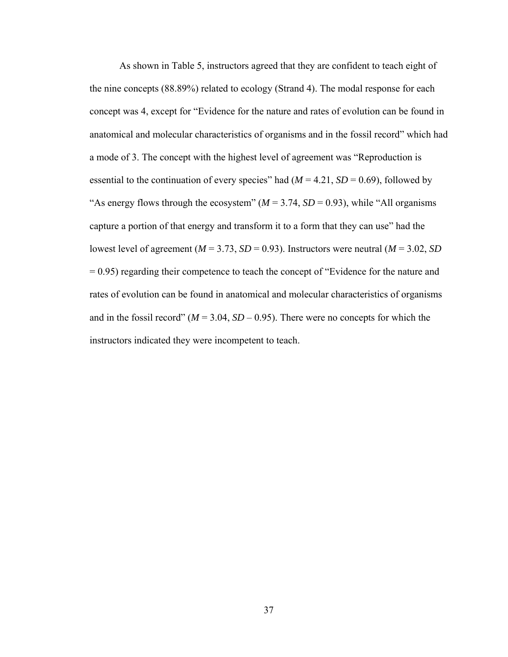As shown in Table 5, instructors agreed that they are confident to teach eight of the nine concepts (88.89%) related to ecology (Strand 4). The modal response for each concept was 4, except for "Evidence for the nature and rates of evolution can be found in anatomical and molecular characteristics of organisms and in the fossil record" which had a mode of 3. The concept with the highest level of agreement was "Reproduction is essential to the continuation of every species" had  $(M = 4.21, SD = 0.69)$ , followed by "As energy flows through the ecosystem"  $(M = 3.74, SD = 0.93)$ , while "All organisms" capture a portion of that energy and transform it to a form that they can use" had the lowest level of agreement ( $M = 3.73$ ,  $SD = 0.93$ ). Instructors were neutral ( $M = 3.02$ ,  $SD$ ) = 0.95) regarding their competence to teach the concept of "Evidence for the nature and rates of evolution can be found in anatomical and molecular characteristics of organisms and in the fossil record" ( $M = 3.04$ ,  $SD - 0.95$ ). There were no concepts for which the instructors indicated they were incompetent to teach.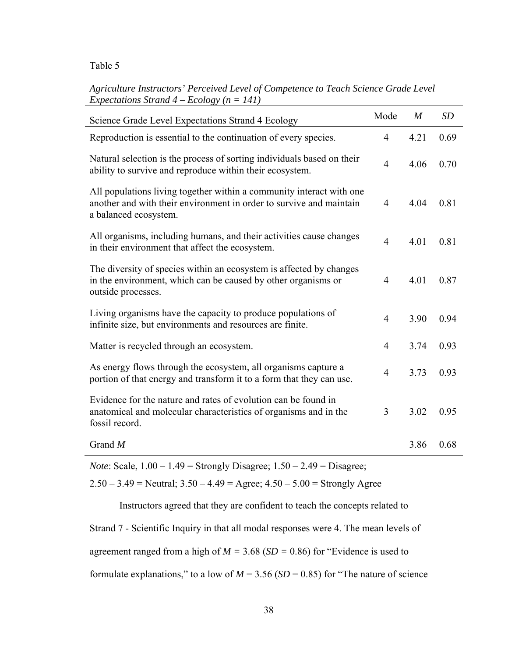# *Agriculture Instructors' Perceived Level of Competence to Teach Science Grade Level Expectations Strand 4 – Ecology (n = 141)*

| Science Grade Level Expectations Strand 4 Ecology                                                                                                                    | Mode           | $\boldsymbol{M}$ | <b>SD</b> |
|----------------------------------------------------------------------------------------------------------------------------------------------------------------------|----------------|------------------|-----------|
| Reproduction is essential to the continuation of every species.                                                                                                      | $\overline{4}$ | 4.21             | 0.69      |
| Natural selection is the process of sorting individuals based on their<br>ability to survive and reproduce within their ecosystem.                                   | $\overline{4}$ | 4.06             | 0.70      |
| All populations living together within a community interact with one<br>another and with their environment in order to survive and maintain<br>a balanced ecosystem. | 4              | 4.04             | 0.81      |
| All organisms, including humans, and their activities cause changes<br>in their environment that affect the ecosystem.                                               | $\overline{4}$ | 4.01             | 0.81      |
| The diversity of species within an ecosystem is affected by changes<br>in the environment, which can be caused by other organisms or<br>outside processes.           | 4              | 4.01             | 0.87      |
| Living organisms have the capacity to produce populations of<br>infinite size, but environments and resources are finite.                                            | $\overline{4}$ | 3.90             | 0.94      |
| Matter is recycled through an ecosystem.                                                                                                                             | $\overline{4}$ | 3.74             | 0.93      |
| As energy flows through the ecosystem, all organisms capture a<br>portion of that energy and transform it to a form that they can use.                               | $\overline{4}$ | 3.73             | 0.93      |
| Evidence for the nature and rates of evolution can be found in<br>anatomical and molecular characteristics of organisms and in the<br>fossil record.                 | 3              | 3.02             | 0.95      |
| Grand $M$                                                                                                                                                            |                | 3.86             | 0.68      |

*Note*: Scale, 1.00 – 1.49 = Strongly Disagree; 1.50 – 2.49 = Disagree;

 $2.50 - 3.49$  = Neutral;  $3.50 - 4.49$  = Agree;  $4.50 - 5.00$  = Strongly Agree

Instructors agreed that they are confident to teach the concepts related to

Strand 7 - Scientific Inquiry in that all modal responses were 4. The mean levels of

agreement ranged from a high of *M =* 3.68 (*SD =* 0.86) for "Evidence is used to

formulate explanations," to a low of  $M = 3.56$  ( $SD = 0.85$ ) for "The nature of science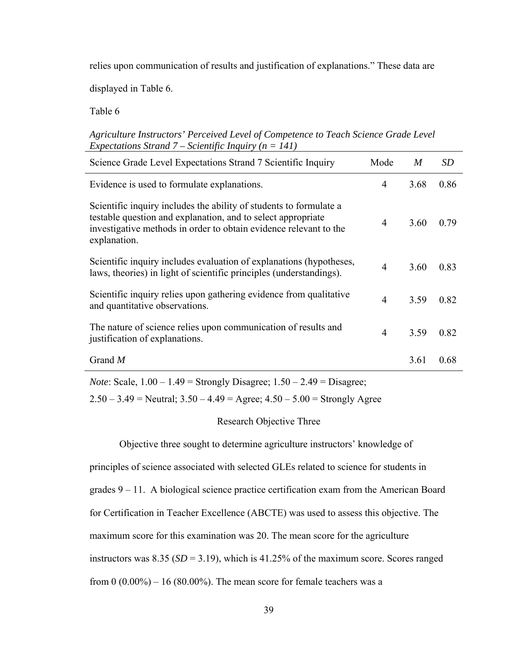relies upon communication of results and justification of explanations." These data are

displayed in Table 6.

Table 6

| Agriculture Instructors' Perceived Level of Competence to Teach Science Grade Level |  |
|-------------------------------------------------------------------------------------|--|
| Expectations Strand 7 – Scientific Inquiry ( $n = 141$ )                            |  |

| Science Grade Level Expectations Strand 7 Scientific Inquiry                                                                                                                                                            | Mode           | $\boldsymbol{M}$ | <b>SD</b> |
|-------------------------------------------------------------------------------------------------------------------------------------------------------------------------------------------------------------------------|----------------|------------------|-----------|
| Evidence is used to formulate explanations.                                                                                                                                                                             | $\overline{4}$ | 3.68             | 0.86      |
| Scientific inquiry includes the ability of students to formulate a<br>testable question and explanation, and to select appropriate<br>investigative methods in order to obtain evidence relevant to the<br>explanation. | 4              | 3.60             | 0.79      |
| Scientific inquiry includes evaluation of explanations (hypotheses,<br>laws, theories) in light of scientific principles (understandings).                                                                              | 4              | 3.60             | 0.83      |
| Scientific inquiry relies upon gathering evidence from qualitative<br>and quantitative observations.                                                                                                                    | $\overline{4}$ | 3.59             | 0.82      |
| The nature of science relies upon communication of results and<br>justification of explanations.                                                                                                                        | $\overline{4}$ | 3.59             | 0.82      |
| Grand $M$                                                                                                                                                                                                               |                | 3.61             | 0.68      |

*Note*: Scale, 1.00 – 1.49 = Strongly Disagree; 1.50 – 2.49 = Disagree;

 $2.50 - 3.49$  = Neutral;  $3.50 - 4.49$  = Agree;  $4.50 - 5.00$  = Strongly Agree

## Research Objective Three

Objective three sought to determine agriculture instructors' knowledge of

principles of science associated with selected GLEs related to science for students in grades 9 – 11. A biological science practice certification exam from the American Board for Certification in Teacher Excellence (ABCTE) was used to assess this objective. The maximum score for this examination was 20. The mean score for the agriculture instructors was  $8.35$  ( $SD = 3.19$ ), which is  $41.25\%$  of the maximum score. Scores ranged from  $0 (0.00\%) - 16 (80.00\%)$ . The mean score for female teachers was a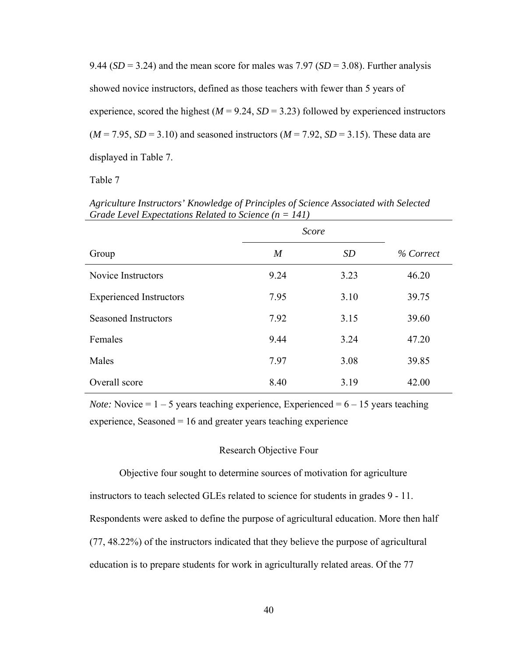9.44 ( $SD = 3.24$ ) and the mean score for males was 7.97 ( $SD = 3.08$ ). Further analysis showed novice instructors, defined as those teachers with fewer than 5 years of experience, scored the highest  $(M = 9.24, SD = 3.23)$  followed by experienced instructors  $(M = 7.95, SD = 3.10)$  and seasoned instructors  $(M = 7.92, SD = 3.15)$ . These data are displayed in Table 7.

Table 7

*Agriculture Instructors' Knowledge of Principles of Science Associated with Selected Grade Level Expectations Related to Science (n = 141)*

|                                | <i>Score</i>     |      |           |
|--------------------------------|------------------|------|-----------|
| Group                          | $\boldsymbol{M}$ | SD   | % Correct |
| Novice Instructors             | 9.24             | 3.23 | 46.20     |
| <b>Experienced Instructors</b> | 7.95             | 3.10 | 39.75     |
| <b>Seasoned Instructors</b>    | 7.92             | 3.15 | 39.60     |
| Females                        | 9.44             | 3.24 | 47.20     |
| Males                          | 7.97             | 3.08 | 39.85     |
| Overall score                  | 8.40             | 3.19 | 42.00     |

*Note:* Novice  $= 1 - 5$  years teaching experience, Experienced  $= 6 - 15$  years teaching experience, Seasoned  $= 16$  and greater years teaching experience

#### Research Objective Four

Objective four sought to determine sources of motivation for agriculture instructors to teach selected GLEs related to science for students in grades 9 - 11. Respondents were asked to define the purpose of agricultural education. More then half (77, 48.22%) of the instructors indicated that they believe the purpose of agricultural education is to prepare students for work in agriculturally related areas. Of the 77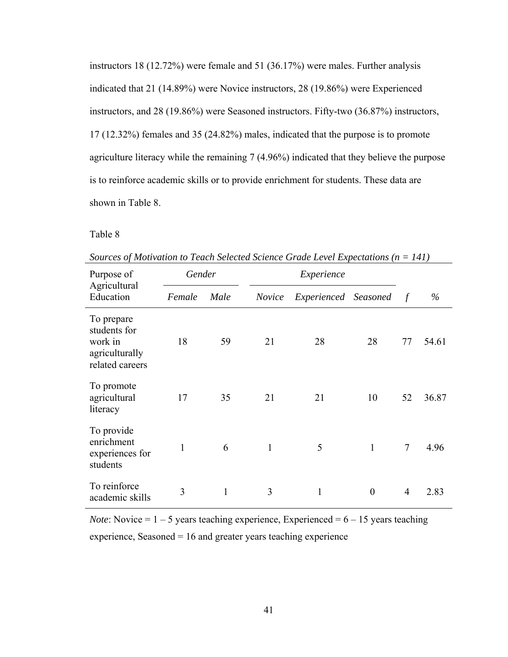instructors 18 (12.72%) were female and 51 (36.17%) were males. Further analysis indicated that 21 (14.89%) were Novice instructors, 28 (19.86%) were Experienced instructors, and 28 (19.86%) were Seasoned instructors. Fifty-two (36.87%) instructors, 17 (12.32%) females and 35 (24.82%) males, indicated that the purpose is to promote agriculture literacy while the remaining 7 (4.96%) indicated that they believe the purpose is to reinforce academic skills or to provide enrichment for students. These data are shown in Table 8.

# Table 8

| Purpose of                                                                 |        | Gender |               | bom ces of montanon to Teach belected belence Grade Level Lapechanons (n<br>Experience |              |                |       |
|----------------------------------------------------------------------------|--------|--------|---------------|----------------------------------------------------------------------------------------|--------------|----------------|-------|
| Agricultural<br>Education                                                  | Female | Male   | <i>Novice</i> | Experienced Seasoned                                                                   |              | $\mathcal{f}$  | $\%$  |
| To prepare<br>students for<br>work in<br>agriculturally<br>related careers | 18     | 59     | 21            | 28                                                                                     | 28           | 77             | 54.61 |
| To promote<br>agricultural<br>literacy                                     | 17     | 35     | 21            | 21                                                                                     | 10           | 52             | 36.87 |
| To provide<br>enrichment<br>experiences for<br>students                    | 1      | 6      | 1             | 5                                                                                      | $\mathbf{1}$ | $\overline{7}$ | 4.96  |
| To reinforce<br>academic skills                                            | 3      | 1      | 3             | 1                                                                                      | $\theta$     | $\overline{4}$ | 2.83  |

*Sources of Motivation to Teach Selected Science Grade Level Expectations (n = 141)* 

*Note*: Novice =  $1 - 5$  years teaching experience, Experienced =  $6 - 15$  years teaching experience, Seasoned = 16 and greater years teaching experience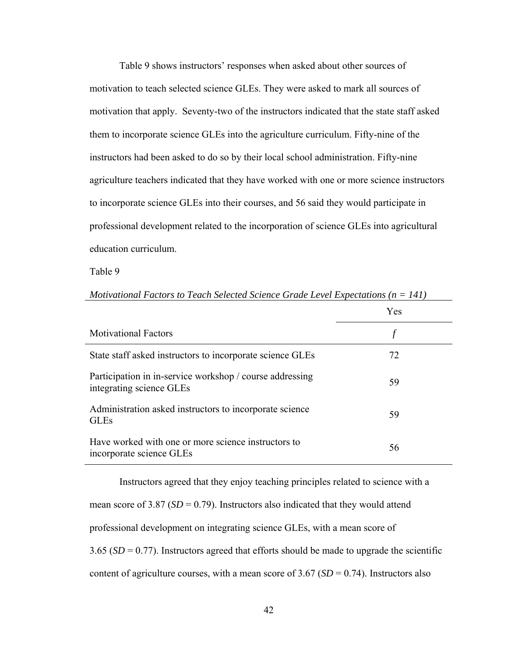Table 9 shows instructors' responses when asked about other sources of motivation to teach selected science GLEs. They were asked to mark all sources of motivation that apply. Seventy-two of the instructors indicated that the state staff asked them to incorporate science GLEs into the agriculture curriculum. Fifty-nine of the instructors had been asked to do so by their local school administration. Fifty-nine agriculture teachers indicated that they have worked with one or more science instructors to incorporate science GLEs into their courses, and 56 said they would participate in professional development related to the incorporation of science GLEs into agricultural education curriculum.

Table 9

|                                                                                      | <b>Yes</b> |
|--------------------------------------------------------------------------------------|------------|
| <b>Motivational Factors</b>                                                          |            |
| State staff asked instructors to incorporate science GLEs                            | 72         |
| Participation in in-service workshop / course addressing<br>integrating science GLEs | 59         |
| Administration asked instructors to incorporate science<br><b>GLEs</b>               | 59         |
| Have worked with one or more science instructors to<br>incorporate science GLEs      | 56         |

*Motivational Factors to Teach Selected Science Grade Level Expectations (n = 141)* 

Instructors agreed that they enjoy teaching principles related to science with a mean score of  $3.87$  ( $SD = 0.79$ ). Instructors also indicated that they would attend professional development on integrating science GLEs, with a mean score of  $3.65$  (*SD* = 0.77). Instructors agreed that efforts should be made to upgrade the scientific content of agriculture courses, with a mean score of  $3.67$  (*SD* = 0.74). Instructors also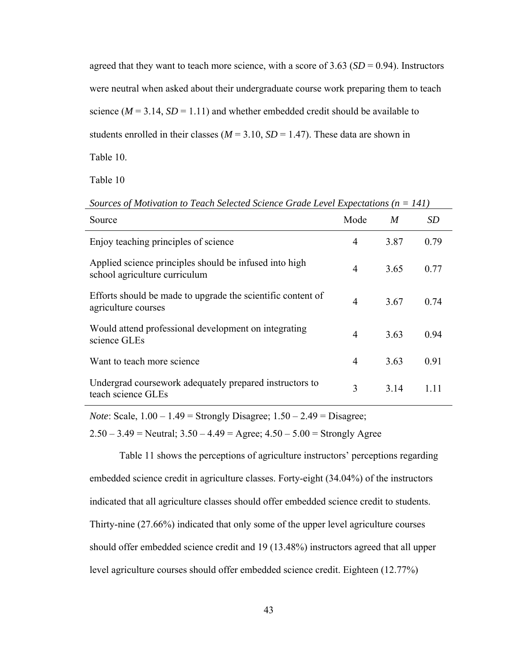agreed that they want to teach more science, with a score of 3.63 (*SD* = 0.94). Instructors were neutral when asked about their undergraduate course work preparing them to teach science  $(M = 3.14, SD = 1.11)$  and whether embedded credit should be available to students enrolled in their classes ( $M = 3.10$ ,  $SD = 1.47$ ). These data are shown in Table 10.

Table 10

| Source                                                                                  | Mode           | M    |      |
|-----------------------------------------------------------------------------------------|----------------|------|------|
| Enjoy teaching principles of science                                                    | 4              | 387  | 0.79 |
| Applied science principles should be infused into high<br>school agriculture curriculum | $\overline{4}$ | 3.65 | 0.77 |
| Efforts should be made to upgrade the scientific content of<br>agriculture courses      |                | 3.67 | 0.74 |

Would attend professional development on integrating  $4$  3.63 0.94 science GLEs

Want to teach more science  $\frac{4}{3.63}$  0.91

Undergrad coursework adequately prepared instructors to  $\qquad 3 \qquad 3.14 \qquad 1.11$ <br>teach science GLEs

*Sources of Motivation to Teach Selected Science Grade Level Expectations (n = 141)* 

*Note*: Scale, 1.00 – 1.49 = Strongly Disagree; 1.50 – 2.49 = Disagree;

 $2.50 - 3.49$  = Neutral;  $3.50 - 4.49$  = Agree;  $4.50 - 5.00$  = Strongly Agree

 Table 11 shows the perceptions of agriculture instructors' perceptions regarding embedded science credit in agriculture classes. Forty-eight (34.04%) of the instructors indicated that all agriculture classes should offer embedded science credit to students. Thirty-nine (27.66%) indicated that only some of the upper level agriculture courses should offer embedded science credit and 19 (13.48%) instructors agreed that all upper level agriculture courses should offer embedded science credit. Eighteen (12.77%)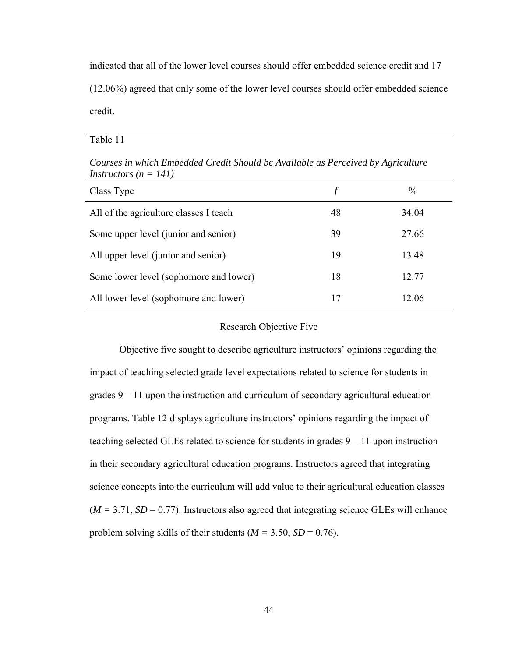indicated that all of the lower level courses should offer embedded science credit and 17 (12.06%) agreed that only some of the lower level courses should offer embedded science credit.

Table 11

| Class Type                             |    | $\frac{0}{0}$ |
|----------------------------------------|----|---------------|
| All of the agriculture classes I teach | 48 | 34.04         |
| Some upper level (junior and senior)   | 39 | 27.66         |
| All upper level (junior and senior)    | 19 | 13.48         |
| Some lower level (sophomore and lower) | 18 | 12.77         |
| All lower level (sophomore and lower)  | 17 | 12.06         |

*Courses in which Embedded Credit Should be Available as Perceived by Agriculture Instructors (n = 141)* 

#### Research Objective Five

Objective five sought to describe agriculture instructors' opinions regarding the impact of teaching selected grade level expectations related to science for students in grades 9 – 11 upon the instruction and curriculum of secondary agricultural education programs. Table 12 displays agriculture instructors' opinions regarding the impact of teaching selected GLEs related to science for students in grades 9 – 11 upon instruction in their secondary agricultural education programs. Instructors agreed that integrating science concepts into the curriculum will add value to their agricultural education classes  $(M = 3.71, SD = 0.77)$ . Instructors also agreed that integrating science GLEs will enhance problem solving skills of their students ( $M = 3.50$ ,  $SD = 0.76$ ).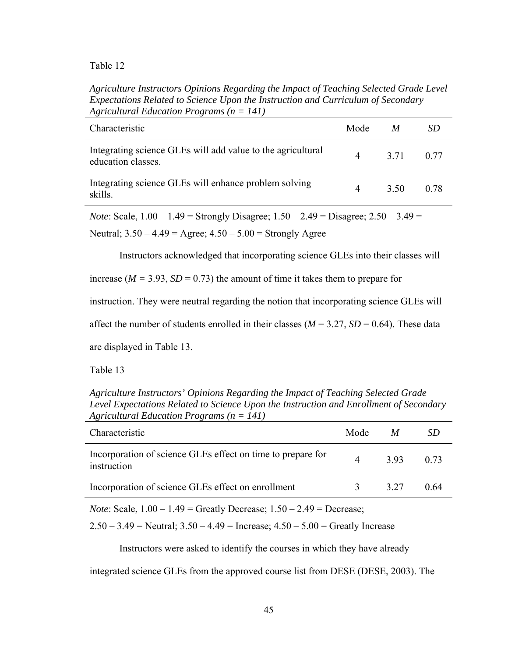*Agriculture Instructors Opinions Regarding the Impact of Teaching Selected Grade Level Expectations Related to Science Upon the Instruction and Curriculum of Secondary Agricultural Education Programs (n = 141)* 

| Characteristic                                                                    | Mode     | $\boldsymbol{M}$ | SD.  |
|-----------------------------------------------------------------------------------|----------|------------------|------|
| Integrating science GLEs will add value to the agricultural<br>education classes. | $\Delta$ | 3.71 0.77        |      |
| Integrating science GLEs will enhance problem solving<br>skills.                  | 4        | 3.50             | 0.78 |

*Note*: Scale, 1.00 – 1.49 = Strongly Disagree; 1.50 – 2.49 = Disagree; 2.50 – 3.49 =

Neutral;  $3.50 - 4.49 = \text{Agree}$ ;  $4.50 - 5.00 = \text{Strongly Age}$ 

Instructors acknowledged that incorporating science GLEs into their classes will

increase ( $M = 3.93$ ,  $SD = 0.73$ ) the amount of time it takes them to prepare for

instruction. They were neutral regarding the notion that incorporating science GLEs will

affect the number of students enrolled in their classes ( $M = 3.27$ ,  $SD = 0.64$ ). These data

are displayed in Table 13.

Table 13

*Agriculture Instructors' Opinions Regarding the Impact of Teaching Selected Grade Level Expectations Related to Science Upon the Instruction and Enrollment of Secondary Agricultural Education Programs (n = 141)* 

| Characteristic                                                             | Mode | M     |      |
|----------------------------------------------------------------------------|------|-------|------|
| Incorporation of science GLEs effect on time to prepare for<br>instruction |      | 393   | 0.73 |
| Incorporation of science GLEs effect on enrollment                         |      | 3 2 7 | 0.64 |
|                                                                            |      |       |      |

*Note*: Scale, 1.00 – 1.49 = Greatly Decrease; 1.50 – 2.49 = Decrease;

 $2.50 - 3.49$  = Neutral;  $3.50 - 4.49$  = Increase;  $4.50 - 5.00$  = Greatly Increase

Instructors were asked to identify the courses in which they have already

integrated science GLEs from the approved course list from DESE (DESE, 2003). The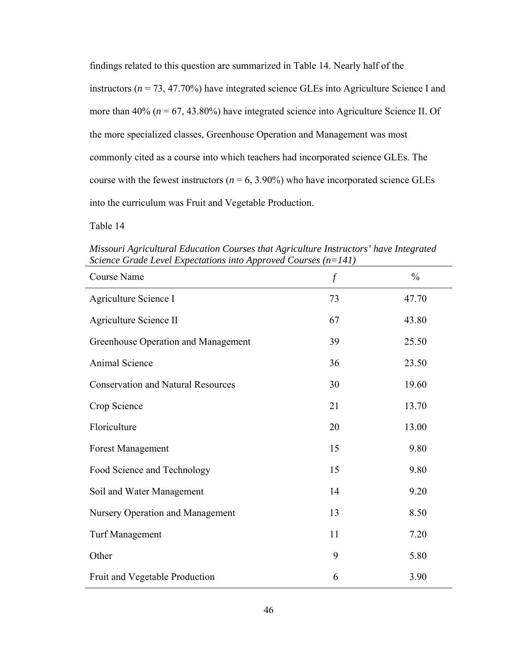findings related to this question are summarized in Table 14. Nearly half of the instructors (*n* = 73, 47.70%) have integrated science GLEs into Agriculture Science I and more than  $40\%$  ( $n = 67, 43.80\%$ ) have integrated science into Agriculture Science II. Of the more specialized classes, Greenhouse Operation and Management was most commonly cited as a course into which teachers had incorporated science GLEs. The course with the fewest instructors ( $n = 6, 3.90\%$ ) who have incorporated science GLEs into the curriculum was Fruit and Vegetable Production.

Table 14

*Missouri Agricultural Education Courses that Agriculture Instructors' have Integrated Science Grade Level Expectations into Approved Courses (n=141)* 

| <b>Course Name</b>                        | $\int f$ | $\frac{0}{0}$ |
|-------------------------------------------|----------|---------------|
| Agriculture Science I                     | 73       | 47.70         |
| Agriculture Science II                    | 67       | 43.80         |
| Greenhouse Operation and Management       | 39       | 25.50         |
| Animal Science                            | 36       | 23.50         |
| <b>Conservation and Natural Resources</b> | 30       | 19.60         |
| Crop Science                              | 21       | 13.70         |
| Floriculture                              | 20       | 13.00         |
| <b>Forest Management</b>                  | 15       | 9.80          |
| Food Science and Technology               | 15       | 9.80          |
| Soil and Water Management                 | 14       | 9.20          |
| Nursery Operation and Management          | 13       | 8.50          |
| <b>Turf Management</b>                    | 11       | 7.20          |
| Other                                     | 9        | 5.80          |
| Fruit and Vegetable Production            | 6        | 3.90          |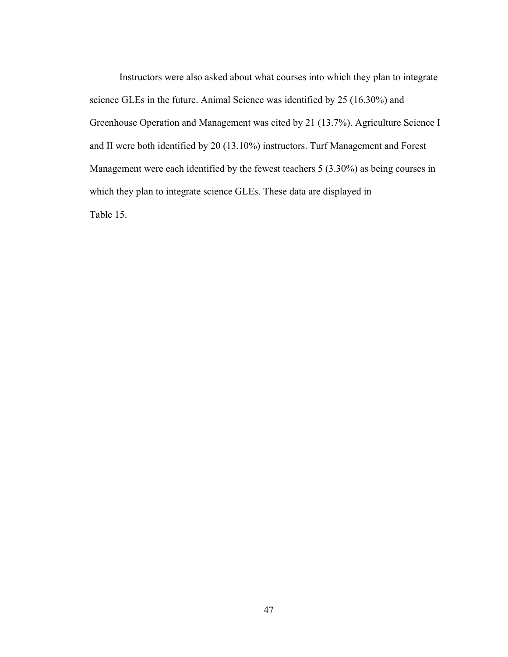Instructors were also asked about what courses into which they plan to integrate science GLEs in the future. Animal Science was identified by 25 (16.30%) and Greenhouse Operation and Management was cited by 21 (13.7%). Agriculture Science I and II were both identified by 20 (13.10%) instructors. Turf Management and Forest Management were each identified by the fewest teachers 5 (3.30%) as being courses in which they plan to integrate science GLEs. These data are displayed in Table 15.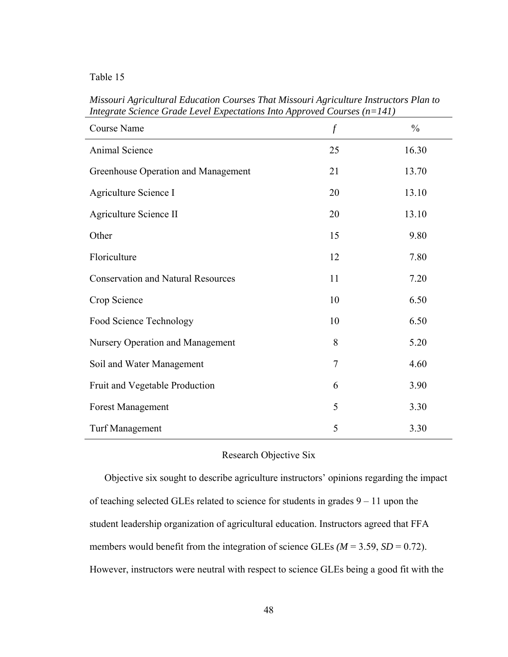| nograno senence Sraac Lever Lupeenanons Into Ipproved Courses |                  |               |
|---------------------------------------------------------------|------------------|---------------|
| Course Name                                                   | $\boldsymbol{f}$ | $\frac{0}{0}$ |
| Animal Science                                                | 25               | 16.30         |
| Greenhouse Operation and Management                           | 21               | 13.70         |
| Agriculture Science I                                         | 20               | 13.10         |
| Agriculture Science II                                        | 20               | 13.10         |
| Other                                                         | 15               | 9.80          |
| Floriculture                                                  | 12               | 7.80          |
| <b>Conservation and Natural Resources</b>                     | 11               | 7.20          |
| Crop Science                                                  | 10               | 6.50          |
| Food Science Technology                                       | 10               | 6.50          |
| Nursery Operation and Management                              | 8                | 5.20          |
| Soil and Water Management                                     | 7                | 4.60          |
| Fruit and Vegetable Production                                | 6                | 3.90          |
| <b>Forest Management</b>                                      | 5                | 3.30          |
| <b>Turf Management</b>                                        | 5                | 3.30          |

*Missouri Agricultural Education Courses That Missouri Agriculture Instructors Plan to Integrate Science Grade Level Expectations Into Approved Courses (n=141)* 

# Research Objective Six

Objective six sought to describe agriculture instructors' opinions regarding the impact of teaching selected GLEs related to science for students in grades 9 – 11 upon the student leadership organization of agricultural education. Instructors agreed that FFA members would benefit from the integration of science GLEs  $(M = 3.59, SD = 0.72)$ . However, instructors were neutral with respect to science GLEs being a good fit with the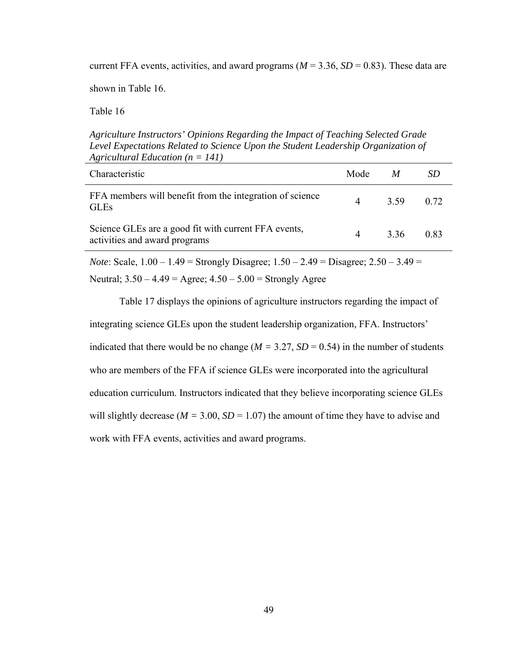current FFA events, activities, and award programs ( $M = 3.36$ ,  $SD = 0.83$ ). These data are

shown in Table 16.

Table 16

*Agriculture Instructors' Opinions Regarding the Impact of Teaching Selected Grade Level Expectations Related to Science Upon the Student Leadership Organization of Agricultural Education (n = 141)* 

| Characteristic                                                                        | Mode $M$       |           | SD   |
|---------------------------------------------------------------------------------------|----------------|-----------|------|
| FFA members will benefit from the integration of science<br><b>GLEs</b>               | $\overline{4}$ | 3.59 0.72 |      |
| Science GLEs are a good fit with current FFA events,<br>activities and award programs | $\overline{4}$ | 336       | 0.83 |

*Note*: Scale, 1.00 – 1.49 = Strongly Disagree; 1.50 – 2.49 = Disagree; 2.50 – 3.49 = Neutral;  $3.50 - 4.49 = \text{Agree}$ ;  $4.50 - 5.00 = \text{Strongly Age}$ 

Table 17 displays the opinions of agriculture instructors regarding the impact of integrating science GLEs upon the student leadership organization, FFA. Instructors' indicated that there would be no change ( $M = 3.27$ ,  $SD = 0.54$ ) in the number of students who are members of the FFA if science GLEs were incorporated into the agricultural education curriculum. Instructors indicated that they believe incorporating science GLEs will slightly decrease ( $M = 3.00$ ,  $SD = 1.07$ ) the amount of time they have to advise and work with FFA events, activities and award programs.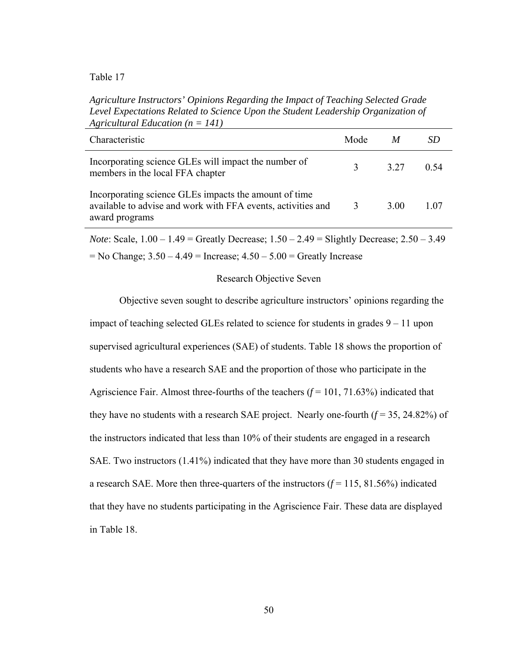*Agriculture Instructors' Opinions Regarding the Impact of Teaching Selected Grade Level Expectations Related to Science Upon the Student Leadership Organization of Agricultural Education (n = 141)* 

| Characteristic                                                                                                                          | Mode |       |      |
|-----------------------------------------------------------------------------------------------------------------------------------------|------|-------|------|
| Incorporating science GLEs will impact the number of<br>members in the local FFA chapter                                                |      | 3 2 7 | 0.54 |
| Incorporating science GLEs impacts the amount of time<br>available to advise and work with FFA events, activities and<br>award programs | 3    | 3 OO  | 1.07 |
|                                                                                                                                         |      |       |      |

*Note*: Scale, 1.00 – 1.49 = Greatly Decrease; 1.50 – 2.49 = Slightly Decrease; 2.50 – 3.49  $=$  No Change;  $3.50 - 4.49 =$  Increase;  $4.50 - 5.00 =$  Greatly Increase

### Research Objective Seven

Objective seven sought to describe agriculture instructors' opinions regarding the impact of teaching selected GLEs related to science for students in grades 9 – 11 upon supervised agricultural experiences (SAE) of students. Table 18 shows the proportion of students who have a research SAE and the proportion of those who participate in the Agriscience Fair. Almost three-fourths of the teachers  $(f = 101, 71.63%)$  indicated that they have no students with a research SAE project. Nearly one-fourth  $(f = 35, 24.82%)$  of the instructors indicated that less than 10% of their students are engaged in a research SAE. Two instructors (1.41%) indicated that they have more than 30 students engaged in a research SAE. More then three-quarters of the instructors  $(f = 115, 81.56%)$  indicated that they have no students participating in the Agriscience Fair. These data are displayed in Table 18.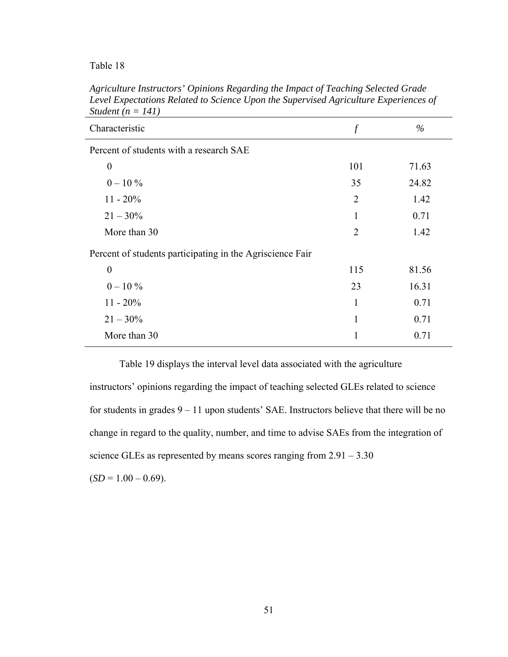| Characteristic                                            | $\int$         | $\%$  |
|-----------------------------------------------------------|----------------|-------|
| Percent of students with a research SAE                   |                |       |
| $\boldsymbol{0}$                                          | 101            | 71.63 |
| $0 - 10\%$                                                | 35             | 24.82 |
| $11 - 20\%$                                               | $\overline{2}$ | 1.42  |
| $21 - 30\%$                                               | 1              | 0.71  |
| More than 30                                              | $\overline{2}$ | 1.42  |
| Percent of students participating in the Agriscience Fair |                |       |
| $\boldsymbol{0}$                                          | 115            | 81.56 |
| $0 - 10\%$                                                | 23             | 16.31 |
| $11 - 20\%$                                               | 1              | 0.71  |
| $21 - 30\%$                                               | 1              | 0.71  |
| More than 30                                              | 1              | 0.71  |

*Agriculture Instructors' Opinions Regarding the Impact of Teaching Selected Grade Level Expectations Related to Science Upon the Supervised Agriculture Experiences of Student (n = 141)*

Table 19 displays the interval level data associated with the agriculture instructors' opinions regarding the impact of teaching selected GLEs related to science for students in grades 9 – 11 upon students' SAE. Instructors believe that there will be no change in regard to the quality, number, and time to advise SAEs from the integration of science GLEs as represented by means scores ranging from  $2.91 - 3.30$ 

 $(SD = 1.00 - 0.69)$ .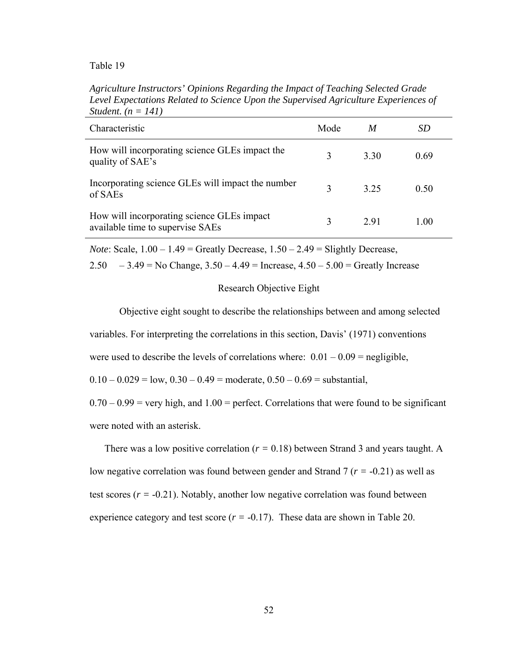*Agriculture Instructors' Opinions Regarding the Impact of Teaching Selected Grade Level Expectations Related to Science Upon the Supervised Agriculture Experiences of Student. (n = 141)*

| Characteristic                                                                 | Mode         | M    | SD   |
|--------------------------------------------------------------------------------|--------------|------|------|
| How will incorporating science GLEs impact the<br>quality of SAE's             |              | 3.30 | 0.69 |
| Incorporating science GLEs will impact the number<br>of SAEs                   | $\mathbf{R}$ | 325  | 0.50 |
| How will incorporating science GLEs impact<br>available time to supervise SAEs |              | 2.91 | 1.00 |

*Note*: Scale,  $1.00 - 1.49 =$  Greatly Decrease,  $1.50 - 2.49 =$  Slightly Decrease,

2.50  $-3.49 =$  No Change,  $3.50 - 4.49 =$  Increase,  $4.50 - 5.00 =$  Greatly Increase

#### Research Objective Eight

Objective eight sought to describe the relationships between and among selected

variables. For interpreting the correlations in this section, Davis' (1971) conventions

were used to describe the levels of correlations where:  $0.01 - 0.09 =$  negligible,

 $0.10 - 0.029 =$ low,  $0.30 - 0.49 =$ moderate,  $0.50 - 0.69 =$ substantial,

 $0.70 - 0.99$  = very high, and  $1.00$  = perfect. Correlations that were found to be significant were noted with an asterisk.

There was a low positive correlation (*r =* 0.18) between Strand 3 and years taught. A low negative correlation was found between gender and Strand 7 (*r =* -0.21) as well as test scores  $(r = -0.21)$ . Notably, another low negative correlation was found between experience category and test score  $(r = -0.17)$ . These data are shown in Table 20.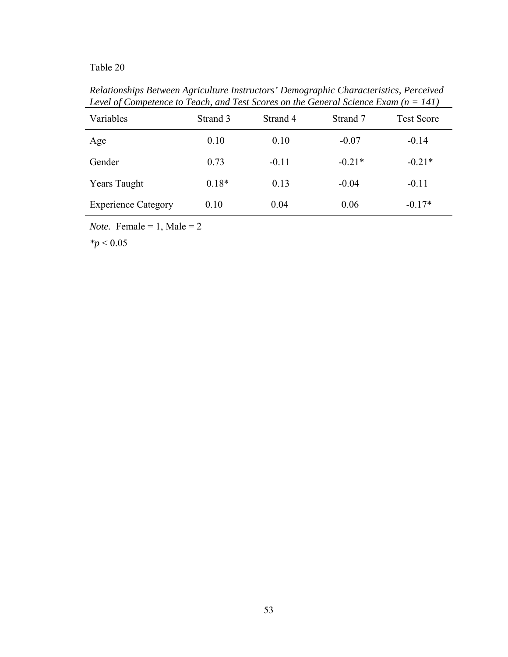*Relationships Between Agriculture Instructors' Demographic Characteristics, Perceived Level of Competence to Teach, and Test Scores on the General Science Exam (n = 141)*

| Variables                  | Strand 3 | Strand 4 | Strand 7 | <b>Test Score</b> |
|----------------------------|----------|----------|----------|-------------------|
| Age                        | 0.10     | 0.10     | $-0.07$  | $-0.14$           |
| Gender                     | 0.73     | $-0.11$  | $-0.21*$ | $-0.21*$          |
| <b>Years Taught</b>        | $0.18*$  | 0.13     | $-0.04$  | $-0.11$           |
| <b>Experience Category</b> | 0.10     | 0.04     | 0.06     | $-0.17*$          |

*Note.* Female = 1, Male = 2

*\*p* < 0.05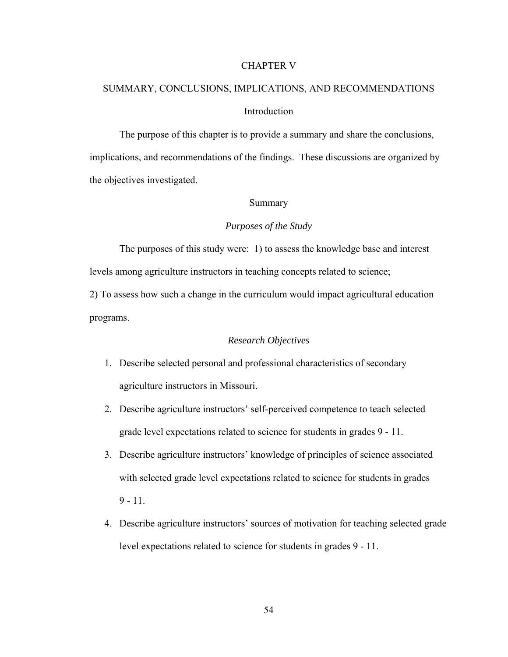#### CHAPTER V

# SUMMARY, CONCLUSIONS, IMPLICATIONS, AND RECOMMENDATIONS Introduction

The purpose of this chapter is to provide a summary and share the conclusions, implications, and recommendations of the findings. These discussions are organized by the objectives investigated.

## Summary

## *Purposes of the Study*

The purposes of this study were: 1) to assess the knowledge base and interest levels among agriculture instructors in teaching concepts related to science;

2) To assess how such a change in the curriculum would impact agricultural education programs.

### *Research Objectives*

- 1. Describe selected personal and professional characteristics of secondary agriculture instructors in Missouri.
- 2. Describe agriculture instructors' self-perceived competence to teach selected grade level expectations related to science for students in grades 9 - 11.
- 3. Describe agriculture instructors' knowledge of principles of science associated with selected grade level expectations related to science for students in grades  $9 - 11$ .
- 4. Describe agriculture instructors' sources of motivation for teaching selected grade level expectations related to science for students in grades 9 - 11.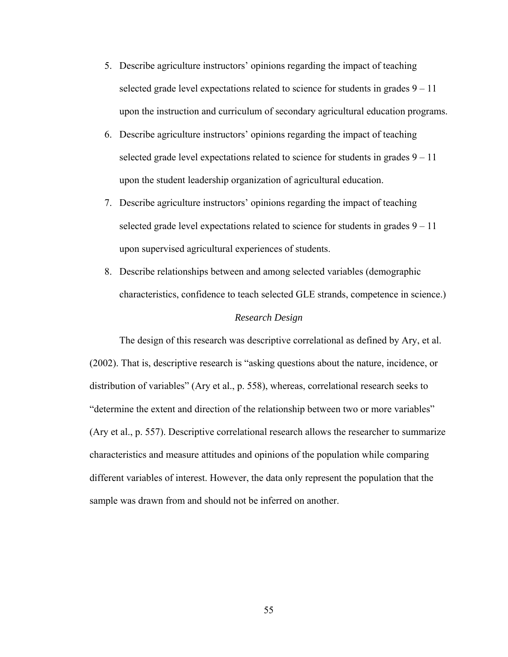- 5. Describe agriculture instructors' opinions regarding the impact of teaching selected grade level expectations related to science for students in grades  $9 - 11$ upon the instruction and curriculum of secondary agricultural education programs.
- 6. Describe agriculture instructors' opinions regarding the impact of teaching selected grade level expectations related to science for students in grades  $9 - 11$ upon the student leadership organization of agricultural education.
- 7. Describe agriculture instructors' opinions regarding the impact of teaching selected grade level expectations related to science for students in grades  $9 - 11$ upon supervised agricultural experiences of students.
- 8. Describe relationships between and among selected variables (demographic characteristics, confidence to teach selected GLE strands, competence in science.)

# *Research Design*

The design of this research was descriptive correlational as defined by Ary, et al. (2002). That is, descriptive research is "asking questions about the nature, incidence, or distribution of variables" (Ary et al., p. 558), whereas, correlational research seeks to "determine the extent and direction of the relationship between two or more variables" (Ary et al., p. 557). Descriptive correlational research allows the researcher to summarize characteristics and measure attitudes and opinions of the population while comparing different variables of interest. However, the data only represent the population that the sample was drawn from and should not be inferred on another.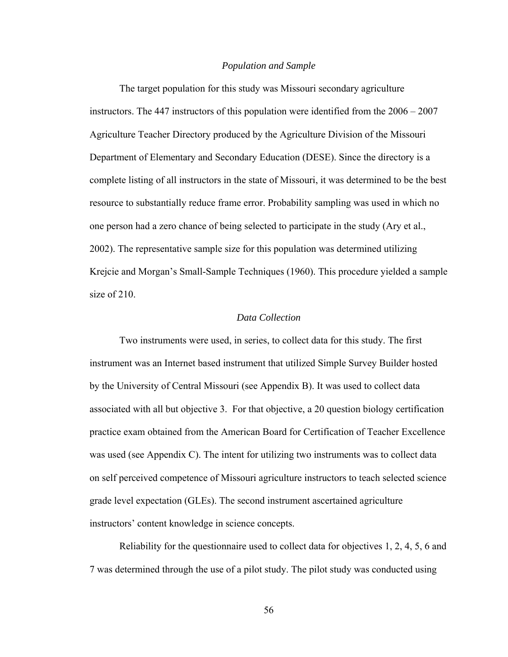#### *Population and Sample*

The target population for this study was Missouri secondary agriculture instructors. The 447 instructors of this population were identified from the 2006 – 2007 Agriculture Teacher Directory produced by the Agriculture Division of the Missouri Department of Elementary and Secondary Education (DESE). Since the directory is a complete listing of all instructors in the state of Missouri, it was determined to be the best resource to substantially reduce frame error. Probability sampling was used in which no one person had a zero chance of being selected to participate in the study (Ary et al., 2002). The representative sample size for this population was determined utilizing Krejcie and Morgan's Small-Sample Techniques (1960). This procedure yielded a sample size of 210.

### *Data Collection*

Two instruments were used, in series, to collect data for this study. The first instrument was an Internet based instrument that utilized Simple Survey Builder hosted by the University of Central Missouri (see Appendix B). It was used to collect data associated with all but objective 3. For that objective, a 20 question biology certification practice exam obtained from the American Board for Certification of Teacher Excellence was used (see Appendix C). The intent for utilizing two instruments was to collect data on self perceived competence of Missouri agriculture instructors to teach selected science grade level expectation (GLEs). The second instrument ascertained agriculture instructors' content knowledge in science concepts.

 Reliability for the questionnaire used to collect data for objectives 1, 2, 4, 5, 6 and 7 was determined through the use of a pilot study. The pilot study was conducted using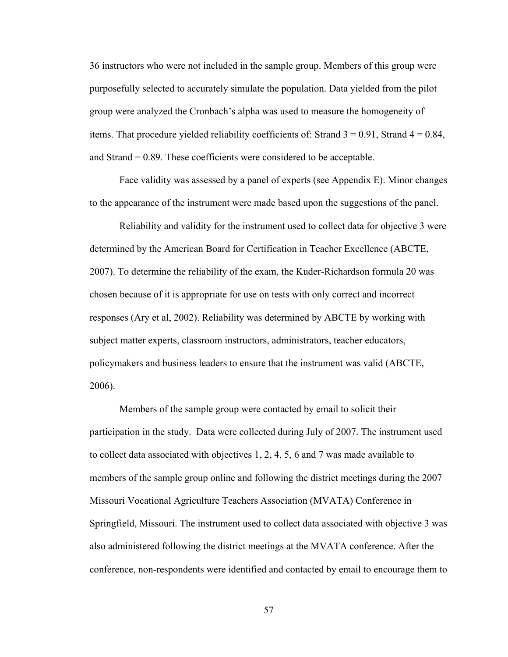36 instructors who were not included in the sample group. Members of this group were purposefully selected to accurately simulate the population. Data yielded from the pilot group were analyzed the Cronbach's alpha was used to measure the homogeneity of items. That procedure yielded reliability coefficients of: Strand  $3 = 0.91$ , Strand  $4 = 0.84$ , and Strand = 0.89. These coefficients were considered to be acceptable.

Face validity was assessed by a panel of experts (see Appendix E). Minor changes to the appearance of the instrument were made based upon the suggestions of the panel.

 Reliability and validity for the instrument used to collect data for objective 3 were determined by the American Board for Certification in Teacher Excellence (ABCTE, 2007). To determine the reliability of the exam, the Kuder-Richardson formula 20 was chosen because of it is appropriate for use on tests with only correct and incorrect responses (Ary et al, 2002). Reliability was determined by ABCTE by working with subject matter experts, classroom instructors, administrators, teacher educators, policymakers and business leaders to ensure that the instrument was valid (ABCTE, 2006).

Members of the sample group were contacted by email to solicit their participation in the study. Data were collected during July of 2007. The instrument used to collect data associated with objectives 1, 2, 4, 5, 6 and 7 was made available to members of the sample group online and following the district meetings during the 2007 Missouri Vocational Agriculture Teachers Association (MVATA) Conference in Springfield, Missouri. The instrument used to collect data associated with objective 3 was also administered following the district meetings at the MVATA conference. After the conference, non-respondents were identified and contacted by email to encourage them to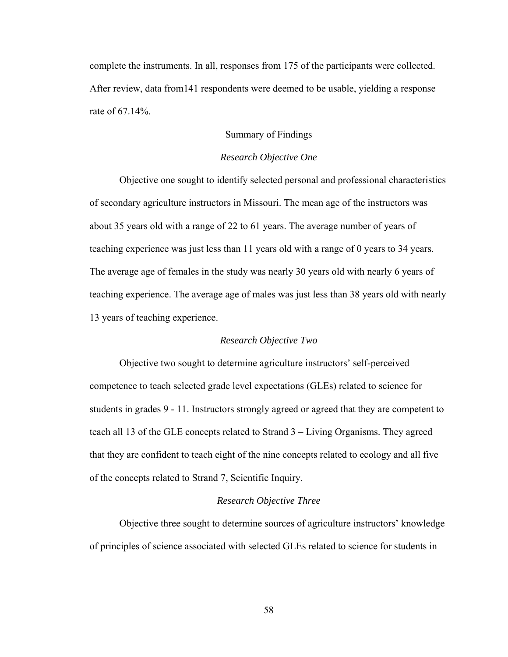complete the instruments. In all, responses from 175 of the participants were collected. After review, data from141 respondents were deemed to be usable, yielding a response rate of 67.14%.

## Summary of Findings

#### *Research Objective One*

Objective one sought to identify selected personal and professional characteristics of secondary agriculture instructors in Missouri. The mean age of the instructors was about 35 years old with a range of 22 to 61 years. The average number of years of teaching experience was just less than 11 years old with a range of 0 years to 34 years. The average age of females in the study was nearly 30 years old with nearly 6 years of teaching experience. The average age of males was just less than 38 years old with nearly 13 years of teaching experience.

### *Research Objective Two*

Objective two sought to determine agriculture instructors' self-perceived competence to teach selected grade level expectations (GLEs) related to science for students in grades 9 - 11. Instructors strongly agreed or agreed that they are competent to teach all 13 of the GLE concepts related to Strand 3 – Living Organisms. They agreed that they are confident to teach eight of the nine concepts related to ecology and all five of the concepts related to Strand 7, Scientific Inquiry.

#### *Research Objective Three*

Objective three sought to determine sources of agriculture instructors' knowledge of principles of science associated with selected GLEs related to science for students in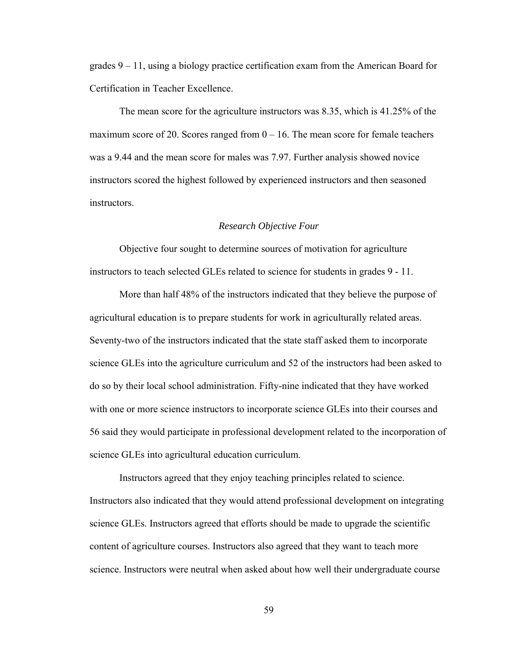grades  $9 - 11$ , using a biology practice certification exam from the American Board for Certification in Teacher Excellence.

The mean score for the agriculture instructors was 8.35, which is 41.25% of the maximum score of 20. Scores ranged from  $0 - 16$ . The mean score for female teachers was a 9.44 and the mean score for males was 7.97. Further analysis showed novice instructors scored the highest followed by experienced instructors and then seasoned instructors.

#### *Research Objective Four*

Objective four sought to determine sources of motivation for agriculture instructors to teach selected GLEs related to science for students in grades 9 - 11.

More than half 48% of the instructors indicated that they believe the purpose of agricultural education is to prepare students for work in agriculturally related areas. Seventy-two of the instructors indicated that the state staff asked them to incorporate science GLEs into the agriculture curriculum and 52 of the instructors had been asked to do so by their local school administration. Fifty-nine indicated that they have worked with one or more science instructors to incorporate science GLEs into their courses and 56 said they would participate in professional development related to the incorporation of science GLEs into agricultural education curriculum.

Instructors agreed that they enjoy teaching principles related to science. Instructors also indicated that they would attend professional development on integrating science GLEs. Instructors agreed that efforts should be made to upgrade the scientific content of agriculture courses. Instructors also agreed that they want to teach more science. Instructors were neutral when asked about how well their undergraduate course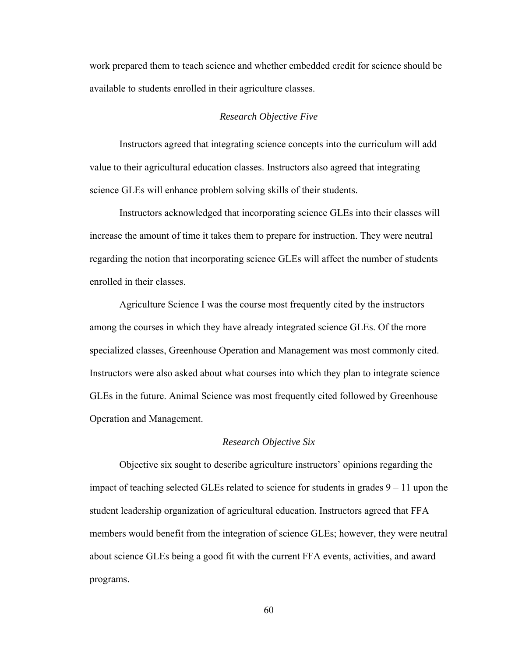work prepared them to teach science and whether embedded credit for science should be available to students enrolled in their agriculture classes.

### *Research Objective Five*

Instructors agreed that integrating science concepts into the curriculum will add value to their agricultural education classes. Instructors also agreed that integrating science GLEs will enhance problem solving skills of their students.

Instructors acknowledged that incorporating science GLEs into their classes will increase the amount of time it takes them to prepare for instruction. They were neutral regarding the notion that incorporating science GLEs will affect the number of students enrolled in their classes.

Agriculture Science I was the course most frequently cited by the instructors among the courses in which they have already integrated science GLEs. Of the more specialized classes, Greenhouse Operation and Management was most commonly cited. Instructors were also asked about what courses into which they plan to integrate science GLEs in the future. Animal Science was most frequently cited followed by Greenhouse Operation and Management.

#### *Research Objective Six*

Objective six sought to describe agriculture instructors' opinions regarding the impact of teaching selected GLEs related to science for students in grades 9 – 11 upon the student leadership organization of agricultural education. Instructors agreed that FFA members would benefit from the integration of science GLEs; however, they were neutral about science GLEs being a good fit with the current FFA events, activities, and award programs.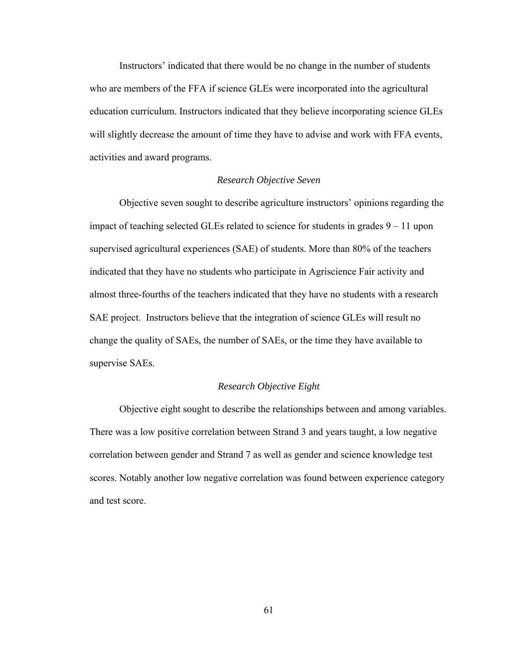Instructors' indicated that there would be no change in the number of students who are members of the FFA if science GLEs were incorporated into the agricultural education curriculum. Instructors indicated that they believe incorporating science GLEs will slightly decrease the amount of time they have to advise and work with FFA events, activities and award programs.

### *Research Objective Seven*

Objective seven sought to describe agriculture instructors' opinions regarding the impact of teaching selected GLEs related to science for students in grades 9 – 11 upon supervised agricultural experiences (SAE) of students. More than 80% of the teachers indicated that they have no students who participate in Agriscience Fair activity and almost three-fourths of the teachers indicated that they have no students with a research SAE project. Instructors believe that the integration of science GLEs will result no change the quality of SAEs, the number of SAEs, or the time they have available to supervise SAEs.

#### *Research Objective Eight*

Objective eight sought to describe the relationships between and among variables. There was a low positive correlation between Strand 3 and years taught, a low negative correlation between gender and Strand 7 as well as gender and science knowledge test scores. Notably another low negative correlation was found between experience category and test score.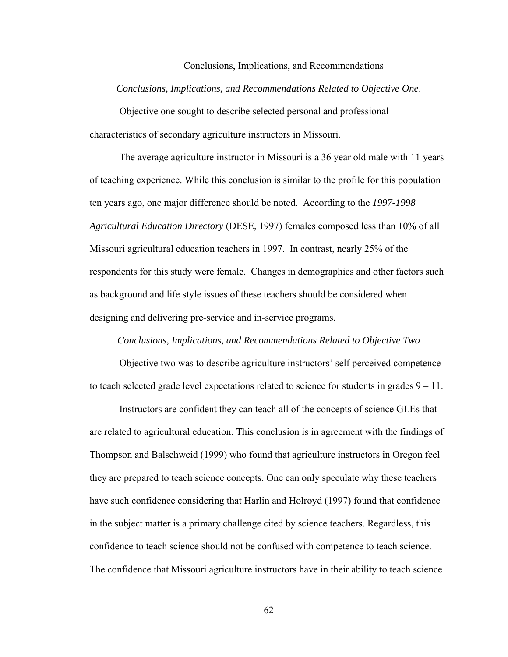#### Conclusions, Implications, and Recommendations

#### *Conclusions, Implications, and Recommendations Related to Objective One*.

Objective one sought to describe selected personal and professional characteristics of secondary agriculture instructors in Missouri.

The average agriculture instructor in Missouri is a 36 year old male with 11 years of teaching experience. While this conclusion is similar to the profile for this population ten years ago, one major difference should be noted. According to the *1997-1998 Agricultural Education Directory* (DESE, 1997) females composed less than 10% of all Missouri agricultural education teachers in 1997. In contrast, nearly 25% of the respondents for this study were female. Changes in demographics and other factors such as background and life style issues of these teachers should be considered when designing and delivering pre-service and in-service programs.

#### *Conclusions, Implications, and Recommendations Related to Objective Two*

Objective two was to describe agriculture instructors' self perceived competence to teach selected grade level expectations related to science for students in grades 9 – 11.

 Instructors are confident they can teach all of the concepts of science GLEs that are related to agricultural education. This conclusion is in agreement with the findings of Thompson and Balschweid (1999) who found that agriculture instructors in Oregon feel they are prepared to teach science concepts. One can only speculate why these teachers have such confidence considering that Harlin and Holroyd (1997) found that confidence in the subject matter is a primary challenge cited by science teachers. Regardless, this confidence to teach science should not be confused with competence to teach science. The confidence that Missouri agriculture instructors have in their ability to teach science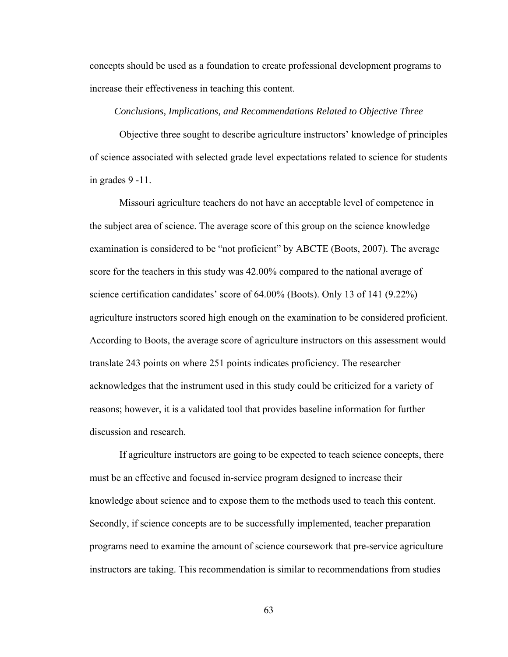concepts should be used as a foundation to create professional development programs to increase their effectiveness in teaching this content.

#### *Conclusions, Implications, and Recommendations Related to Objective Three*

Objective three sought to describe agriculture instructors' knowledge of principles of science associated with selected grade level expectations related to science for students in grades 9 -11.

Missouri agriculture teachers do not have an acceptable level of competence in the subject area of science. The average score of this group on the science knowledge examination is considered to be "not proficient" by ABCTE (Boots, 2007). The average score for the teachers in this study was 42.00% compared to the national average of science certification candidates' score of 64.00% (Boots). Only 13 of 141 (9.22%) agriculture instructors scored high enough on the examination to be considered proficient. According to Boots, the average score of agriculture instructors on this assessment would translate 243 points on where 251 points indicates proficiency. The researcher acknowledges that the instrument used in this study could be criticized for a variety of reasons; however, it is a validated tool that provides baseline information for further discussion and research.

If agriculture instructors are going to be expected to teach science concepts, there must be an effective and focused in-service program designed to increase their knowledge about science and to expose them to the methods used to teach this content. Secondly, if science concepts are to be successfully implemented, teacher preparation programs need to examine the amount of science coursework that pre-service agriculture instructors are taking. This recommendation is similar to recommendations from studies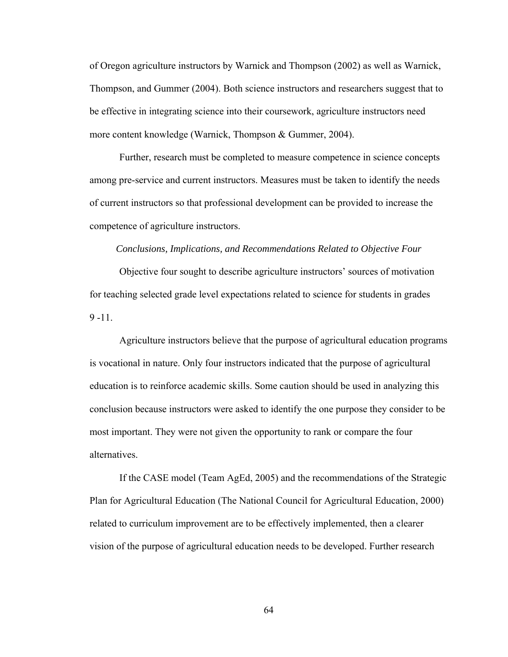of Oregon agriculture instructors by Warnick and Thompson (2002) as well as Warnick, Thompson, and Gummer (2004). Both science instructors and researchers suggest that to be effective in integrating science into their coursework, agriculture instructors need more content knowledge (Warnick, Thompson & Gummer, 2004).

 Further, research must be completed to measure competence in science concepts among pre-service and current instructors. Measures must be taken to identify the needs of current instructors so that professional development can be provided to increase the competence of agriculture instructors.

#### *Conclusions, Implications, and Recommendations Related to Objective Four*

Objective four sought to describe agriculture instructors' sources of motivation for teaching selected grade level expectations related to science for students in grades  $9 - 11$ .

Agriculture instructors believe that the purpose of agricultural education programs is vocational in nature. Only four instructors indicated that the purpose of agricultural education is to reinforce academic skills. Some caution should be used in analyzing this conclusion because instructors were asked to identify the one purpose they consider to be most important. They were not given the opportunity to rank or compare the four alternatives.

If the CASE model (Team AgEd, 2005) and the recommendations of the Strategic Plan for Agricultural Education (The National Council for Agricultural Education, 2000) related to curriculum improvement are to be effectively implemented, then a clearer vision of the purpose of agricultural education needs to be developed. Further research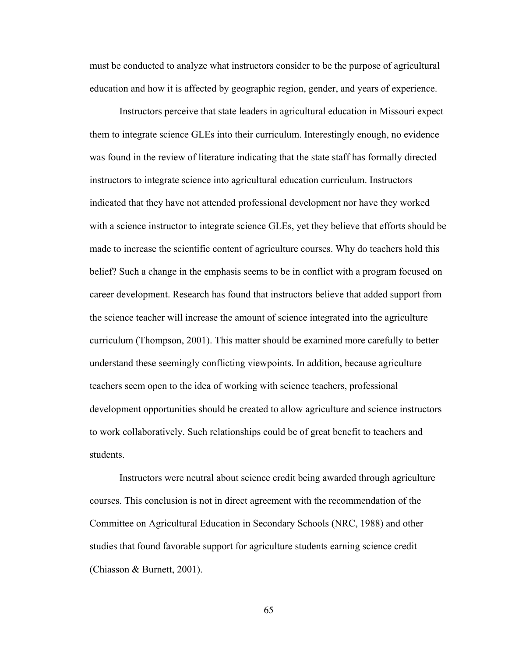must be conducted to analyze what instructors consider to be the purpose of agricultural education and how it is affected by geographic region, gender, and years of experience.

 Instructors perceive that state leaders in agricultural education in Missouri expect them to integrate science GLEs into their curriculum. Interestingly enough, no evidence was found in the review of literature indicating that the state staff has formally directed instructors to integrate science into agricultural education curriculum. Instructors indicated that they have not attended professional development nor have they worked with a science instructor to integrate science GLEs, yet they believe that efforts should be made to increase the scientific content of agriculture courses. Why do teachers hold this belief? Such a change in the emphasis seems to be in conflict with a program focused on career development. Research has found that instructors believe that added support from the science teacher will increase the amount of science integrated into the agriculture curriculum (Thompson, 2001). This matter should be examined more carefully to better understand these seemingly conflicting viewpoints. In addition, because agriculture teachers seem open to the idea of working with science teachers, professional development opportunities should be created to allow agriculture and science instructors to work collaboratively. Such relationships could be of great benefit to teachers and students.

 Instructors were neutral about science credit being awarded through agriculture courses. This conclusion is not in direct agreement with the recommendation of the Committee on Agricultural Education in Secondary Schools (NRC, 1988) and other studies that found favorable support for agriculture students earning science credit (Chiasson & Burnett, 2001).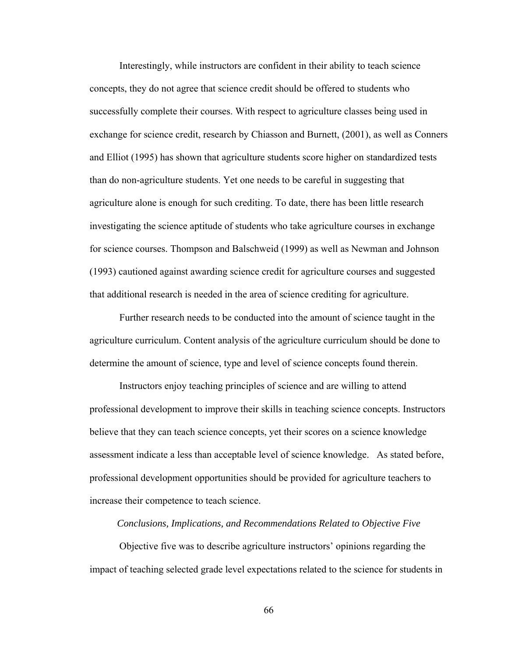Interestingly, while instructors are confident in their ability to teach science concepts, they do not agree that science credit should be offered to students who successfully complete their courses. With respect to agriculture classes being used in exchange for science credit, research by Chiasson and Burnett, (2001), as well as Conners and Elliot (1995) has shown that agriculture students score higher on standardized tests than do non-agriculture students. Yet one needs to be careful in suggesting that agriculture alone is enough for such crediting. To date, there has been little research investigating the science aptitude of students who take agriculture courses in exchange for science courses. Thompson and Balschweid (1999) as well as Newman and Johnson (1993) cautioned against awarding science credit for agriculture courses and suggested that additional research is needed in the area of science crediting for agriculture.

Further research needs to be conducted into the amount of science taught in the agriculture curriculum. Content analysis of the agriculture curriculum should be done to determine the amount of science, type and level of science concepts found therein.

 Instructors enjoy teaching principles of science and are willing to attend professional development to improve their skills in teaching science concepts. Instructors believe that they can teach science concepts, yet their scores on a science knowledge assessment indicate a less than acceptable level of science knowledge. As stated before, professional development opportunities should be provided for agriculture teachers to increase their competence to teach science.

#### *Conclusions, Implications, and Recommendations Related to Objective Five*

Objective five was to describe agriculture instructors' opinions regarding the impact of teaching selected grade level expectations related to the science for students in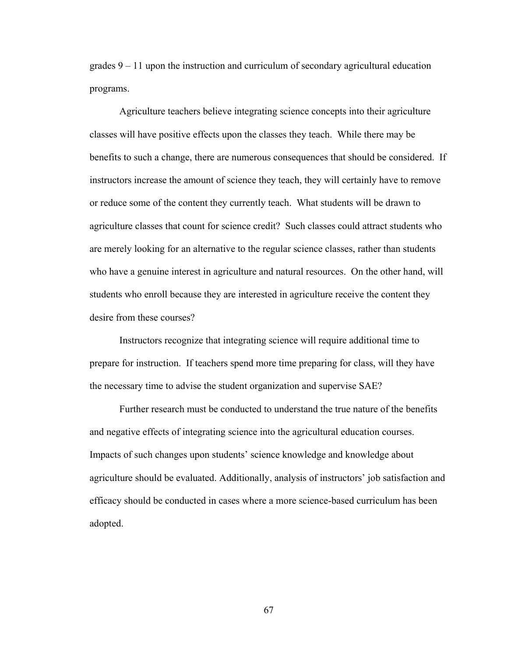grades 9 – 11 upon the instruction and curriculum of secondary agricultural education programs.

 Agriculture teachers believe integrating science concepts into their agriculture classes will have positive effects upon the classes they teach. While there may be benefits to such a change, there are numerous consequences that should be considered. If instructors increase the amount of science they teach, they will certainly have to remove or reduce some of the content they currently teach. What students will be drawn to agriculture classes that count for science credit? Such classes could attract students who are merely looking for an alternative to the regular science classes, rather than students who have a genuine interest in agriculture and natural resources. On the other hand, will students who enroll because they are interested in agriculture receive the content they desire from these courses?

Instructors recognize that integrating science will require additional time to prepare for instruction. If teachers spend more time preparing for class, will they have the necessary time to advise the student organization and supervise SAE?

Further research must be conducted to understand the true nature of the benefits and negative effects of integrating science into the agricultural education courses. Impacts of such changes upon students' science knowledge and knowledge about agriculture should be evaluated. Additionally, analysis of instructors' job satisfaction and efficacy should be conducted in cases where a more science-based curriculum has been adopted.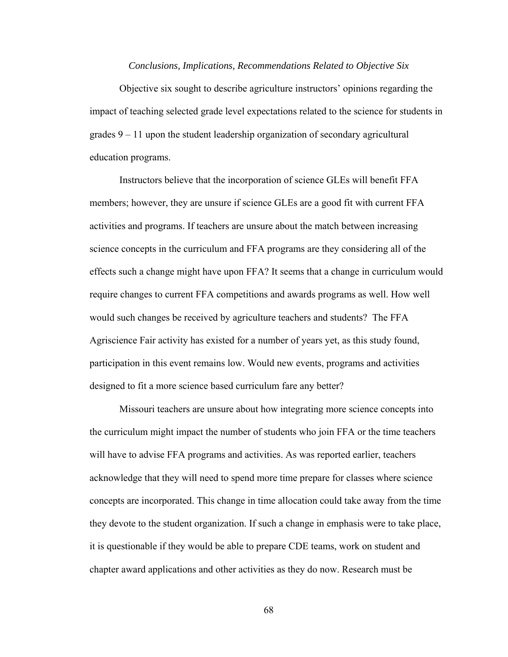#### *Conclusions, Implications, Recommendations Related to Objective Six*

Objective six sought to describe agriculture instructors' opinions regarding the impact of teaching selected grade level expectations related to the science for students in grades 9 – 11 upon the student leadership organization of secondary agricultural education programs.

Instructors believe that the incorporation of science GLEs will benefit FFA members; however, they are unsure if science GLEs are a good fit with current FFA activities and programs. If teachers are unsure about the match between increasing science concepts in the curriculum and FFA programs are they considering all of the effects such a change might have upon FFA? It seems that a change in curriculum would require changes to current FFA competitions and awards programs as well. How well would such changes be received by agriculture teachers and students? The FFA Agriscience Fair activity has existed for a number of years yet, as this study found, participation in this event remains low. Would new events, programs and activities designed to fit a more science based curriculum fare any better?

Missouri teachers are unsure about how integrating more science concepts into the curriculum might impact the number of students who join FFA or the time teachers will have to advise FFA programs and activities. As was reported earlier, teachers acknowledge that they will need to spend more time prepare for classes where science concepts are incorporated. This change in time allocation could take away from the time they devote to the student organization. If such a change in emphasis were to take place, it is questionable if they would be able to prepare CDE teams, work on student and chapter award applications and other activities as they do now. Research must be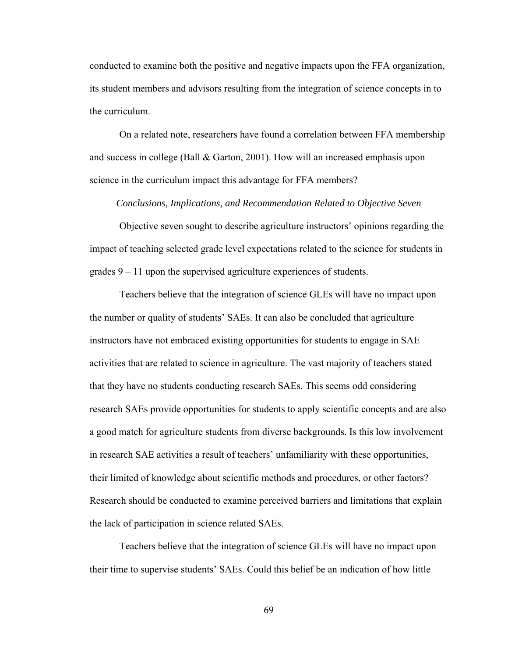conducted to examine both the positive and negative impacts upon the FFA organization, its student members and advisors resulting from the integration of science concepts in to the curriculum.

On a related note, researchers have found a correlation between FFA membership and success in college (Ball & Garton, 2001). How will an increased emphasis upon science in the curriculum impact this advantage for FFA members?

*Conclusions, Implications, and Recommendation Related to Objective Seven* 

Objective seven sought to describe agriculture instructors' opinions regarding the impact of teaching selected grade level expectations related to the science for students in grades 9 – 11 upon the supervised agriculture experiences of students.

 Teachers believe that the integration of science GLEs will have no impact upon the number or quality of students' SAEs. It can also be concluded that agriculture instructors have not embraced existing opportunities for students to engage in SAE activities that are related to science in agriculture. The vast majority of teachers stated that they have no students conducting research SAEs. This seems odd considering research SAEs provide opportunities for students to apply scientific concepts and are also a good match for agriculture students from diverse backgrounds. Is this low involvement in research SAE activities a result of teachers' unfamiliarity with these opportunities, their limited of knowledge about scientific methods and procedures, or other factors? Research should be conducted to examine perceived barriers and limitations that explain the lack of participation in science related SAEs.

Teachers believe that the integration of science GLEs will have no impact upon their time to supervise students' SAEs. Could this belief be an indication of how little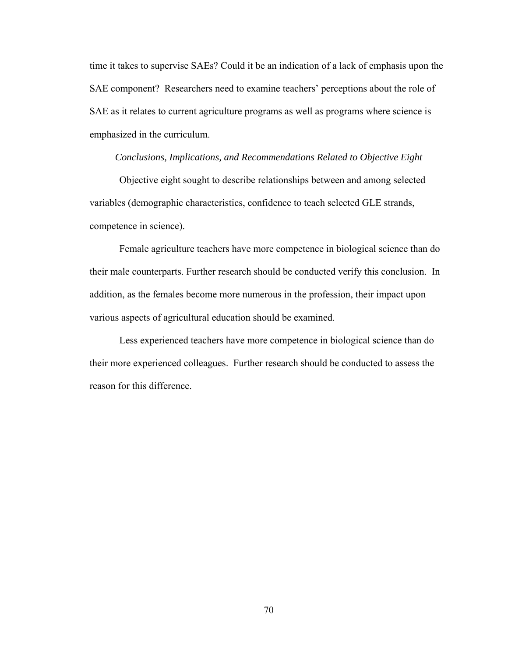time it takes to supervise SAEs? Could it be an indication of a lack of emphasis upon the SAE component? Researchers need to examine teachers' perceptions about the role of SAE as it relates to current agriculture programs as well as programs where science is emphasized in the curriculum.

#### *Conclusions, Implications, and Recommendations Related to Objective Eight*

Objective eight sought to describe relationships between and among selected variables (demographic characteristics, confidence to teach selected GLE strands, competence in science).

Female agriculture teachers have more competence in biological science than do their male counterparts. Further research should be conducted verify this conclusion. In addition, as the females become more numerous in the profession, their impact upon various aspects of agricultural education should be examined.

Less experienced teachers have more competence in biological science than do their more experienced colleagues. Further research should be conducted to assess the reason for this difference.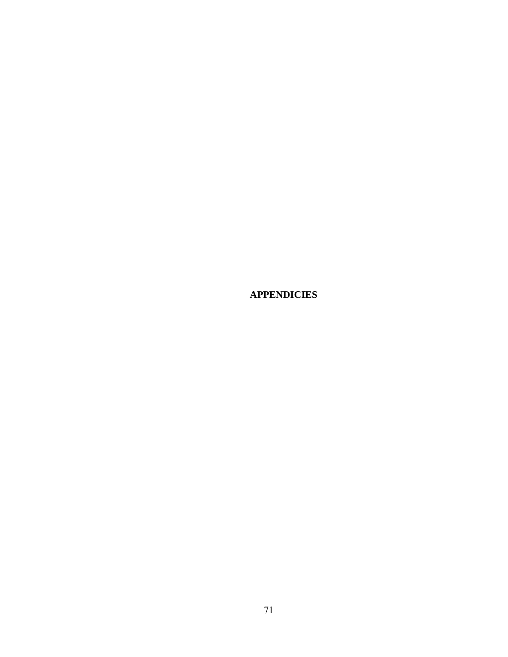**APPENDICIES**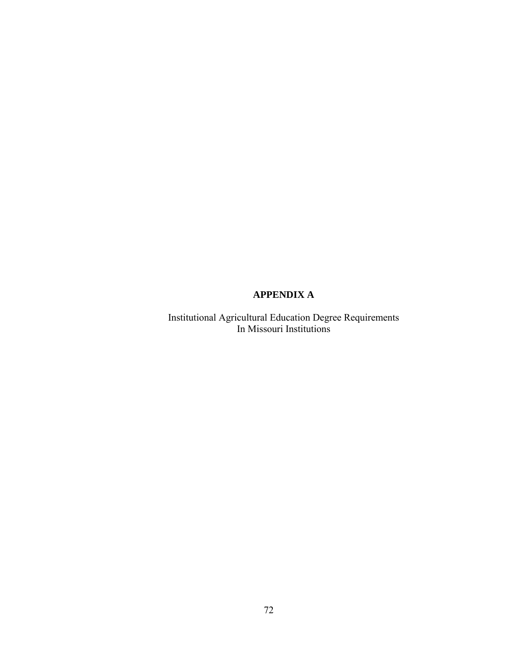# **APPENDIX A**

Institutional Agricultural Education Degree Requirements In Missouri Institutions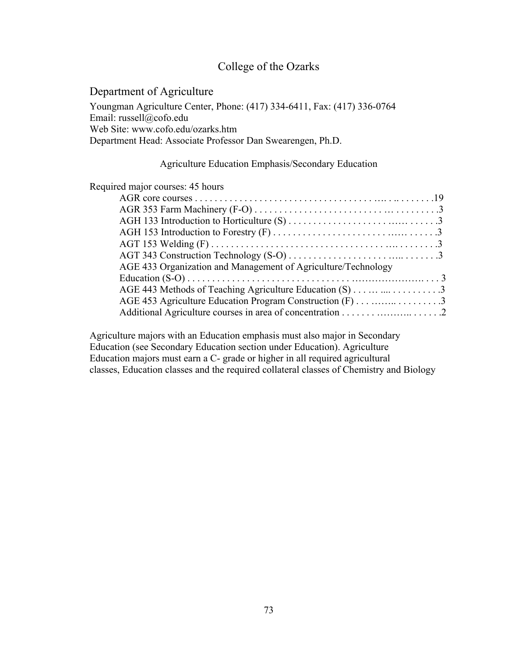# College of the Ozarks

Department of Agriculture Youngman Agriculture Center, Phone: (417) 334-6411, Fax: (417) 336-0764 Email: russell@cofo.edu Web Site: www.cofo.edu/ozarks.htm Department Head: Associate Professor Dan Swearengen, Ph.D.

### Agriculture Education Emphasis/Secondary Education

### Required major courses: 45 hours

| AGE 433 Organization and Management of Agriculture/Technology |  |
|---------------------------------------------------------------|--|
|                                                               |  |
|                                                               |  |
|                                                               |  |
|                                                               |  |

Agriculture majors with an Education emphasis must also major in Secondary Education (see Secondary Education section under Education). Agriculture Education majors must earn a C- grade or higher in all required agricultural classes, Education classes and the required collateral classes of Chemistry and Biology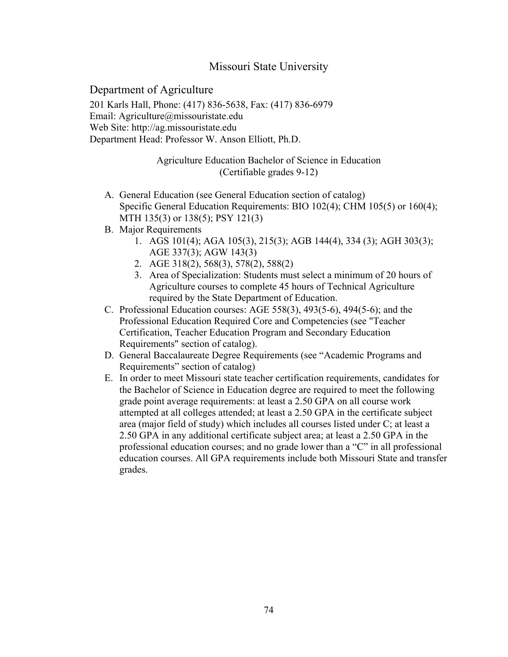# Missouri State University

Department of Agriculture 201 Karls Hall, Phone: (417) 836-5638, Fax: (417) 836-6979 Email: Agriculture@missouristate.edu Web Site: http://ag.missouristate.edu Department Head: Professor W. Anson Elliott, Ph.D.

## Agriculture Education Bachelor of Science in Education (Certifiable grades 9-12)

- A. General Education (see General Education section of catalog) Specific General Education Requirements: BIO 102(4); CHM 105(5) or 160(4); MTH 135(3) or 138(5); PSY 121(3)
- B. Major Requirements
	- 1. AGS 101(4); AGA 105(3), 215(3); AGB 144(4), 334 (3); AGH 303(3); AGE 337(3); AGW 143(3)
	- 2. AGE 318(2), 568(3), 578(2), 588(2)
	- 3. Area of Specialization: Students must select a minimum of 20 hours of Agriculture courses to complete 45 hours of Technical Agriculture required by the State Department of Education.
- C. Professional Education courses: AGE 558(3), 493(5-6), 494(5-6); and the Professional Education Required Core and Competencies (see "Teacher Certification, Teacher Education Program and Secondary Education Requirements" section of catalog).
- D. General Baccalaureate Degree Requirements (see "Academic Programs and Requirements" section of catalog)
- E. In order to meet Missouri state teacher certification requirements, candidates for the Bachelor of Science in Education degree are required to meet the following grade point average requirements: at least a 2.50 GPA on all course work attempted at all colleges attended; at least a 2.50 GPA in the certificate subject area (major field of study) which includes all courses listed under C; at least a 2.50 GPA in any additional certificate subject area; at least a 2.50 GPA in the professional education courses; and no grade lower than a "C" in all professional education courses. All GPA requirements include both Missouri State and transfer grades.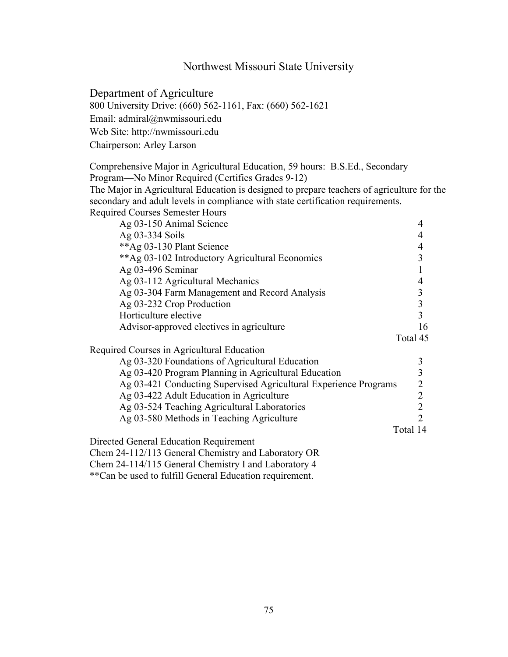# Northwest Missouri State University

Department of Agriculture

800 University Drive: (660) 562-1161, Fax: (660) 562-1621

Email: admiral@nwmissouri.edu

Web Site: http://nwmissouri.edu Chairperson: Arley Larson

Comprehensive Major in Agricultural Education, 59 hours: B.S.Ed., Secondary Program—No Minor Required (Certifies Grades 9-12) The Major in Agricultural Education is designed to prepare teachers of agriculture for the

secondary and adult levels in compliance with state certification requirements. Required Courses Semester Hours

| Ag 03-150 Animal Science                                         | 4                       |
|------------------------------------------------------------------|-------------------------|
| Ag 03-334 Soils                                                  | 4                       |
| **Ag 03-130 Plant Science                                        | 4                       |
| ** Ag 03-102 Introductory Agricultural Economics                 | 3                       |
| Ag 03-496 Seminar                                                | 1                       |
| Ag 03-112 Agricultural Mechanics                                 | 4                       |
| Ag 03-304 Farm Management and Record Analysis                    | 3                       |
| Ag 03-232 Crop Production                                        | $\overline{\mathbf{3}}$ |
| Horticulture elective                                            | $\overline{3}$          |
| Advisor-approved electives in agriculture                        | 16                      |
|                                                                  | Total 45                |
| Required Courses in Agricultural Education                       |                         |
| Ag 03-320 Foundations of Agricultural Education                  | 3                       |
| Ag 03-420 Program Planning in Agricultural Education             | 3                       |
| Ag 03-421 Conducting Supervised Agricultural Experience Programs | $\overline{2}$          |
| Ag 03-422 Adult Education in Agriculture                         | $\overline{2}$          |
| Ag 03-524 Teaching Agricultural Laboratories                     | $\overline{2}$          |
| Ag 03-580 Methods in Teaching Agriculture                        | 2                       |
|                                                                  | Total 14                |
| Directed General Education Requirement                           |                         |
| Chem 24-112/113 General Chemistry and Laboratory OR              |                         |
| Chem 24-114/115 General Chemistry I and Laboratory 4             |                         |

\*\*Can be used to fulfill General Education requirement.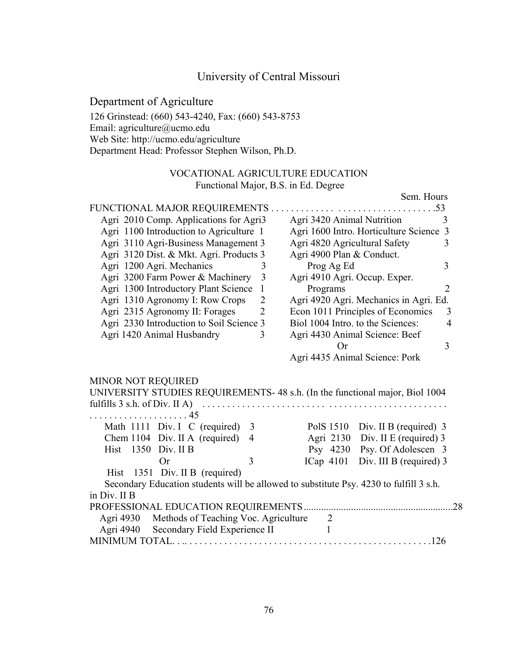# University of Central Missouri

# Department of Agriculture

126 Grinstead: (660) 543-4240, Fax: (660) 543-8753 Email: agriculture@ucmo.edu Web Site: http://ucmo.edu/agriculture Department Head: Professor Stephen Wilson, Ph.D.

## VOCATIONAL AGRICULTURE EDUCATION Functional Major, B.S. in Ed. Degree

Sem. Hours

| Agri 2010 Comp. Applications for Agri3                                                                         | Agri 3420 Animal Nutrition<br>3                                                                                   |  |  |
|----------------------------------------------------------------------------------------------------------------|-------------------------------------------------------------------------------------------------------------------|--|--|
| Agri 1100 Introduction to Agriculture 1                                                                        | Agri 1600 Intro. Horticulture Science 3                                                                           |  |  |
| Agri 3110 Agri-Business Management 3                                                                           | Agri 4820 Agricultural Safety                                                                                     |  |  |
| Agri 3120 Dist. & Mkt. Agri. Products 3                                                                        | Agri 4900 Plan & Conduct.                                                                                         |  |  |
| Agri 1200 Agri. Mechanics<br>3                                                                                 | 3<br>Prog Ag Ed                                                                                                   |  |  |
| Agri 3200 Farm Power & Machinery<br>$\overline{3}$                                                             | Agri 4910 Agri. Occup. Exper.                                                                                     |  |  |
| Agri 1300 Introductory Plant Science<br>$\mathbf{1}$                                                           | Programs<br>$\overline{2}$                                                                                        |  |  |
| Agri 1310 Agronomy I: Row Crops<br>$\overline{2}$                                                              | Agri 4920 Agri. Mechanics in Agri. Ed.<br>Econ 1011 Principles of Economics<br>Biol 1004 Intro. to the Sciences:  |  |  |
| Agri 2315 Agronomy II: Forages<br>$\overline{2}$                                                               |                                                                                                                   |  |  |
| Agri 2330 Introduction to Soil Science 3                                                                       |                                                                                                                   |  |  |
| Agri 1420 Animal Husbandry<br>3                                                                                | Agri 4430 Animal Science: Beef                                                                                    |  |  |
|                                                                                                                | <b>Or</b>                                                                                                         |  |  |
|                                                                                                                |                                                                                                                   |  |  |
|                                                                                                                | Agri 4435 Animal Science: Pork                                                                                    |  |  |
|                                                                                                                |                                                                                                                   |  |  |
| $\ldots$ 45                                                                                                    |                                                                                                                   |  |  |
| Math 1111 Div. I C (required) 3                                                                                |                                                                                                                   |  |  |
| Chem 1104 Div. II A (required) 4                                                                               | Agri 2130                                                                                                         |  |  |
| .<br>Hist 1350 Div. II B<br>3<br>Or                                                                            | Psy 4230                                                                                                          |  |  |
|                                                                                                                | ICap $4101$                                                                                                       |  |  |
| UNIVERSITY STUDIES REQUIREMENTS- 48 s.h. (In the functional major, Biol 1004<br>Hist 1351 Div. II B (required) |                                                                                                                   |  |  |
| Secondary Education students will be allowed to substitute Psy. 4230 to fulfill 3 s.h.                         |                                                                                                                   |  |  |
| MINOR NOT REQUIRED<br>in Div. II B                                                                             |                                                                                                                   |  |  |
| Methods of Teaching Voc. Agriculture<br>Agri 4930                                                              | 2                                                                                                                 |  |  |
| Agri 4940<br>Secondary Field Experience II                                                                     | PolS 1510 Div. II B (required) 3<br>Div. II E (required) 3<br>Psy. Of Adolescen 3<br>Div. III B (required) 3<br>1 |  |  |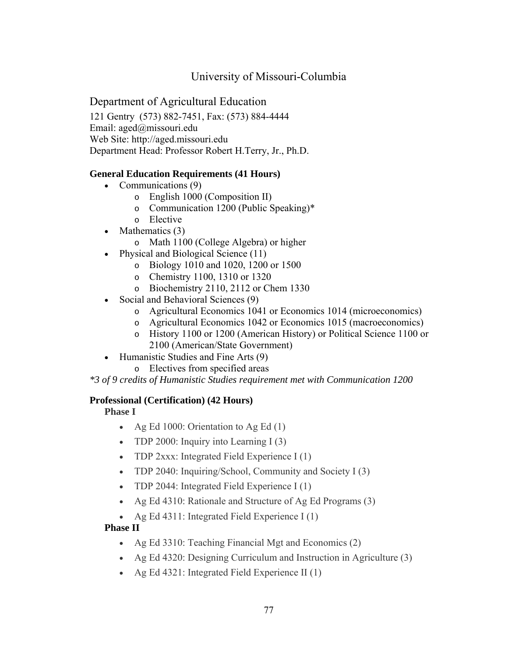# University of Missouri-Columbia

# Department of Agricultural Education

121 Gentry (573) 882-7451, Fax: (573) 884-4444 Email: aged@missouri.edu Web Site: http://aged.missouri.edu Department Head: Professor Robert H.Terry, Jr., Ph.D.

## **General Education Requirements (41 Hours)**

- Communications (9)
	- o English 1000 (Composition II)
	- o Communication 1200 (Public Speaking)\*
	- o Elective
- Mathematics (3)
	- o Math 1100 (College Algebra) or higher
- Physical and Biological Science (11)
	- o Biology 1010 and 1020, 1200 or 1500
	- o Chemistry 1100, 1310 or 1320
	- o Biochemistry 2110, 2112 or Chem 1330
- Social and Behavioral Sciences (9)
	- o Agricultural Economics 1041 or Economics 1014 (microeconomics)
	- o Agricultural Economics 1042 or Economics 1015 (macroeconomics)
	- o History 1100 or 1200 (American History) or Political Science 1100 or 2100 (American/State Government)
- Humanistic Studies and Fine Arts (9)
	- o Electives from specified areas

*\*3 of 9 credits of Humanistic Studies requirement met with Communication 1200* 

## **Professional (Certification) (42 Hours)**

## **Phase I**

- Ag Ed 1000: Orientation to Ag Ed  $(1)$
- TDP 2000: Inquiry into Learning I (3)
- TDP 2xxx: Integrated Field Experience I (1)
- TDP 2040: Inquiring/School, Community and Society I (3)
- TDP 2044: Integrated Field Experience I (1)
- Ag Ed 4310: Rationale and Structure of Ag Ed Programs (3)
- Ag Ed 4311: Integrated Field Experience I (1)

# **Phase II**

- Ag Ed 3310: Teaching Financial Mgt and Economics (2)
- Ag Ed 4320: Designing Curriculum and Instruction in Agriculture (3)
- Ag Ed 4321: Integrated Field Experience II (1)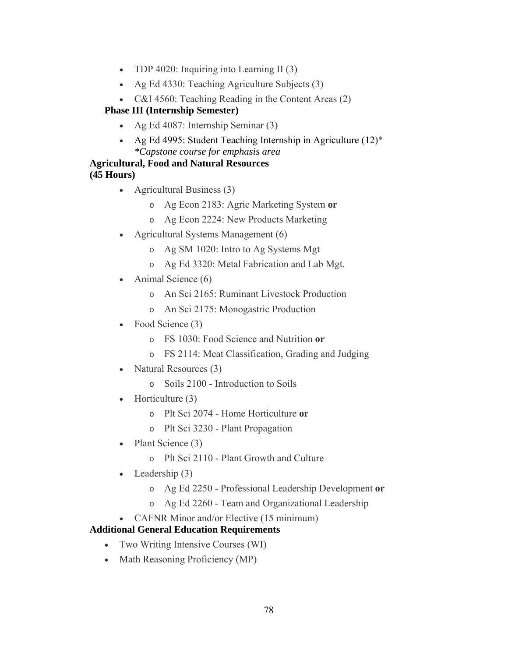- TDP 4020: Inquiring into Learning II (3)
- Ag Ed 4330: Teaching Agriculture Subjects (3)
- C&I 4560: Teaching Reading in the Content Areas (2)

## **Phase III (Internship Semester)**

- Ag Ed 4087: Internship Seminar (3)
- Ag Ed 4995: Student Teaching Internship in Agriculture (12)\* *\*Capstone course for emphasis area*

## **Agricultural, Food and Natural Resources (45 Hours)**

- Agricultural Business (3)
	- o Ag Econ 2183: Agric Marketing System **or**
	- o Ag Econ 2224: New Products Marketing
- Agricultural Systems Management (6)
	- o Ag SM 1020: Intro to Ag Systems Mgt
	- o Ag Ed 3320: Metal Fabrication and Lab Mgt.
- Animal Science (6)
	- o An Sci 2165: Ruminant Livestock Production
	- o An Sci 2175: Monogastric Production
- Food Science (3)
	- o FS 1030: Food Science and Nutrition **or**
	- o FS 2114: Meat Classification, Grading and Judging
- Natural Resources (3)
	- o Soils 2100 Introduction to Soils
- Horticulture (3)
	- o Plt Sci 2074 Home Horticulture **or**
	- o Plt Sci 3230 Plant Propagation
- Plant Science (3)
	- o Plt Sci 2110 Plant Growth and Culture
- Leadership (3)
	- o Ag Ed 2250 Professional Leadership Development **or**
	- o Ag Ed 2260 Team and Organizational Leadership
- CAFNR Minor and/or Elective (15 minimum)

## **Additional General Education Requirements**

- Two Writing Intensive Courses (WI)
- Math Reasoning Proficiency (MP)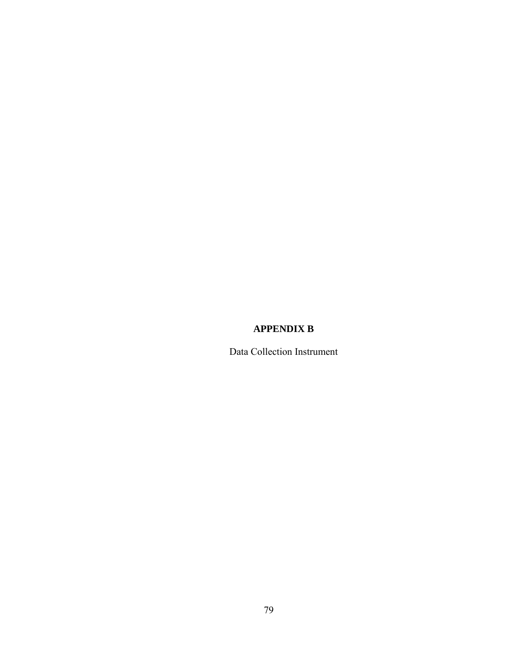# **APPENDIX B**

Data Collection Instrument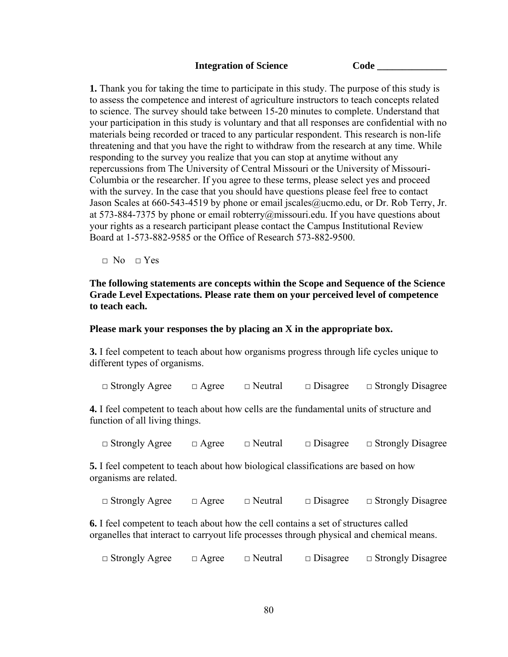#### **Integration of Science Code**

**1.** Thank you for taking the time to participate in this study. The purpose of this study is to assess the competence and interest of agriculture instructors to teach concepts related to science. The survey should take between 15-20 minutes to complete. Understand that your participation in this study is voluntary and that all responses are confidential with no materials being recorded or traced to any particular respondent. This research is non-life threatening and that you have the right to withdraw from the research at any time. While responding to the survey you realize that you can stop at anytime without any repercussions from The University of Central Missouri or the University of Missouri-Columbia or the researcher. If you agree to these terms, please select yes and proceed with the survey. In the case that you should have questions please feel free to contact Jason Scales at 660-543-4519 by phone or email jscales@ucmo.edu, or Dr. Rob Terry, Jr. at 573-884-7375 by phone or email robterry@missouri.edu. If you have questions about your rights as a research participant please contact the Campus Institutional Review Board at 1-573-882-9585 or the Office of Research 573-882-9500.

 $\Box$  No  $\Box$  Yes

### **The following statements are concepts within the Scope and Sequence of the Science Grade Level Expectations. Please rate them on your perceived level of competence to teach each.**

#### **Please mark your responses the by placing an X in the appropriate box.**

**3.** I feel competent to teach about how organisms progress through life cycles unique to different types of organisms.

□ Strongly Agree □ Agree □ Neutral □ Disagree □ Strongly Disagree

**4.** I feel competent to teach about how cells are the fundamental units of structure and function of all living things.

□ Strongly Agree □ Agree □ Neutral □ Disagree □ Strongly Disagree

**5.** I feel competent to teach about how biological classifications are based on how organisms are related.

□ Strongly Agree □ Agree □ Neutral □ Disagree □ Strongly Disagree

**6.** I feel competent to teach about how the cell contains a set of structures called organelles that interact to carryout life processes through physical and chemical means.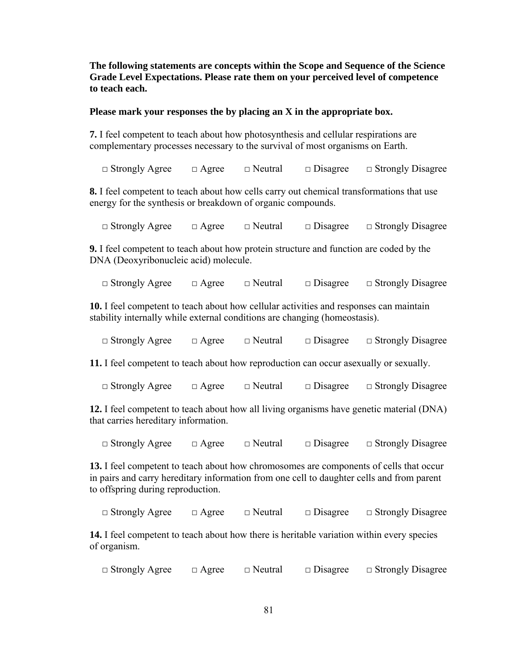**The following statements are concepts within the Scope and Sequence of the Science Grade Level Expectations. Please rate them on your perceived level of competence to teach each.** 

### **Please mark your responses the by placing an X in the appropriate box.**

**7.** I feel competent to teach about how photosynthesis and cellular respirations are complementary processes necessary to the survival of most organisms on Earth.

□ Strongly Agree □ Agree □ Neutral □ Disagree □ Strongly Disagree

**8.** I feel competent to teach about how cells carry out chemical transformations that use energy for the synthesis or breakdown of organic compounds.

□ Strongly Agree □ Agree □ Neutral □ Disagree □ Strongly Disagree

**9.** I feel competent to teach about how protein structure and function are coded by the DNA (Deoxyribonucleic acid) molecule.

□ Strongly Agree □ Agree □ Neutral □ Disagree □ Strongly Disagree

**10.** I feel competent to teach about how cellular activities and responses can maintain stability internally while external conditions are changing (homeostasis).

| $\Box$ Strongly Agree | $\Box$ Agree | $\Box$ Neutral | $\Box$ Disagree | $\Box$ Strongly Disagree |
|-----------------------|--------------|----------------|-----------------|--------------------------|
|                       |              |                |                 |                          |

**11.** I feel competent to teach about how reproduction can occur as exually or sexually.

□ Strongly Agree □ Agree □ Neutral □ Disagree □ Strongly Disagree

**12.** I feel competent to teach about how all living organisms have genetic material (DNA) that carries hereditary information.

□ Strongly Agree □ Agree □ Neutral □ Disagree □ Strongly Disagree

**13.** I feel competent to teach about how chromosomes are components of cells that occur in pairs and carry hereditary information from one cell to daughter cells and from parent to offspring during reproduction.

□ Strongly Agree □ Agree □ Neutral □ Disagree □ Strongly Disagree

**14.** I feel competent to teach about how there is heritable variation within every species of organism.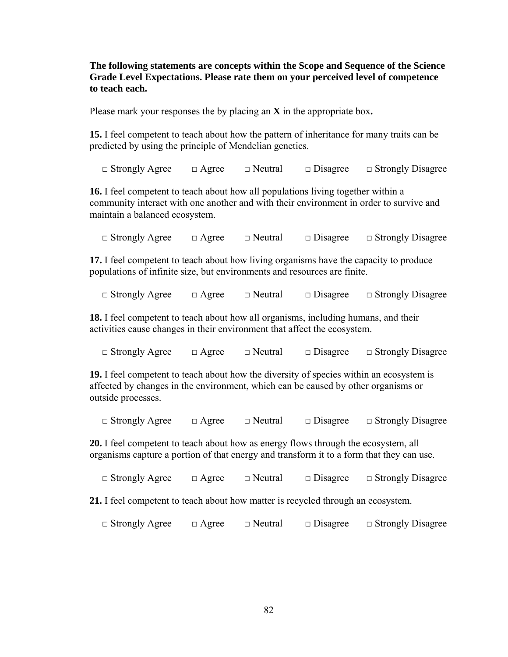**The following statements are concepts within the Scope and Sequence of the Science Grade Level Expectations. Please rate them on your perceived level of competence to teach each.** 

Please mark your responses the by placing an **X** in the appropriate box**.** 

**15.** I feel competent to teach about how the pattern of inheritance for many traits can be predicted by using the principle of Mendelian genetics.

□ Strongly Agree □ Agree □ Neutral □ Disagree □ Strongly Disagree

**16.** I feel competent to teach about how all populations living together within a community interact with one another and with their environment in order to survive and maintain a balanced ecosystem.

□ Strongly Agree □ Agree □ Neutral □ Disagree □ Strongly Disagree

**17.** I feel competent to teach about how living organisms have the capacity to produce populations of infinite size, but environments and resources are finite.

□ Strongly Agree □ Agree □ Neutral □ Disagree □ Strongly Disagree

**18.** I feel competent to teach about how all organisms, including humans, and their activities cause changes in their environment that affect the ecosystem.

□ Strongly Agree □ Agree □ Neutral □ Disagree □ Strongly Disagree

**19.** I feel competent to teach about how the diversity of species within an ecosystem is affected by changes in the environment, which can be caused by other organisms or outside processes.

□ Strongly Agree □ Agree □ Neutral □ Disagree □ Strongly Disagree

**20.** I feel competent to teach about how as energy flows through the ecosystem, all organisms capture a portion of that energy and transform it to a form that they can use.

□ Strongly Agree □ Agree □ Neutral □ Disagree □ Strongly Disagree

**21.** I feel competent to teach about how matter is recycled through an ecosystem.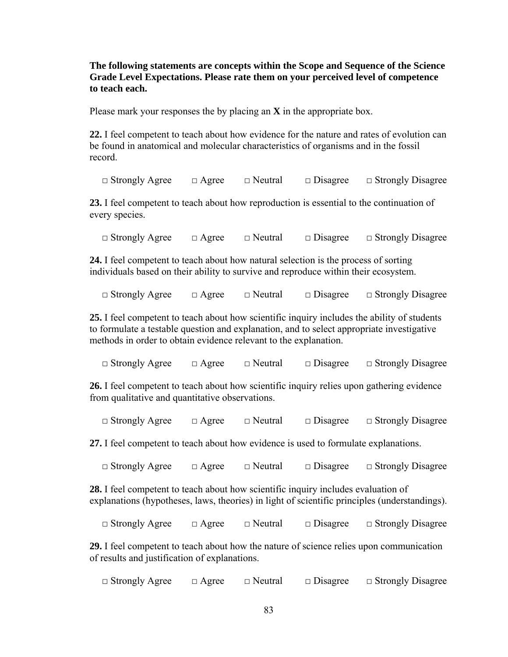**The following statements are concepts within the Scope and Sequence of the Science Grade Level Expectations. Please rate them on your perceived level of competence to teach each.** 

Please mark your responses the by placing an **X** in the appropriate box.

**22.** I feel competent to teach about how evidence for the nature and rates of evolution can be found in anatomical and molecular characteristics of organisms and in the fossil record.

□ Strongly Agree □ Agree □ Neutral □ Disagree □ Strongly Disagree

**23.** I feel competent to teach about how reproduction is essential to the continuation of every species.

□ Strongly Agree □ Agree □ Neutral □ Disagree □ Strongly Disagree

**24.** I feel competent to teach about how natural selection is the process of sorting individuals based on their ability to survive and reproduce within their ecosystem.

□ Strongly Agree □ Agree □ Neutral □ Disagree □ Strongly Disagree

**25.** I feel competent to teach about how scientific inquiry includes the ability of students to formulate a testable question and explanation, and to select appropriate investigative methods in order to obtain evidence relevant to the explanation.

□ Strongly Agree □ Agree □ Neutral □ Disagree □ Strongly Disagree

**26.** I feel competent to teach about how scientific inquiry relies upon gathering evidence from qualitative and quantitative observations.

□ Strongly Agree □ Agree □ Neutral □ Disagree □ Strongly Disagree

**27.** I feel competent to teach about how evidence is used to formulate explanations.

□ Strongly Agree □ Agree □ Neutral □ Disagree □ Strongly Disagree

**28.** I feel competent to teach about how scientific inquiry includes evaluation of explanations (hypotheses, laws, theories) in light of scientific principles (understandings).

□ Strongly Agree □ Agree □ Neutral □ Disagree □ Strongly Disagree

**29.** I feel competent to teach about how the nature of science relies upon communication of results and justification of explanations.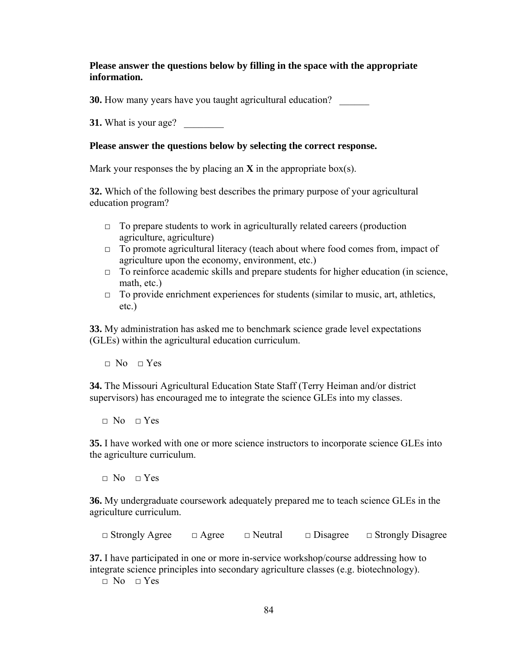### **Please answer the questions below by filling in the space with the appropriate information.**

**30.** How many years have you taught agricultural education?

**31.** What is your age?

### **Please answer the questions below by selecting the correct response.**

Mark your responses the by placing an  $X$  in the appropriate box(s).

**32.** Which of the following best describes the primary purpose of your agricultural education program?

- $\Box$  To prepare students to work in agriculturally related careers (production agriculture, agriculture)
- $\Box$  To promote agricultural literacy (teach about where food comes from, impact of agriculture upon the economy, environment, etc.)
- $\Box$  To reinforce academic skills and prepare students for higher education (in science, math, etc.)
- $\Box$  To provide enrichment experiences for students (similar to music, art, athletics, etc.)

**33.** My administration has asked me to benchmark science grade level expectations (GLEs) within the agricultural education curriculum.

 $\Box$  No  $\Box$  Yes

**34.** The Missouri Agricultural Education State Staff (Terry Heiman and/or district supervisors) has encouraged me to integrate the science GLEs into my classes.

 $\Box$  No  $\Box$  Yes

**35.** I have worked with one or more science instructors to incorporate science GLEs into the agriculture curriculum.

 $\Box$  No  $\Box$  Yes

**36.** My undergraduate coursework adequately prepared me to teach science GLEs in the agriculture curriculum.

□ Strongly Agree □ Agree □ Neutral □ Disagree □ Strongly Disagree

**37.** I have participated in one or more in-service workshop/course addressing how to integrate science principles into secondary agriculture classes (e.g. biotechnology).

 $\Box$  No  $\Box$  Yes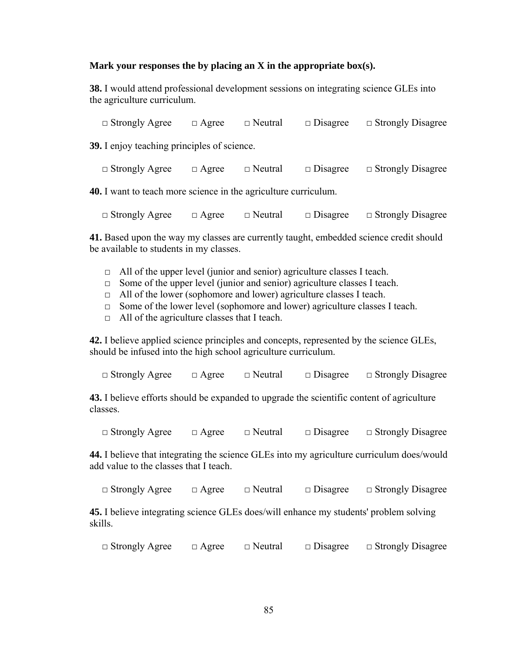### **Mark your responses the by placing an X in the appropriate box(s).**

**38.** I would attend professional development sessions on integrating science GLEs into the agriculture curriculum.

□ Strongly Agree □ Agree □ Neutral □ Disagree □ Strongly Disagree

**39.** I enjoy teaching principles of science.

□ Strongly Agree □ Agree □ Neutral □ Disagree □ Strongly Disagree

**40.** I want to teach more science in the agriculture curriculum.

□ Strongly Agree □ Agree □ Neutral □ Disagree □ Strongly Disagree

**41.** Based upon the way my classes are currently taught, embedded science credit should be available to students in my classes.

- $\Box$  All of the upper level (junior and senior) agriculture classes I teach.
- $\Box$  Some of the upper level (junior and senior) agriculture classes I teach.
- $\Box$  All of the lower (sophomore and lower) agriculture classes I teach.
- $\Box$  Some of the lower level (sophomore and lower) agriculture classes I teach.
- $\Box$  All of the agriculture classes that I teach.

**42.** I believe applied science principles and concepts, represented by the science GLEs, should be infused into the high school agriculture curriculum.

□ Strongly Agree □ Agree □ Neutral □ Disagree □ Strongly Disagree

**43.** I believe efforts should be expanded to upgrade the scientific content of agriculture classes.

□ Strongly Agree □ Agree □ Neutral □ Disagree □ Strongly Disagree

**44.** I believe that integrating the science GLEs into my agriculture curriculum does/would add value to the classes that I teach.

□ Strongly Agree □ Agree □ Neutral □ Disagree □ Strongly Disagree

**45.** I believe integrating science GLEs does/will enhance my students' problem solving skills.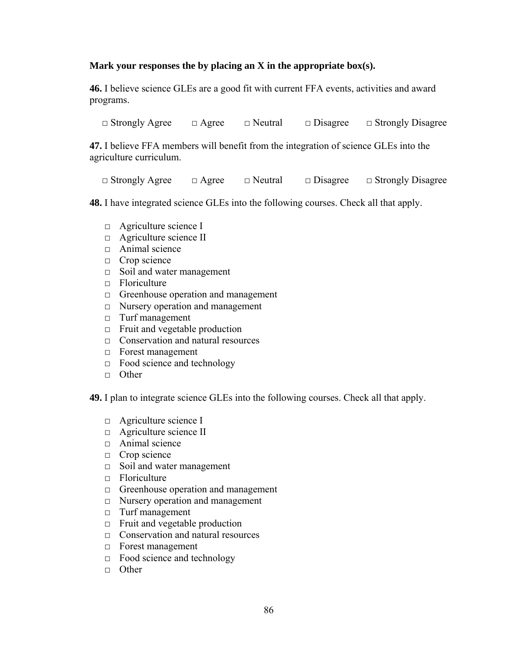### **Mark your responses the by placing an X in the appropriate box(s).**

**46.** I believe science GLEs are a good fit with current FFA events, activities and award programs.

□ Strongly Agree □ Agree □ Neutral □ Disagree □ Strongly Disagree

**47.** I believe FFA members will benefit from the integration of science GLEs into the agriculture curriculum.

□ Strongly Agree □ Agree □ Neutral □ Disagree □ Strongly Disagree

**48.** I have integrated science GLEs into the following courses. Check all that apply.

- □ Agriculture science I
- □ Agriculture science II
- □ Animal science
- □ Crop science
- □ Soil and water management
- $\Box$  Floriculture
- $\Box$  Greenhouse operation and management
- □ Nursery operation and management
- □ Turf management
- $\Box$  Fruit and vegetable production
- □ Conservation and natural resources
- □ Forest management
- $\Box$  Food science and technology
- □ Other

**49.** I plan to integrate science GLEs into the following courses. Check all that apply.

- □ Agriculture science I
- $\Box$  Agriculture science II
- □ Animal science
- □ Crop science
- □ Soil and water management
- □ Floriculture
- □ Greenhouse operation and management
- □ Nursery operation and management
- □ Turf management
- □ Fruit and vegetable production
- □ Conservation and natural resources
- □ Forest management
- $\Box$  Food science and technology
- □ Other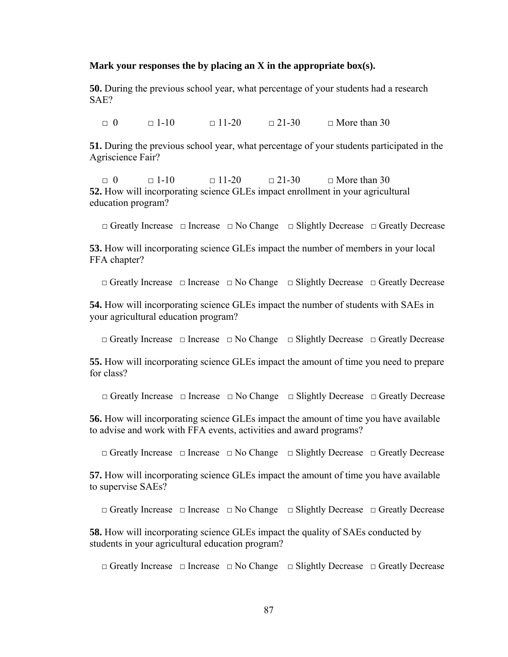#### **Mark your responses the by placing an X in the appropriate box(s).**

**50.** During the previous school year, what percentage of your students had a research SAE?

 $\Box$  0  $\Box$  1-10  $\Box$  11-20  $\Box$  21-30  $\Box$  More than 30

**51.** During the previous school year, what percentage of your students participated in the Agriscience Fair?

 $\Box$  0  $\Box$  1-10  $\Box$  11-20  $\Box$  21-30  $\Box$  More than 30 **52.** How will incorporating science GLEs impact enrollment in your agricultural education program?

□ Greatly Increase □ Increase □ No Change □ Slightly Decrease □ Greatly Decrease

**53.** How will incorporating science GLEs impact the number of members in your local FFA chapter?

□ Greatly Increase □ Increase □ No Change □ Slightly Decrease □ Greatly Decrease

**54.** How will incorporating science GLEs impact the number of students with SAEs in your agricultural education program?

□ Greatly Increase □ Increase □ No Change □ Slightly Decrease □ Greatly Decrease

**55.** How will incorporating science GLEs impact the amount of time you need to prepare for class?

□ Greatly Increase □ Increase □ No Change □ Slightly Decrease □ Greatly Decrease

**56.** How will incorporating science GLEs impact the amount of time you have available to advise and work with FFA events, activities and award programs?

□ Greatly Increase □ Increase □ No Change □ Slightly Decrease □ Greatly Decrease

**57.** How will incorporating science GLEs impact the amount of time you have available to supervise SAEs?

□ Greatly Increase □ Increase □ No Change □ Slightly Decrease □ Greatly Decrease

**58.** How will incorporating science GLEs impact the quality of SAEs conducted by students in your agricultural education program?

□ Greatly Increase □ Increase □ No Change □ Slightly Decrease □ Greatly Decrease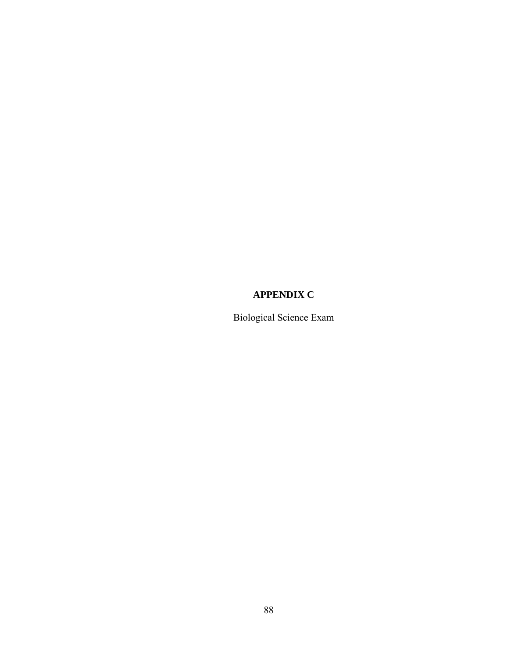# **APPENDIX C**

Biological Science Exam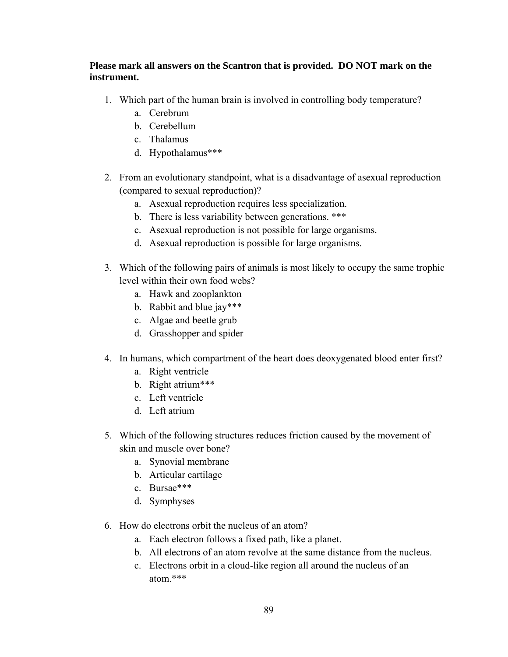## **Please mark all answers on the Scantron that is provided. DO NOT mark on the instrument.**

- 1. Which part of the human brain is involved in controlling body temperature?
	- a. Cerebrum
	- b. Cerebellum
	- c. Thalamus
	- d. Hypothalamus\*\*\*
- 2. From an evolutionary standpoint, what is a disadvantage of asexual reproduction (compared to sexual reproduction)?
	- a. Asexual reproduction requires less specialization.
	- b. There is less variability between generations. \*\*\*
	- c. Asexual reproduction is not possible for large organisms.
	- d. Asexual reproduction is possible for large organisms.
- 3. Which of the following pairs of animals is most likely to occupy the same trophic level within their own food webs?
	- a. Hawk and zooplankton
	- b. Rabbit and blue jay\*\*\*
	- c. Algae and beetle grub
	- d. Grasshopper and spider
- 4. In humans, which compartment of the heart does deoxygenated blood enter first?
	- a. Right ventricle
	- b. Right atrium\*\*\*
	- c. Left ventricle
	- d. Left atrium
- 5. Which of the following structures reduces friction caused by the movement of skin and muscle over bone?
	- a. Synovial membrane
	- b. Articular cartilage
	- c. Bursae\*\*\*
	- d. Symphyses
- 6. How do electrons orbit the nucleus of an atom?
	- a. Each electron follows a fixed path, like a planet.
	- b. All electrons of an atom revolve at the same distance from the nucleus.
	- c. Electrons orbit in a cloud-like region all around the nucleus of an atom.\*\*\*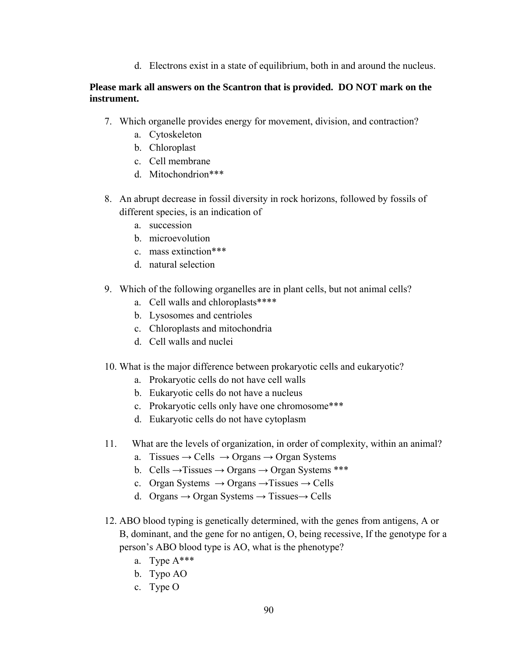d. Electrons exist in a state of equilibrium, both in and around the nucleus.

## **Please mark all answers on the Scantron that is provided. DO NOT mark on the instrument.**

- 7. Which organelle provides energy for movement, division, and contraction?
	- a. Cytoskeleton
	- b. Chloroplast
	- c. Cell membrane
	- d. Mitochondrion\*\*\*
- 8. An abrupt decrease in fossil diversity in rock horizons, followed by fossils of different species, is an indication of
	- a. succession
	- b. microevolution
	- c. mass extinction\*\*\*
	- d. natural selection
- 9. Which of the following organelles are in plant cells, but not animal cells?
	- a. Cell walls and chloroplasts\*\*\*\*
	- b. Lysosomes and centrioles
	- c. Chloroplasts and mitochondria
	- d. Cell walls and nuclei
- 10. What is the major difference between prokaryotic cells and eukaryotic?
	- a. Prokaryotic cells do not have cell walls
	- b. Eukaryotic cells do not have a nucleus
	- c. Prokaryotic cells only have one chromosome\*\*\*
	- d. Eukaryotic cells do not have cytoplasm
- 11. What are the levels of organization, in order of complexity, within an animal?
	- a. Tissues  $\rightarrow$  Cells  $\rightarrow$  Organs  $\rightarrow$  Organ Systems
	- b. Cells  $\rightarrow$  Tissues  $\rightarrow$  Organs  $\rightarrow$  Organ Systems \*\*\*
	- c. Organ Systems  $\rightarrow$  Organs  $\rightarrow$  Tissues  $\rightarrow$  Cells
	- d. Organs  $\rightarrow$  Organ Systems  $\rightarrow$  Tissues  $\rightarrow$  Cells
- 12. ABO blood typing is genetically determined, with the genes from antigens, A or B, dominant, and the gene for no antigen, O, being recessive, If the genotype for a person's ABO blood type is AO, what is the phenotype?
	- a. Type A\*\*\*
	- b. Typo AO
	- c. Type O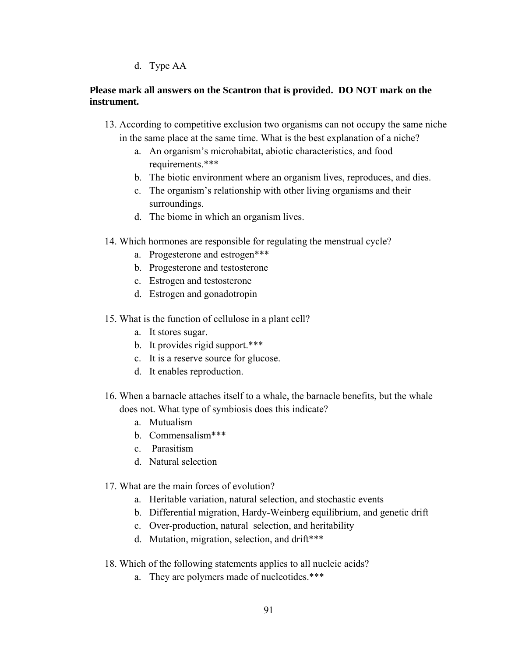d. Type AA

## **Please mark all answers on the Scantron that is provided. DO NOT mark on the instrument.**

- 13. According to competitive exclusion two organisms can not occupy the same niche in the same place at the same time. What is the best explanation of a niche?
	- a. An organism's microhabitat, abiotic characteristics, and food requirements.\*\*\*
	- b. The biotic environment where an organism lives, reproduces, and dies.
	- c. The organism's relationship with other living organisms and their surroundings.
	- d. The biome in which an organism lives.
- 14. Which hormones are responsible for regulating the menstrual cycle?
	- a. Progesterone and estrogen\*\*\*
	- b. Progesterone and testosterone
	- c. Estrogen and testosterone
	- d. Estrogen and gonadotropin
- 15. What is the function of cellulose in a plant cell?
	- a. It stores sugar.
	- b. It provides rigid support.\*\*\*
	- c. It is a reserve source for glucose.
	- d. It enables reproduction.
- 16. When a barnacle attaches itself to a whale, the barnacle benefits, but the whale does not. What type of symbiosis does this indicate?
	- a. Mutualism
	- b. Commensalism\*\*\*
	- c. Parasitism
	- d. Natural selection
- 17. What are the main forces of evolution?
	- a. Heritable variation, natural selection, and stochastic events
	- b. Differential migration, Hardy-Weinberg equilibrium, and genetic drift
	- c. Over-production, natural selection, and heritability
	- d. Mutation, migration, selection, and drift\*\*\*
- 18. Which of the following statements applies to all nucleic acids?
	- a. They are polymers made of nucleotides.\*\*\*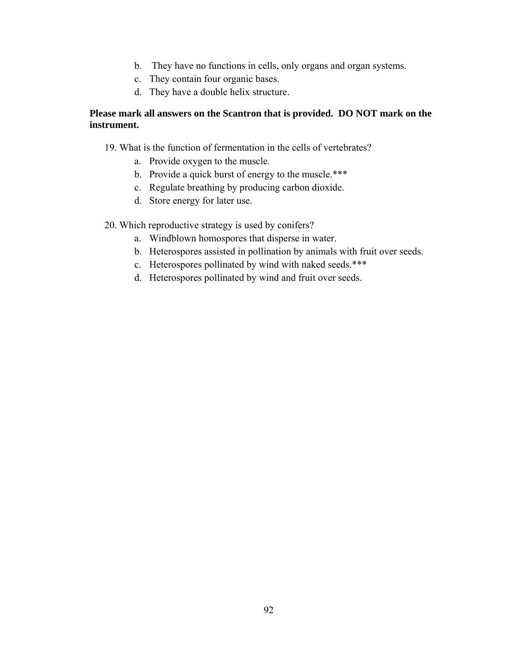- b. They have no functions in cells, only organs and organ systems.
- c. They contain four organic bases.
- d. They have a double helix structure.

### **Please mark all answers on the Scantron that is provided. DO NOT mark on the instrument.**

- 19. What is the function of fermentation in the cells of vertebrates?
	- a. Provide oxygen to the muscle.
	- b. Provide a quick burst of energy to the muscle.\*\*\*
	- c. Regulate breathing by producing carbon dioxide.
	- d. Store energy for later use.

### 20. Which reproductive strategy is used by conifers?

- a. Windblown homospores that disperse in water.
- b. Heterospores assisted in pollination by animals with fruit over seeds.
- c. Heterospores pollinated by wind with naked seeds.\*\*\*
- d. Heterospores pollinated by wind and fruit over seeds.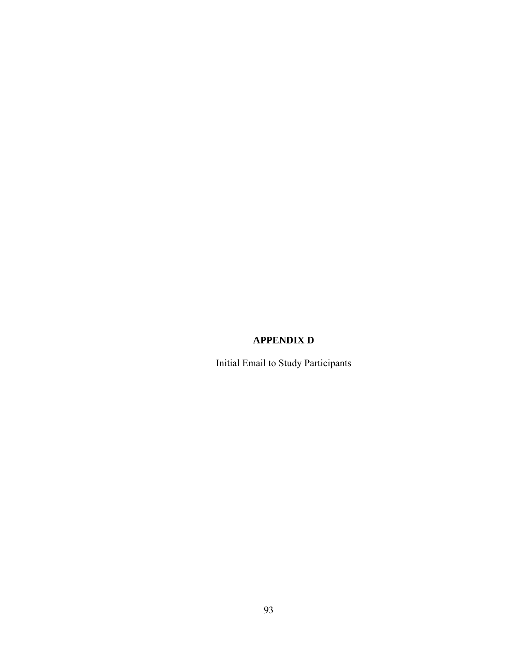# **APPENDIX D**

Initial Email to Study Participants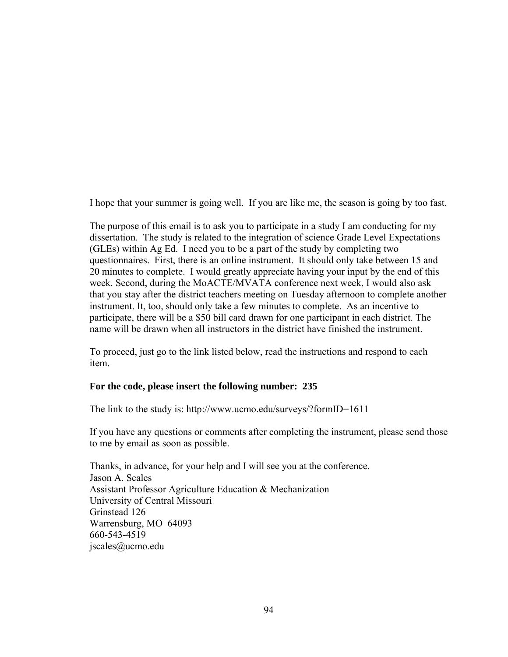I hope that your summer is going well. If you are like me, the season is going by too fast.

The purpose of this email is to ask you to participate in a study I am conducting for my dissertation. The study is related to the integration of science Grade Level Expectations (GLEs) within Ag Ed. I need you to be a part of the study by completing two questionnaires. First, there is an online instrument. It should only take between 15 and 20 minutes to complete. I would greatly appreciate having your input by the end of this week. Second, during the MoACTE/MVATA conference next week, I would also ask that you stay after the district teachers meeting on Tuesday afternoon to complete another instrument. It, too, should only take a few minutes to complete. As an incentive to participate, there will be a \$50 bill card drawn for one participant in each district. The name will be drawn when all instructors in the district have finished the instrument.

To proceed, just go to the link listed below, read the instructions and respond to each item.

### **For the code, please insert the following number: 235**

The link to the study is: http://www.ucmo.edu/surveys/?formID=1611

If you have any questions or comments after completing the instrument, please send those to me by email as soon as possible.

Thanks, in advance, for your help and I will see you at the conference. Jason A. Scales Assistant Professor Agriculture Education & Mechanization University of Central Missouri Grinstead 126 Warrensburg, MO 64093 660-543-4519 jscales@ucmo.edu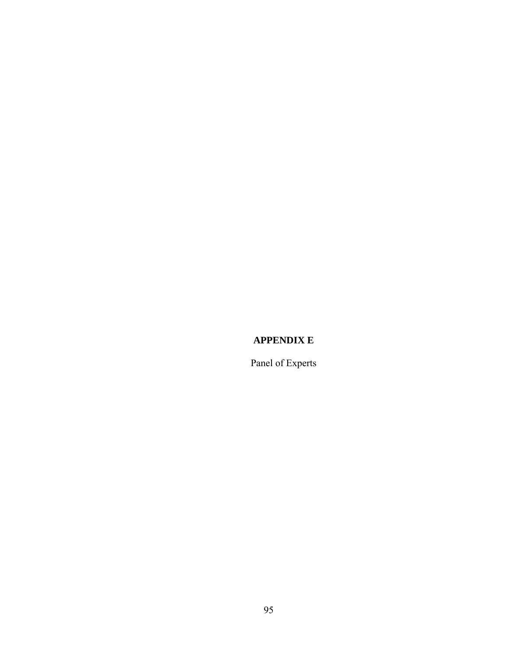# **APPENDIX E**

Panel of Experts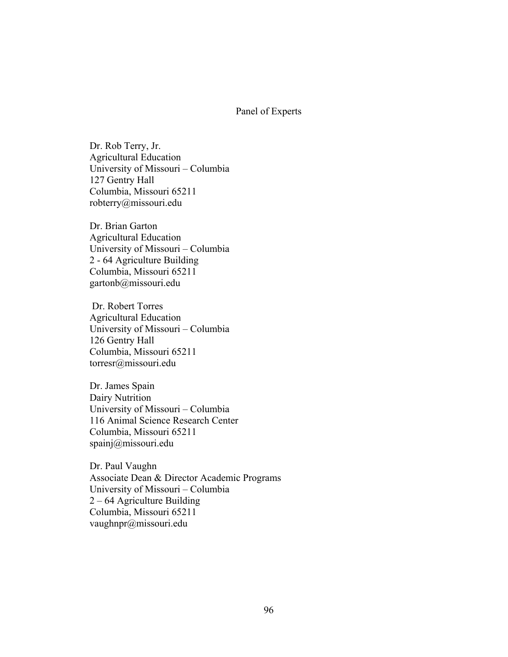#### Panel of Experts

Dr. Rob Terry, Jr. Agricultural Education University of Missouri – Columbia 127 Gentry Hall Columbia, Missouri 65211 robterry@missouri.edu

Dr. Brian Garton Agricultural Education University of Missouri – Columbia 2 - 64 Agriculture Building Columbia, Missouri 65211 gartonb@missouri.edu

 Dr. Robert Torres Agricultural Education University of Missouri – Columbia 126 Gentry Hall Columbia, Missouri 65211 torresr@missouri.edu

Dr. James Spain Dairy Nutrition University of Missouri – Columbia 116 Animal Science Research Center Columbia, Missouri 65211 spainj@missouri.edu

Dr. Paul Vaughn Associate Dean & Director Academic Programs University of Missouri – Columbia 2 – 64 Agriculture Building Columbia, Missouri 65211 vaughnpr@missouri.edu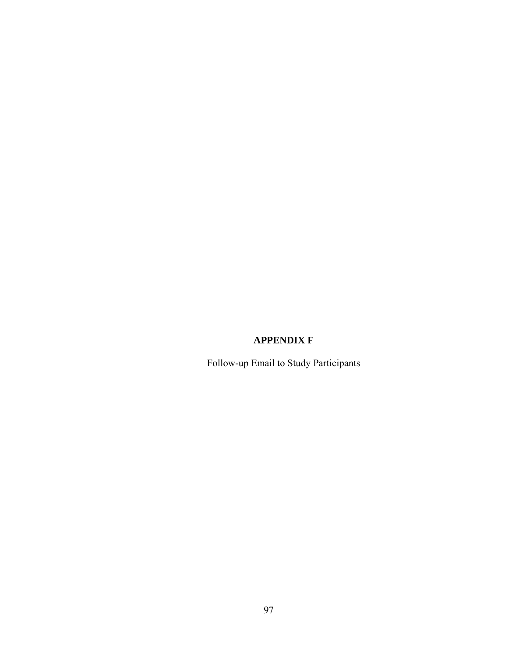## **APPENDIX F**

Follow-up Email to Study Participants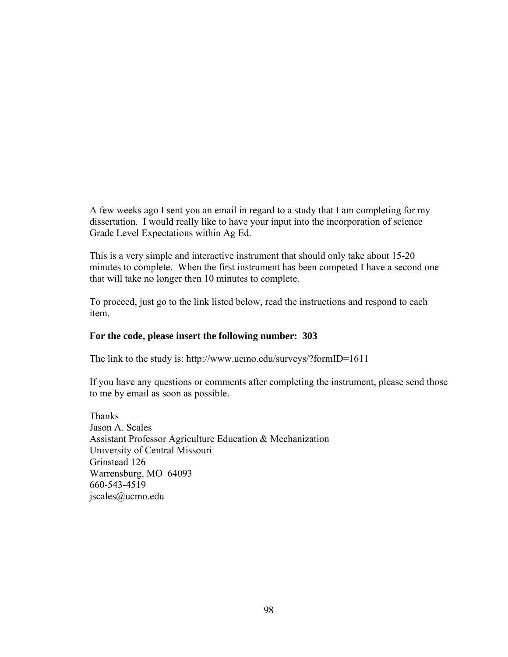A few weeks ago I sent you an email in regard to a study that I am completing for my dissertation. I would really like to have your input into the incorporation of science Grade Level Expectations within Ag Ed.

This is a very simple and interactive instrument that should only take about 15-20 minutes to complete. When the first instrument has been competed I have a second one that will take no longer then 10 minutes to complete.

To proceed, just go to the link listed below, read the instructions and respond to each item.

### **For the code, please insert the following number: 303**

The link to the study is: http://www.ucmo.edu/surveys/?formID=1611

If you have any questions or comments after completing the instrument, please send those to me by email as soon as possible.

Thanks Jason A. Scales Assistant Professor Agriculture Education & Mechanization University of Central Missouri Grinstead 126 Warrensburg, MO 64093 660-543-4519 jscales@ucmo.edu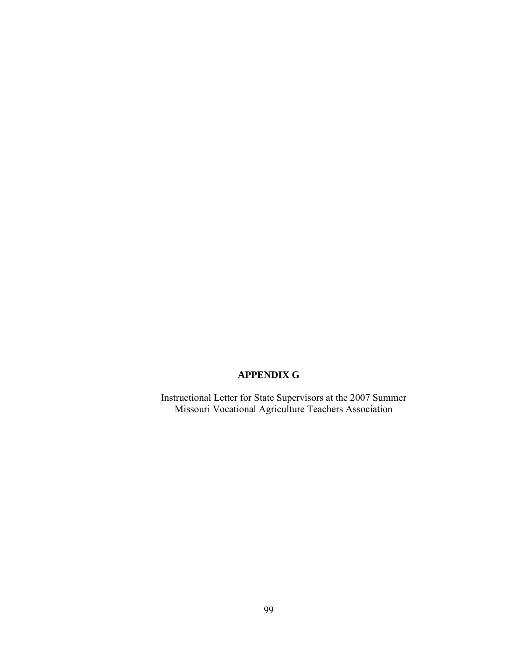### **APPENDIX G**

Instructional Letter for State Supervisors at the 2007 Summer Missouri Vocational Agriculture Teachers Association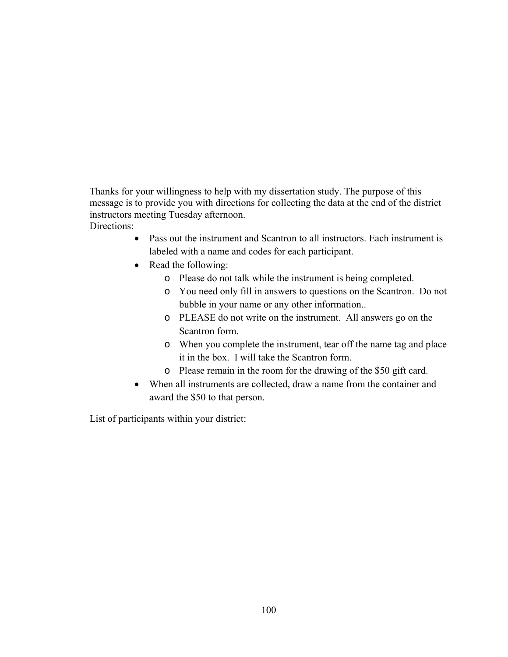Thanks for your willingness to help with my dissertation study. The purpose of this message is to provide you with directions for collecting the data at the end of the district instructors meeting Tuesday afternoon. Directions<sup>.</sup>

- Pass out the instrument and Scantron to all instructors. Each instrument is labeled with a name and codes for each participant.
- Read the following:
	- o Please do not talk while the instrument is being completed.
	- o You need only fill in answers to questions on the Scantron. Do not bubble in your name or any other information..
	- o PLEASE do not write on the instrument. All answers go on the Scantron form.
	- o When you complete the instrument, tear off the name tag and place it in the box. I will take the Scantron form.
	- o Please remain in the room for the drawing of the \$50 gift card.
- When all instruments are collected, draw a name from the container and award the \$50 to that person.

List of participants within your district: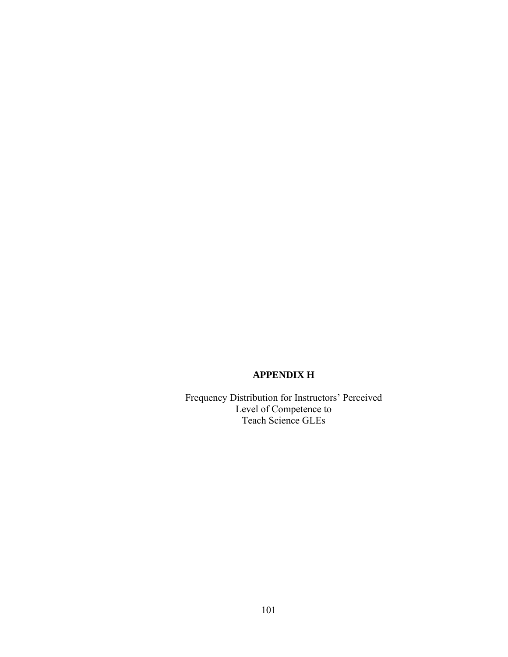## **APPENDIX H**

Frequency Distribution for Instructors' Perceived Level of Competence to Teach Science GLEs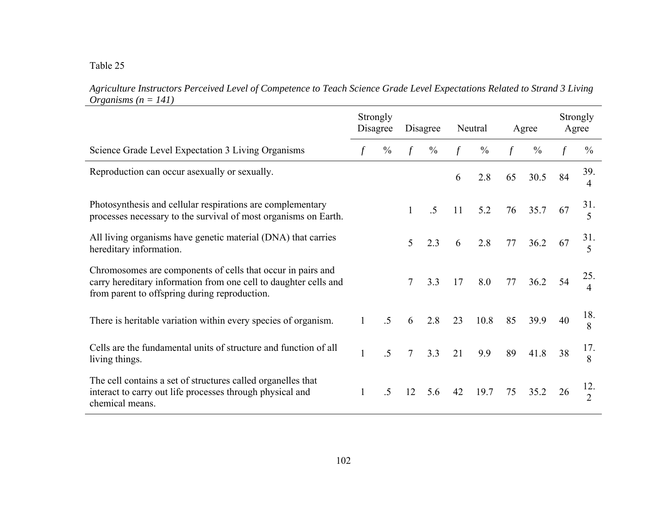Table 25

| Agriculture Instructors Perceived Level of Competence to Teach Science Grade Level Expectations Related to Strand 3 Living |  |  |  |
|----------------------------------------------------------------------------------------------------------------------------|--|--|--|
| <i>Organisms</i> ( $n = 141$ )                                                                                             |  |  |  |

|                                                                                                                                                                                  | Strongly     | Disagree        |                | Disagree       |               | Neutral       |               | Agree         |    | Strongly<br>Agree               |
|----------------------------------------------------------------------------------------------------------------------------------------------------------------------------------|--------------|-----------------|----------------|----------------|---------------|---------------|---------------|---------------|----|---------------------------------|
| Science Grade Level Expectation 3 Living Organisms                                                                                                                               |              | $\frac{0}{0}$   |                | $\frac{0}{0}$  | $\mathcal{f}$ | $\frac{0}{0}$ | $\mathcal{f}$ | $\frac{0}{0}$ |    | $\frac{0}{0}$                   |
| Reproduction can occur as exually or sexually.                                                                                                                                   |              |                 |                |                | 6             | 2.8           | 65            | 30.5          | 84 | 39.<br>4                        |
| Photosynthesis and cellular respirations are complementary<br>processes necessary to the survival of most organisms on Earth.                                                    |              |                 | 1              | $\overline{5}$ | 11            | 5.2           | 76            | 35.7          | 67 | 31.<br>5                        |
| All living organisms have genetic material (DNA) that carries<br>hereditary information.                                                                                         |              |                 | 5              | 2.3            | 6             | 2.8           | 77            | 36.2          | 67 | 31.<br>5                        |
| Chromosomes are components of cells that occur in pairs and<br>carry hereditary information from one cell to daughter cells and<br>from parent to offspring during reproduction. |              |                 | 7              | 3.3            | 17            | 8.0           | 77            | 36.2          | 54 | 25.<br>$\overline{\mathcal{A}}$ |
| There is heritable variation within every species of organism.                                                                                                                   | 1            | .5              | 6              | 2.8            | 23            | 10.8          | 85            | 39.9          | 40 | 18.<br>8                        |
| Cells are the fundamental units of structure and function of all<br>living things.                                                                                               | $\mathbf{1}$ | $\overline{.5}$ | $\overline{7}$ | 3.3            | 21            | 9.9           | 89            | 41.8          | 38 | 17.<br>8                        |
| The cell contains a set of structures called organelles that<br>interact to carry out life processes through physical and<br>chemical means.                                     |              | $.5\,$          | 12             | 5.6            | 42            | 19.7          | 75            | 35.2          | 26 | 12.<br>$\overline{2}$           |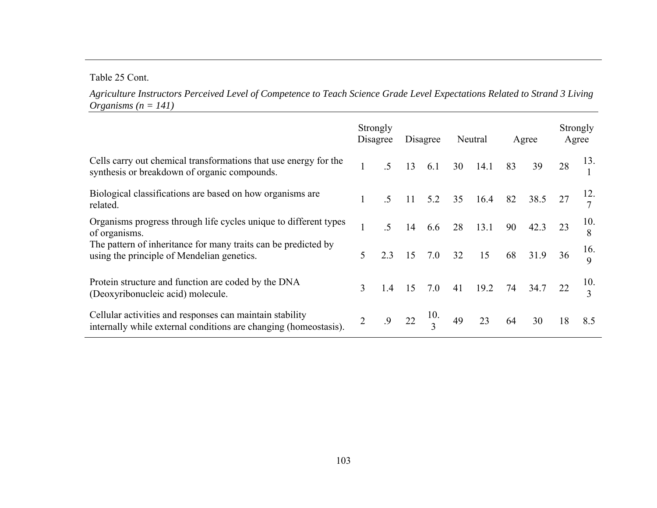Table 25 Cont.

*Agriculture Instructors Perceived Level of Competence to Teach Science Grade Level Expectations Related to Strand 3 Living Organisms (n = 141)*

|                                                                                                                              | Strongly     | Disagree |    | Disagree       |    | Neutral     |    | Agree   | Strongly<br>Agree |     |
|------------------------------------------------------------------------------------------------------------------------------|--------------|----------|----|----------------|----|-------------|----|---------|-------------------|-----|
| Cells carry out chemical transformations that use energy for the<br>synthesis or breakdown of organic compounds.             |              |          | 13 | 6.1            | 30 | 14.1        | 83 | 39      | 28                | 13. |
| Biological classifications are based on how organisms are<br>related.                                                        | $\mathbf{1}$ | $.5\,$   | 11 |                |    | 5.2 35 16.4 | 82 | 38.5    |                   |     |
| Organisms progress through life cycles unique to different types<br>of organisms.                                            | 1            |          | 14 | 6.6            | 28 | 13.1        | 90 | 42.3    |                   | 10. |
| The pattern of inheritance for many traits can be predicted by<br>using the principle of Mendelian genetics.                 | 5            | 2.3      |    | $15$ 7.0 32    |    | 15          |    | 68 31.9 | 36                | 16. |
| Protein structure and function are coded by the DNA<br>(Deoxyribonucleic acid) molecule.                                     | 3            | 1.4      | 15 | 7.0            | 41 | 19.2        | 74 | 34.7    |                   | 10. |
| Cellular activities and responses can maintain stability<br>internally while external conditions are changing (homeostasis). |              | .9       | 22 | $\frac{10}{2}$ | 49 | 23          | 64 | 30      | 18                | 8.5 |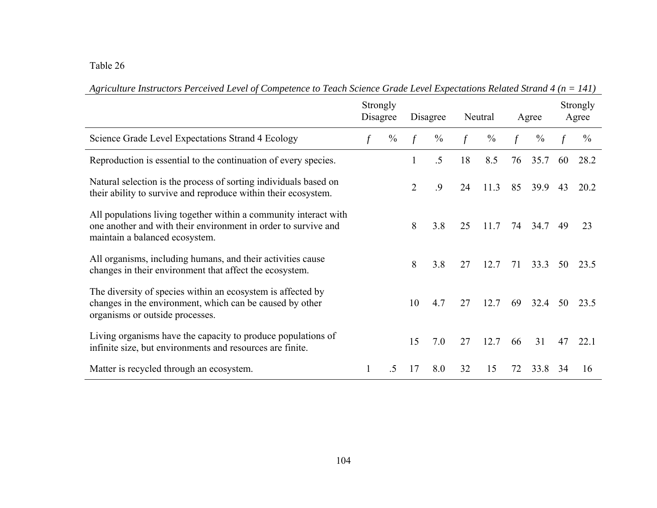Table 26

|                                                                                                                                                                      | Strongly<br>Disagree |               | Disagree       |               | Neutral       |               | Agree         |               |    | Strongly<br>Agree |
|----------------------------------------------------------------------------------------------------------------------------------------------------------------------|----------------------|---------------|----------------|---------------|---------------|---------------|---------------|---------------|----|-------------------|
| Science Grade Level Expectations Strand 4 Ecology                                                                                                                    |                      | $\frac{0}{0}$ | $\mathcal{f}$  | $\frac{0}{0}$ | $\mathcal{f}$ | $\frac{0}{0}$ | $\mathcal{f}$ | $\frac{0}{0}$ |    | $\frac{0}{0}$     |
| Reproduction is essential to the continuation of every species.                                                                                                      |                      |               |                | $.5\,$        | 18            | 8.5           | 76            | 35.7          | 60 | 28.2              |
| Natural selection is the process of sorting individuals based on<br>their ability to survive and reproduce within their ecosystem.                                   |                      |               | $\overline{2}$ | .9            | 24            | 11.3          | 85            | 39.9          | 43 | 20.2              |
| All populations living together within a community interact with<br>one another and with their environment in order to survive and<br>maintain a balanced ecosystem. |                      |               | 8              | 3.8           | 25            | 11.7          | 74            | 34.7          | 49 | 23                |
| All organisms, including humans, and their activities cause<br>changes in their environment that affect the ecosystem.                                               |                      |               | 8              | 3.8           | 27            | 12.7          | 71            | 33.3          | 50 | 23.5              |
| The diversity of species within an ecosystem is affected by<br>changes in the environment, which can be caused by other<br>organisms or outside processes.           |                      |               | 10             | 4.7           | 27            | 12.7          | 69            | 32.4          | 50 | 23.5              |
| Living organisms have the capacity to produce populations of<br>infinite size, but environments and resources are finite.                                            |                      |               | 15             | 7.0           | 27            | 12.7          | 66            | 31            | 47 | 22.1              |
| Matter is recycled through an ecosystem.                                                                                                                             |                      | $\sim$        | 17             | 8.0           | 32            | 15            | 72            | 33.8          | 34 | 16                |

*Agriculture Instructors Perceived Level of Competence to Teach Science Grade Level Expectations Related Strand 4 (n = 141)*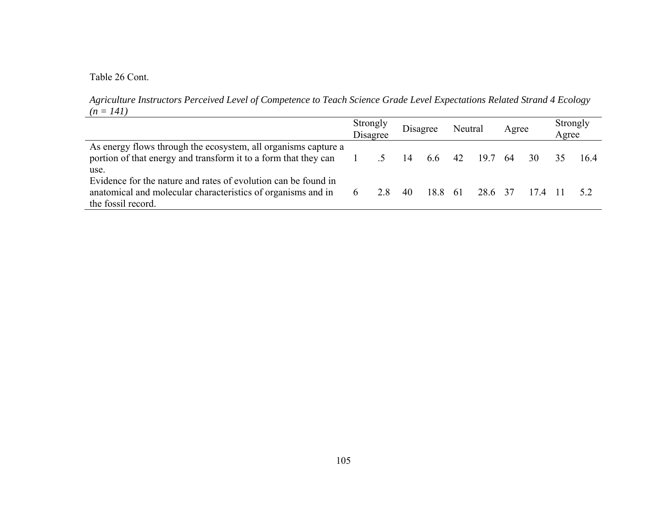Table 26 Cont.

*Agriculture Instructors Perceived Level of Competence to Teach Science Grade Level Expectations Related Strand 4 Ecology*   $(n = 141)$ 

|                                                                                                                                                      | Strongly<br>Disagree |    | Disagree | Neutral |         | Agree |        | Strongly<br>Agree |     |
|------------------------------------------------------------------------------------------------------------------------------------------------------|----------------------|----|----------|---------|---------|-------|--------|-------------------|-----|
| As energy flows through the ecosystem, all organisms capture a<br>portion of that energy and transform it to a form that they can<br>use.            |                      | 14 | 6.6      | 42      | 19.7 64 |       | 30     |                   | 164 |
| Evidence for the nature and rates of evolution can be found in<br>anatomical and molecular characteristics of organisms and in<br>the fossil record. | 28                   | 40 | 18.8     | - 61    | 286 37  |       | 174 11 |                   | 52  |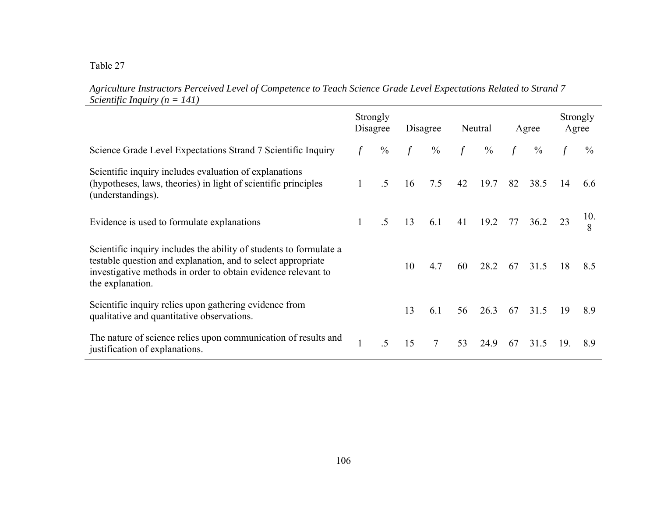Table 27

*Agriculture Instructors Perceived Level of Competence to Teach Science Grade Level Expectations Related to Strand 7 Scientific Inquiry (n = 141)*

|                                                                                                                                                                                                                         |  | Strongly<br>Disagree |    | Disagree      |    | Neutral       |        | Agree         |     | Strongly<br>Agree |
|-------------------------------------------------------------------------------------------------------------------------------------------------------------------------------------------------------------------------|--|----------------------|----|---------------|----|---------------|--------|---------------|-----|-------------------|
| Science Grade Level Expectations Strand 7 Scientific Inquiry                                                                                                                                                            |  | $\frac{0}{0}$        |    | $\frac{0}{0}$ |    | $\frac{0}{0}$ | $\int$ | $\frac{0}{0}$ |     | $\frac{0}{0}$     |
| Scientific inquiry includes evaluation of explanations<br>(hypotheses, laws, theories) in light of scientific principles<br>(understandings).                                                                           |  | .5                   | 16 | 7.5           | 42 | 19.7          | 82     | 38.5          | 14  | 6.6               |
| Evidence is used to formulate explanations                                                                                                                                                                              |  | $\overline{5}$       | 13 | 6.1           | 41 | 19.2          | 77     | 36.2          | 23  | 10.<br>8          |
| Scientific inquiry includes the ability of students to formulate a<br>testable question and explanation, and to select appropriate<br>investigative methods in order to obtain evidence relevant to<br>the explanation. |  |                      | 10 | 4.7           | 60 | 28.2          | 67     | 31.5          | 18  | 8.5               |
| Scientific inquiry relies upon gathering evidence from<br>qualitative and quantitative observations.                                                                                                                    |  |                      | 13 | 6.1           | 56 | 26.3          | 67     | 31.5          | 19  | 8.9               |
| The nature of science relies upon communication of results and<br>justification of explanations.                                                                                                                        |  | .5                   | 15 | $\tau$        | 53 | 24.9          | 67     | 31.5          | 19. | 8.9               |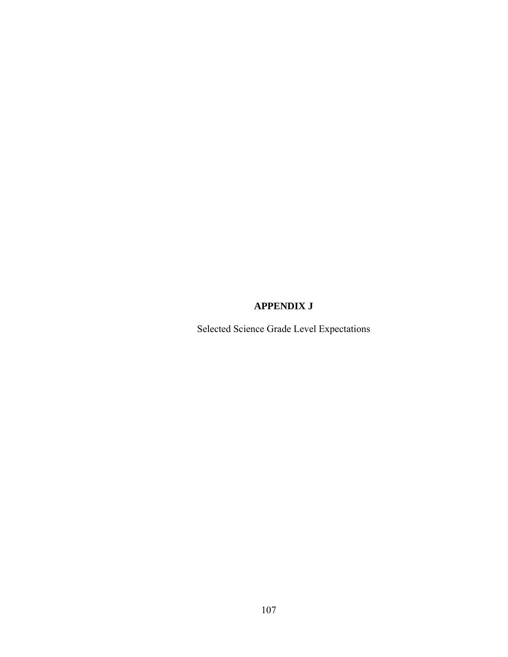### **APPENDIX J**

Selected Science Grade Level Expectations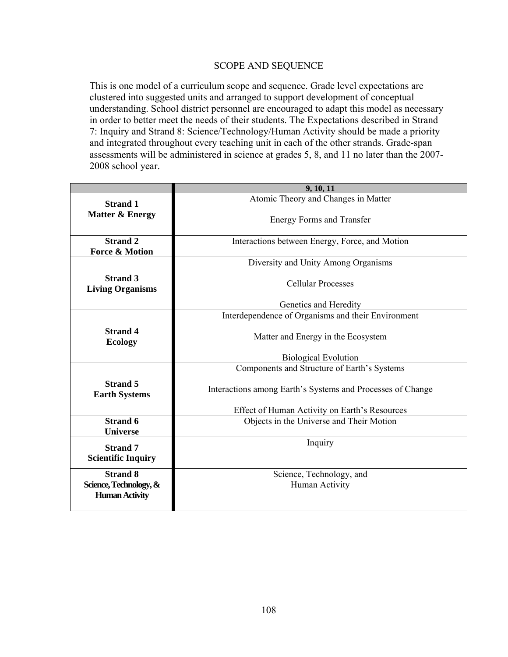### SCOPE AND SEQUENCE

This is one model of a curriculum scope and sequence. Grade level expectations are clustered into suggested units and arranged to support development of conceptual understanding. School district personnel are encouraged to adapt this model as necessary in order to better meet the needs of their students. The Expectations described in Strand 7: Inquiry and Strand 8: Science/Technology/Human Activity should be made a priority and integrated throughout every teaching unit in each of the other strands. Grade-span assessments will be administered in science at grades 5, 8, and 11 no later than the 2007- 2008 school year.

|                                                                    | 9, 10, 11                                                  |  |  |  |  |  |  |
|--------------------------------------------------------------------|------------------------------------------------------------|--|--|--|--|--|--|
| <b>Strand 1</b>                                                    | Atomic Theory and Changes in Matter                        |  |  |  |  |  |  |
| <b>Matter &amp; Energy</b>                                         | <b>Energy Forms and Transfer</b>                           |  |  |  |  |  |  |
| <b>Strand 2</b>                                                    | Interactions between Energy, Force, and Motion             |  |  |  |  |  |  |
| <b>Force &amp; Motion</b>                                          |                                                            |  |  |  |  |  |  |
|                                                                    | Diversity and Unity Among Organisms                        |  |  |  |  |  |  |
| <b>Strand 3</b><br><b>Living Organisms</b>                         | <b>Cellular Processes</b>                                  |  |  |  |  |  |  |
|                                                                    | Genetics and Heredity                                      |  |  |  |  |  |  |
|                                                                    | Interdependence of Organisms and their Environment         |  |  |  |  |  |  |
| <b>Strand 4</b><br><b>Ecology</b>                                  | Matter and Energy in the Ecosystem                         |  |  |  |  |  |  |
|                                                                    | <b>Biological Evolution</b>                                |  |  |  |  |  |  |
|                                                                    | Components and Structure of Earth's Systems                |  |  |  |  |  |  |
| <b>Strand 5</b><br><b>Earth Systems</b>                            | Interactions among Earth's Systems and Processes of Change |  |  |  |  |  |  |
|                                                                    | Effect of Human Activity on Earth's Resources              |  |  |  |  |  |  |
| <b>Strand 6</b><br><b>Universe</b>                                 | Objects in the Universe and Their Motion                   |  |  |  |  |  |  |
| <b>Strand 7</b><br><b>Scientific Inquiry</b>                       | Inquiry                                                    |  |  |  |  |  |  |
| <b>Strand 8</b><br>Science, Technology, &<br><b>Human Activity</b> | Science, Technology, and<br>Human Activity                 |  |  |  |  |  |  |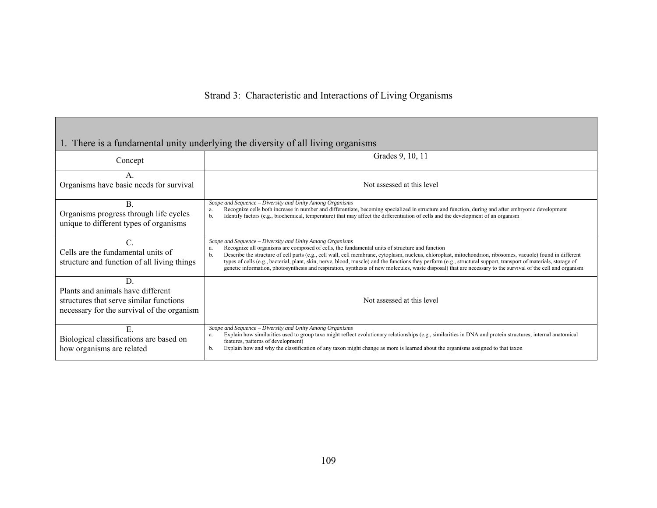|                                                                                                                                 | 1. There is a fundamental unity underlying the diversity of all living organisms                                                                                                                                                                                                                                                                                                                                                                                                                                                                                                                                                                                           |
|---------------------------------------------------------------------------------------------------------------------------------|----------------------------------------------------------------------------------------------------------------------------------------------------------------------------------------------------------------------------------------------------------------------------------------------------------------------------------------------------------------------------------------------------------------------------------------------------------------------------------------------------------------------------------------------------------------------------------------------------------------------------------------------------------------------------|
| Concept                                                                                                                         | Grades 9, 10, 11                                                                                                                                                                                                                                                                                                                                                                                                                                                                                                                                                                                                                                                           |
| Organisms have basic needs for survival                                                                                         | Not assessed at this level                                                                                                                                                                                                                                                                                                                                                                                                                                                                                                                                                                                                                                                 |
| B.<br>Organisms progress through life cycles<br>unique to different types of organisms                                          | Scope and Sequence - Diversity and Unity Among Organisms<br>Recognize cells both increase in number and differentiate, becoming specialized in structure and function, during and after embryonic development<br>a.<br>Identify factors (e.g., biochemical, temperature) that may affect the differentiation of cells and the development of an organism<br>b.                                                                                                                                                                                                                                                                                                             |
| C.<br>Cells are the fundamental units of<br>structure and function of all living things                                         | Scope and Sequence - Diversity and Unity Among Organisms<br>Recognize all organisms are composed of cells, the fundamental units of structure and function<br>a.<br>Describe the structure of cell parts (e.g., cell wall, cell membrane, cytoplasm, nucleus, chloroplast, mitochondrion, ribosomes, vacuole) found in different<br>b.<br>types of cells (e.g., bacterial, plant, skin, nerve, blood, muscle) and the functions they perform (e.g., structural support, transport of materials, storage of<br>genetic information, photosynthesis and respiration, synthesis of new molecules, waste disposal) that are necessary to the survival of the cell and organism |
| D<br>Plants and animals have different<br>structures that serve similar functions<br>necessary for the survival of the organism | Not assessed at this level                                                                                                                                                                                                                                                                                                                                                                                                                                                                                                                                                                                                                                                 |
| E.<br>Biological classifications are based on<br>how organisms are related                                                      | Scope and Sequence - Diversity and Unity Among Organisms<br>Explain how similarities used to group taxa might reflect evolutionary relationships (e.g., similarities in DNA and protein structures, internal anatomical<br>features, patterns of development)<br>Explain how and why the classification of any taxon might change as more is learned about the organisms assigned to that taxon<br>b.                                                                                                                                                                                                                                                                      |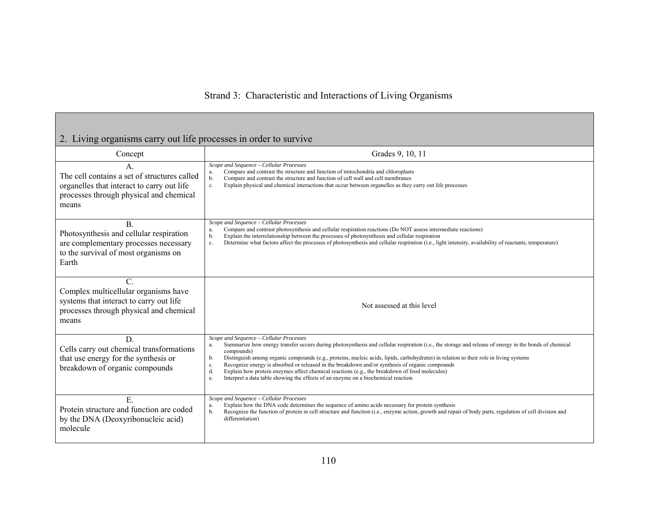## 2. Living organisms carry out life processes in order to survive

| Concept                                                                                                                                                | Grades 9, 10, 11                                                                                                                                                                                                                                                                                                                                                                                                                                                                                                                                                                                                                                                                |
|--------------------------------------------------------------------------------------------------------------------------------------------------------|---------------------------------------------------------------------------------------------------------------------------------------------------------------------------------------------------------------------------------------------------------------------------------------------------------------------------------------------------------------------------------------------------------------------------------------------------------------------------------------------------------------------------------------------------------------------------------------------------------------------------------------------------------------------------------|
| A.<br>The cell contains a set of structures called<br>organelles that interact to carry out life<br>processes through physical and chemical<br>means   | Scope and Sequence - Cellular Processes<br>Compare and contrast the structure and function of mitochondria and chloroplasts<br>a.<br>Compare and contrast the structure and function of cell wall and cell membranes<br>b.<br>Explain physical and chemical interactions that occur between organelles as they carry out life processes<br>c.                                                                                                                                                                                                                                                                                                                                   |
| <b>B.</b><br>Photosynthesis and cellular respiration<br>are complementary processes necessary<br>to the survival of most organisms on<br>Earth         | Scope and Sequence - Cellular Processes<br>Compare and contrast photosynthesis and cellular respiration reactions (Do NOT assess intermediate reactions)<br>a.<br>Explain the interrelationship between the processes of photosynthesis and cellular respiration<br>b.<br>Determine what factors affect the processes of photosynthesis and cellular respiration (i.e., light intensity, availability of reactants, temperature)<br>c.                                                                                                                                                                                                                                          |
| $\mathcal{C}$ .<br>Complex multicellular organisms have<br>systems that interact to carry out life<br>processes through physical and chemical<br>means | Not assessed at this level                                                                                                                                                                                                                                                                                                                                                                                                                                                                                                                                                                                                                                                      |
| D<br>Cells carry out chemical transformations<br>that use energy for the synthesis or<br>breakdown of organic compounds                                | Scope and Sequence - Cellular Processes<br>Summarize how energy transfer occurs during photosynthesis and cellular respiration (i.e., the storage and release of energy in the bonds of chemical<br>a.<br>compounds)<br>Distinguish among organic compounds (e.g., proteins, nucleic acids, lipids, carbohydrates) in relation to their role in living systems<br>b.<br>Recognize energy is absorbed or released in the breakdown and/or synthesis of organic compounds<br>c.<br>Explain how protein enzymes affect chemical reactions (e.g., the breakdown of food molecules)<br>d.<br>Interpret a data table showing the effects of an enzyme on a biochemical reaction<br>e. |
| Ε.<br>Protein structure and function are coded<br>by the DNA (Deoxyribonucleic acid)<br>molecule                                                       | Scope and Sequence - Cellular Processes<br>Explain how the DNA code determines the sequence of amino acids necessary for protein synthesis<br>a.<br>Recognize the function of protein in cell structure and function (i.e., enzyme action, growth and repair of body parts, regulation of cell division and<br>b.<br>differentiation)                                                                                                                                                                                                                                                                                                                                           |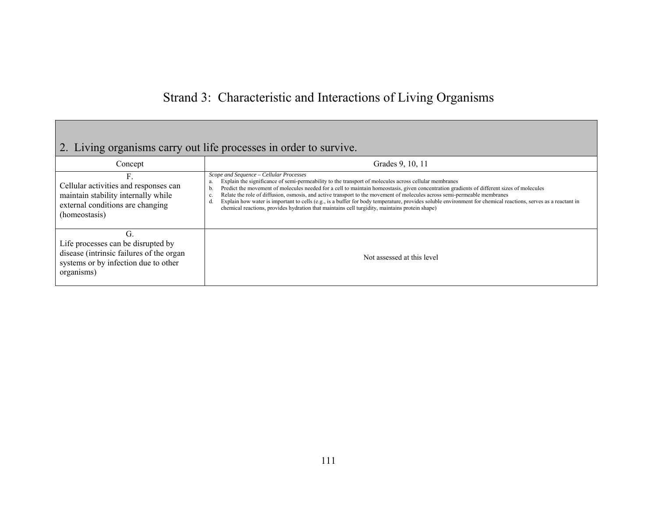# 2. Living organisms carry out life processes in order to survive.

| Concept                                                                                                                                     | Grades 9, 10, 11                                                                                                                                                                                                                                                                                                                                                                                                                                                                                                                                                                                                                                                                                          |
|---------------------------------------------------------------------------------------------------------------------------------------------|-----------------------------------------------------------------------------------------------------------------------------------------------------------------------------------------------------------------------------------------------------------------------------------------------------------------------------------------------------------------------------------------------------------------------------------------------------------------------------------------------------------------------------------------------------------------------------------------------------------------------------------------------------------------------------------------------------------|
| Cellular activities and responses can<br>maintain stability internally while<br>external conditions are changing<br>(homeostasis)           | Scope and Sequence - Cellular Processes<br>Explain the significance of semi-permeability to the transport of molecules across cellular membranes<br>Predict the movement of molecules needed for a cell to maintain homeostasis, given concentration gradients of different sizes of molecules<br>b.<br>Relate the role of diffusion, osmosis, and active transport to the movement of molecules across semi-permeable membranes<br>c.<br>Explain how water is important to cells (e.g., is a buffer for body temperature, provides soluble environment for chemical reactions, serves as a reactant in<br>chemical reactions, provides hydration that maintains cell turgidity, maintains protein shape) |
| СŤ.<br>Life processes can be disrupted by<br>disease (intrinsic failures of the organ<br>systems or by infection due to other<br>organisms) | Not assessed at this level                                                                                                                                                                                                                                                                                                                                                                                                                                                                                                                                                                                                                                                                                |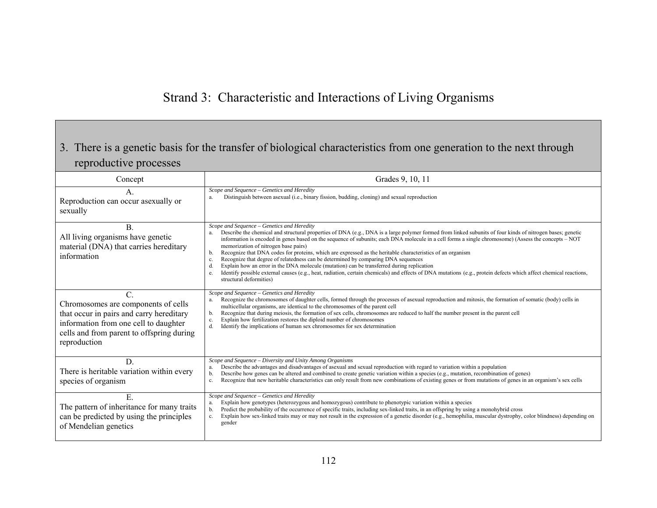## 3. There is a genetic basis for the transfer of biological characteristics from one generation to the next through reproductive processes

| Concept                                                                                                                                                                                        | Grades 9, 10, 11                                                                                                                                                                                                                                                                                                                                                                                                                                                                                                                                                                                                                                                                                                                                                                                                                                                                                                                      |
|------------------------------------------------------------------------------------------------------------------------------------------------------------------------------------------------|---------------------------------------------------------------------------------------------------------------------------------------------------------------------------------------------------------------------------------------------------------------------------------------------------------------------------------------------------------------------------------------------------------------------------------------------------------------------------------------------------------------------------------------------------------------------------------------------------------------------------------------------------------------------------------------------------------------------------------------------------------------------------------------------------------------------------------------------------------------------------------------------------------------------------------------|
| A.<br>Reproduction can occur as exually or<br>sexually                                                                                                                                         | Scope and Sequence - Genetics and Heredity<br>Distinguish between asexual (i.e., binary fission, budding, cloning) and sexual reproduction<br>a.                                                                                                                                                                                                                                                                                                                                                                                                                                                                                                                                                                                                                                                                                                                                                                                      |
| <b>B.</b><br>All living organisms have genetic<br>material (DNA) that carries hereditary<br>information                                                                                        | Scope and Sequence - Genetics and Heredity<br>Describe the chemical and structural properties of DNA (e.g., DNA is a large polymer formed from linked subunits of four kinds of nitrogen bases; genetic<br>a.<br>information is encoded in genes based on the sequence of subunits; each DNA molecule in a cell forms a single chromosome) (Assess the concepts – NOT<br>memorization of nitrogen base pairs)<br>Recognize that DNA codes for proteins, which are expressed as the heritable characteristics of an organism<br>b.<br>Recognize that degree of relatedness can be determined by comparing DNA sequences<br>c.<br>Explain how an error in the DNA molecule (mutation) can be transferred during replication<br>d.<br>Identify possible external causes (e.g., heat, radiation, certain chemicals) and effects of DNA mutations (e.g., protein defects which affect chemical reactions,<br>e.<br>structural deformities) |
| $C$ .<br>Chromosomes are components of cells<br>that occur in pairs and carry hereditary<br>information from one cell to daughter<br>cells and from parent to offspring during<br>reproduction | Scope and Sequence - Genetics and Heredity<br>Recognize the chromosomes of daughter cells, formed through the processes of asexual reproduction and mitosis, the formation of somatic (body) cells in<br>multicellular organisms, are identical to the chromosomes of the parent cell<br>Recognize that during meiosis, the formation of sex cells, chromosomes are reduced to half the number present in the parent cell<br>b.<br>Explain how fertilization restores the diploid number of chromosomes<br>c.<br>d.<br>Identify the implications of human sex chromosomes for sex determination                                                                                                                                                                                                                                                                                                                                       |
| D.<br>There is heritable variation within every<br>species of organism                                                                                                                         | Scope and Sequence – Diversity and Unity Among Organisms<br>Describe the advantages and disadvantages of asexual and sexual reproduction with regard to variation within a population<br>a.<br>Describe how genes can be altered and combined to create genetic variation within a species (e.g., mutation, recombination of genes)<br>b.<br>Recognize that new heritable characteristics can only result from new combinations of existing genes or from mutations of genes in an organism's sex cells<br>c.                                                                                                                                                                                                                                                                                                                                                                                                                         |
| E.<br>The pattern of inheritance for many traits<br>can be predicted by using the principles<br>of Mendelian genetics                                                                          | Scope and Sequence - Genetics and Heredity<br>Explain how genotypes (heterozygous and homozygous) contribute to phenotypic variation within a species<br>a.<br>Predict the probability of the occurrence of specific traits, including sex-linked traits, in an offspring by using a monohybrid cross<br>b.<br>Explain how sex-linked traits may or may not result in the expression of a genetic disorder (e.g., hemophilia, muscular dystrophy, color blindness) depending on<br>$c_{\cdot}$<br>gender                                                                                                                                                                                                                                                                                                                                                                                                                              |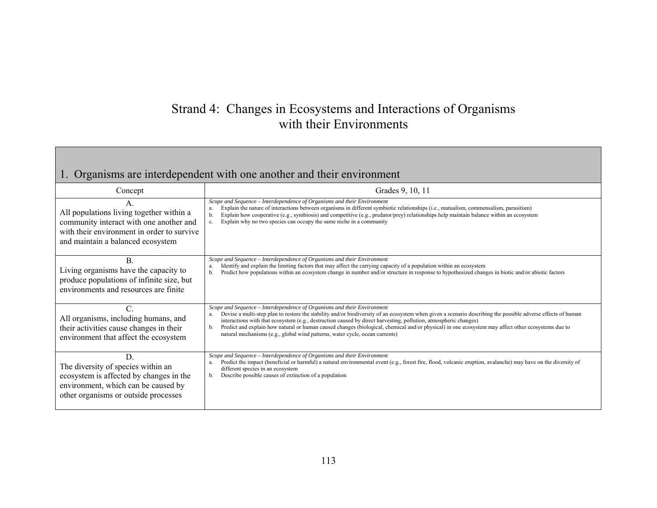# Strand 4: Changes in Ecosystems and Interactions of Organisms with their Environments

## 1. Organisms are interdependent with one another and their environment

| Concept                                                                                                                                                                | Grades 9, 10, 11                                                                                                                                                                                                                                                                                                                                                                                                                                                                                                                                                                                        |
|------------------------------------------------------------------------------------------------------------------------------------------------------------------------|---------------------------------------------------------------------------------------------------------------------------------------------------------------------------------------------------------------------------------------------------------------------------------------------------------------------------------------------------------------------------------------------------------------------------------------------------------------------------------------------------------------------------------------------------------------------------------------------------------|
| All populations living together within a<br>community interact with one another and<br>with their environment in order to survive<br>and maintain a balanced ecosystem | Scope and Sequence - Interdependence of Organisms and their Environment<br>Explain the nature of interactions between organisms in different symbiotic relationships (i.e., mutualism, commensalism, parasitism)<br>a.<br>Explain how cooperative (e.g., symbiosis) and competitive (e.g., predator/prey) relationships help maintain balance within an ecosystem<br>b.<br>Explain why no two species can occupy the same niche in a community<br>$c_{\cdot}$                                                                                                                                           |
| В.<br>Living organisms have the capacity to<br>produce populations of infinite size, but<br>environments and resources are finite                                      | Scope and Sequence - Interdependence of Organisms and their Environment<br>Identify and explain the limiting factors that may affect the carrying capacity of a population within an ecosystem<br>a.<br>Predict how populations within an ecosystem change in number and/or structure in response to hypothesized changes in biotic and/or abiotic factors<br>b.                                                                                                                                                                                                                                        |
| All organisms, including humans, and<br>their activities cause changes in their<br>environment that affect the ecosystem                                               | Scope and Sequence – Interdependence of Organisms and their Environment<br>Devise a multi-step plan to restore the stability and/or biodiversity of an ecosystem when given a scenario describing the possible adverse effects of human<br>interactions with that ecosystem (e.g., destruction caused by direct harvesting, pollution, atmospheric changes)<br>Predict and explain how natural or human caused changes (biological, chemical and/or physical) in one ecosystem may affect other ecosystems due to<br>b.<br>natural mechanisms (e.g., global wind patterns, water cycle, ocean currents) |
| D.<br>The diversity of species within an<br>ecosystem is affected by changes in the<br>environment, which can be caused by<br>other organisms or outside processes     | Scope and Sequence - Interdependence of Organisms and their Environment<br>Predict the impact (beneficial or harmful) a natural environmental event (e.g., forest fire, flood, volcanic eruption, avalanche) may have on the diversity of<br>a.<br>different species in an ecosystem<br>Describe possible causes of extinction of a population<br>b.                                                                                                                                                                                                                                                    |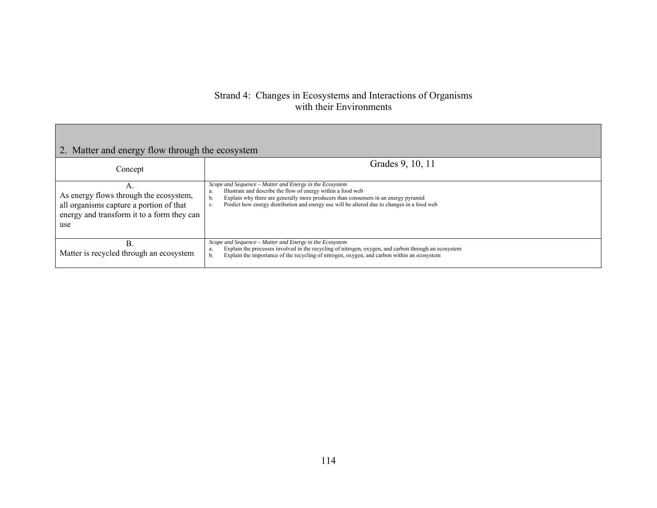#### Strand 4: Changes in Ecosystems and Interactions of Organisms with their Environments

| 2. Matter and energy flow through the ecosystem                                                                                              |                                                                                                                                                                                                                                                                                                                                |  |  |
|----------------------------------------------------------------------------------------------------------------------------------------------|--------------------------------------------------------------------------------------------------------------------------------------------------------------------------------------------------------------------------------------------------------------------------------------------------------------------------------|--|--|
| Concept                                                                                                                                      | Grades 9, 10, 11                                                                                                                                                                                                                                                                                                               |  |  |
| A.<br>As energy flows through the ecosystem,<br>all organisms capture a portion of that<br>energy and transform it to a form they can<br>use | Scope and Sequence - Matter and Energy in the Ecosystem<br>Illustrate and describe the flow of energy within a food web<br>a.<br>Explain why there are generally more producers than consumers in an energy pyramid<br>b.<br>Predict how energy distribution and energy use will be altered due to changes in a food web<br>c. |  |  |
| B.<br>Matter is recycled through an ecosystem                                                                                                | Scope and Sequence - Matter and Energy in the Ecosystem<br>Explain the processes involved in the recycling of nitrogen, oxygen, and carbon through an ecosystem<br>a.<br>Explain the importance of the recycling of nitrogen, oxygen, and carbon within an ecosystem<br>b.                                                     |  |  |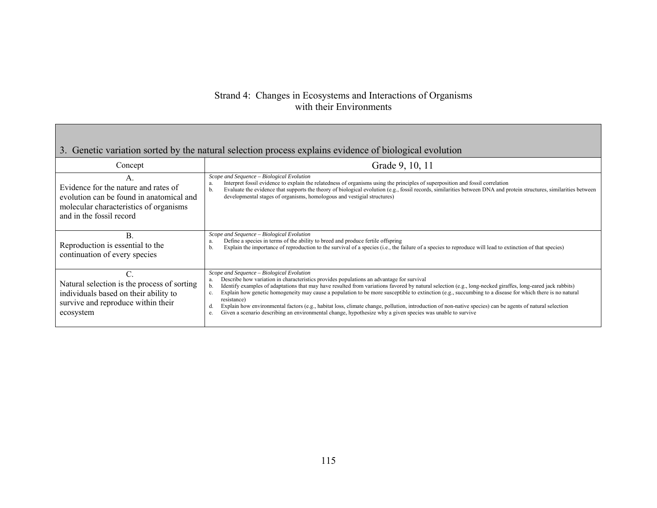### Strand 4: Changes in Ecosystems and Interactions of Organisms with their Environments

| 3. Genetic variation sorted by the natural selection process explains evidence of biological evolution                                                                   |                                                                                                                                                                                                                                                                                                                                                                                                                                                                                                                                                                                                                                                                                                                                                                      |  |
|--------------------------------------------------------------------------------------------------------------------------------------------------------------------------|----------------------------------------------------------------------------------------------------------------------------------------------------------------------------------------------------------------------------------------------------------------------------------------------------------------------------------------------------------------------------------------------------------------------------------------------------------------------------------------------------------------------------------------------------------------------------------------------------------------------------------------------------------------------------------------------------------------------------------------------------------------------|--|
| Concept                                                                                                                                                                  | Grade 9, 10, 11                                                                                                                                                                                                                                                                                                                                                                                                                                                                                                                                                                                                                                                                                                                                                      |  |
| $\mathsf{A}$ .<br>Evidence for the nature and rates of<br>evolution can be found in anatomical and<br>molecular characteristics of organisms<br>and in the fossil record | Scope and Sequence - Biological Evolution<br>Interpret fossil evidence to explain the relatedness of organisms using the principles of superposition and fossil correlation<br>a<br>Evaluate the evidence that supports the theory of biological evolution (e.g., fossil records, similarities between DNA and protein structures, similarities between<br>b.<br>developmental stages of organisms, homologous and vestigial structures)                                                                                                                                                                                                                                                                                                                             |  |
| B.<br>Reproduction is essential to the<br>continuation of every species                                                                                                  | Scope and Sequence - Biological Evolution<br>Define a species in terms of the ability to breed and produce fertile offspring<br>Explain the importance of reproduction to the survival of a species (i.e., the failure of a species to reproduce will lead to extinction of that species)<br>D.                                                                                                                                                                                                                                                                                                                                                                                                                                                                      |  |
| Natural selection is the process of sorting<br>individuals based on their ability to<br>survive and reproduce within their<br>ecosystem                                  | Scope and Sequence - Biological Evolution<br>Describe how variation in characteristics provides populations an advantage for survival<br>a.<br>Identify examples of adaptations that may have resulted from variations favored by natural selection (e.g., long-necked giraffes, long-eared jack rabbits)<br>Explain how genetic homogeneity may cause a population to be more susceptible to extinction (e.g., succumbing to a disease for which there is no natural<br>c.<br>resistance)<br>Explain how environmental factors (e.g., habitat loss, climate change, pollution, introduction of non-native species) can be agents of natural selection<br>Given a scenario describing an environmental change, hypothesize why a given species was unable to survive |  |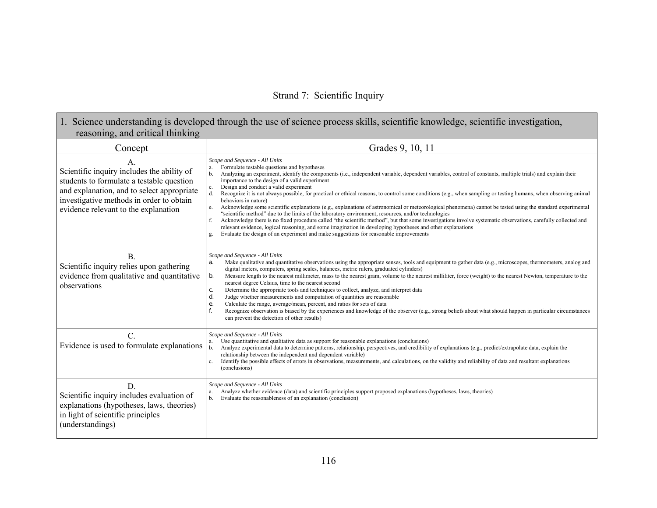### Strand 7: Scientific Inquiry

### 1. Science understanding is developed through the use of science process skills, scientific knowledge, scientific investigation, reasoning, and critical thinking

| Concept                                                                                                                                                                                                                                     | Grades 9, 10, 11                                                                                                                                                                                                                                                                                                                                                                                                                                                                                                                                                                                                                                                                                                                                                                                                                                                                                                                                                                                                                                                                                                                                                                      |
|---------------------------------------------------------------------------------------------------------------------------------------------------------------------------------------------------------------------------------------------|---------------------------------------------------------------------------------------------------------------------------------------------------------------------------------------------------------------------------------------------------------------------------------------------------------------------------------------------------------------------------------------------------------------------------------------------------------------------------------------------------------------------------------------------------------------------------------------------------------------------------------------------------------------------------------------------------------------------------------------------------------------------------------------------------------------------------------------------------------------------------------------------------------------------------------------------------------------------------------------------------------------------------------------------------------------------------------------------------------------------------------------------------------------------------------------|
| A <sub>1</sub><br>Scientific inquiry includes the ability of<br>students to formulate a testable question<br>and explanation, and to select appropriate<br>investigative methods in order to obtain<br>evidence relevant to the explanation | Scope and Sequence - All Units<br>Formulate testable questions and hypotheses<br>a.<br>Analyzing an experiment, identify the components (i.e., independent variable, dependent variables, control of constants, multiple trials) and explain their<br>importance to the design of a valid experiment<br>Design and conduct a valid experiment<br>Recognize it is not always possible, for practical or ethical reasons, to control some conditions (e.g., when sampling or testing humans, when observing animal<br>behaviors in nature)<br>Acknowledge some scientific explanations (e.g., explanations of astronomical or meteorological phenomena) cannot be tested using the standard experimental<br>"scientific method" due to the limits of the laboratory environment, resources, and/or technologies<br>Acknowledge there is no fixed procedure called "the scientific method", but that some investigations involve systematic observations, carefully collected and<br>relevant evidence, logical reasoning, and some imagination in developing hypotheses and other explanations<br>Evaluate the design of an experiment and make suggestions for reasonable improvements |
| <b>B</b> .<br>Scientific inquiry relies upon gathering<br>evidence from qualitative and quantitative<br>observations                                                                                                                        | Scope and Sequence - All Units<br>Make qualitative and quantitative observations using the appropriate senses, tools and equipment to gather data (e.g., microscopes, thermometers, analog and<br>digital meters, computers, spring scales, balances, metric rulers, graduated cylinders)<br>b.<br>Measure length to the nearest millimeter, mass to the nearest gram, volume to the nearest milliliter, force (weight) to the nearest Newton, temperature to the<br>nearest degree Celsius, time to the nearest second<br>Determine the appropriate tools and techniques to collect, analyze, and interpret data<br>c.<br>Judge whether measurements and computation of quantities are reasonable<br>d.<br>Calculate the range, average/mean, percent, and ratios for sets of data<br>е.<br>Recognize observation is biased by the experiences and knowledge of the observer (e.g., strong beliefs about what should happen in particular circumstances<br>can prevent the detection of other results)                                                                                                                                                                               |
| $\mathcal{C}$ .<br>Evidence is used to formulate explanations                                                                                                                                                                               | Scope and Sequence - All Units<br>Use quantitative and qualitative data as support for reasonable explanations (conclusions)<br>Analyze experimental data to determine patterns, relationship, perspectives, and credibility of explanations (e.g., predict/extrapolate data, explain the<br>relationship between the independent and dependent variable)<br>Identify the possible effects of errors in observations, measurements, and calculations, on the validity and reliability of data and resultant explanations<br>c.<br>(conclusions)                                                                                                                                                                                                                                                                                                                                                                                                                                                                                                                                                                                                                                       |
| D<br>Scientific inquiry includes evaluation of<br>explanations (hypotheses, laws, theories)<br>in light of scientific principles<br>(understandings)                                                                                        | Scope and Sequence - All Units<br>Analyze whether evidence (data) and scientific principles support proposed explanations (hypotheses, laws, theories)<br>a.<br>Evaluate the reasonableness of an explanation (conclusion)<br>b.                                                                                                                                                                                                                                                                                                                                                                                                                                                                                                                                                                                                                                                                                                                                                                                                                                                                                                                                                      |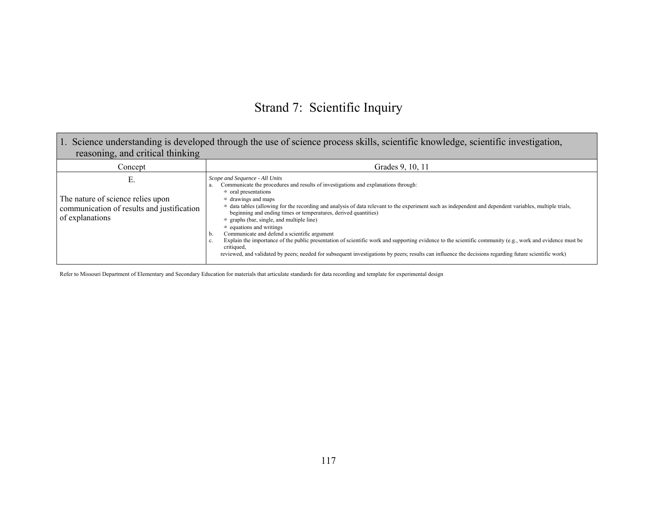# Strand 7: Scientific Inquiry

| 1. Science understanding is developed through the use of science process skills, scientific knowledge, scientific investigation,<br>reasoning, and critical thinking |                                                                                                                                                                                                                                                                                                                                                                                                                                                                                                                                                                                                                                                                                                                                                                                                                                                                                                                                      |  |
|----------------------------------------------------------------------------------------------------------------------------------------------------------------------|--------------------------------------------------------------------------------------------------------------------------------------------------------------------------------------------------------------------------------------------------------------------------------------------------------------------------------------------------------------------------------------------------------------------------------------------------------------------------------------------------------------------------------------------------------------------------------------------------------------------------------------------------------------------------------------------------------------------------------------------------------------------------------------------------------------------------------------------------------------------------------------------------------------------------------------|--|
| Concept                                                                                                                                                              | Grades 9, 10, 11                                                                                                                                                                                                                                                                                                                                                                                                                                                                                                                                                                                                                                                                                                                                                                                                                                                                                                                     |  |
| Е.<br>The nature of science relies upon<br>communication of results and justification<br>of explanations                                                             | Scope and Sequence - All Units<br>Communicate the procedures and results of investigations and explanations through:<br>a.<br>$\Rightarrow$ oral presentations<br>$\Rightarrow$ drawings and maps<br>⇒ data tables (allowing for the recording and analysis of data relevant to the experiment such as independent and dependent variables, multiple trials,<br>beginning and ending times or temperatures, derived quantities)<br>graphs (bar, single, and multiple line)<br>$\Rightarrow$<br>$\Rightarrow$ equations and writings<br>Communicate and defend a scientific argument<br>b.<br>Explain the importance of the public presentation of scientific work and supporting evidence to the scientific community (e.g., work and evidence must be<br>c.<br>critiqued,<br>reviewed, and validated by peers; needed for subsequent investigations by peers; results can influence the decisions regarding future scientific work) |  |

Refer to Missouri Department of Elementary and Secondary Education for materials that articulate standards for data recording and template for experimental design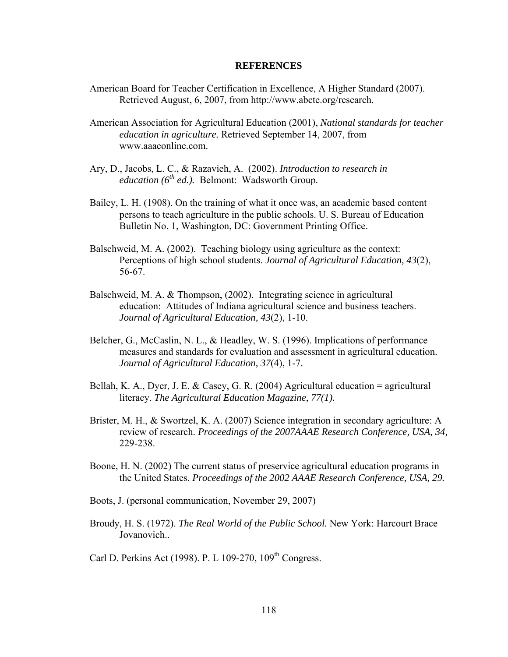#### **REFERENCES**

- American Board for Teacher Certification in Excellence, A Higher Standard (2007). Retrieved August, 6, 2007, from http://www.abcte.org/research.
- American Association for Agricultural Education (2001), *National standards for teacher education in agriculture.* Retrieved September 14, 2007, from www.aaaeonline.com.
- Ary, D., Jacobs, L. C., & Razavieh, A. (2002). *Introduction to research in*   $e$ *education* ( $6<sup>th</sup>$  *ed.*). Belmont: Wadsworth Group.
- Bailey, L. H. (1908). On the training of what it once was, an academic based content persons to teach agriculture in the public schools. U. S. Bureau of Education Bulletin No. 1, Washington, DC: Government Printing Office.
- Balschweid, M. A. (2002). Teaching biology using agriculture as the context: Perceptions of high school students. *Journal of Agricultural Education, 43*(2), 56-67.
- Balschweid, M. A. & Thompson, (2002). Integrating science in agricultural education: Attitudes of Indiana agricultural science and business teachers. *Journal of Agricultural Education, 43*(2), 1-10.
- Belcher, G., McCaslin, N. L., & Headley, W. S. (1996). Implications of performance measures and standards for evaluation and assessment in agricultural education. *Journal of Agricultural Education, 37*(4), 1-7.
- Bellah, K. A., Dyer, J. E. & Casey, G. R. (2004) Agricultural education = agricultural literacy. *The Agricultural Education Magazine*, *77(1).*
- Brister, M. H., & Swortzel, K. A. (2007) Science integration in secondary agriculture: A review of research. *Proceedings of the 2007AAAE Research Conference, USA, 34,*  229-238.
- Boone, H. N. (2002) The current status of preservice agricultural education programs in the United States. *Proceedings of the 2002 AAAE Research Conference, USA, 29.*
- Boots, J. (personal communication, November 29, 2007)
- Broudy, H. S. (1972). *The Real World of the Public School.* New York: Harcourt Brace Jovanovich..
- Carl D. Perkins Act (1998). P. L 109-270, 109<sup>th</sup> Congress.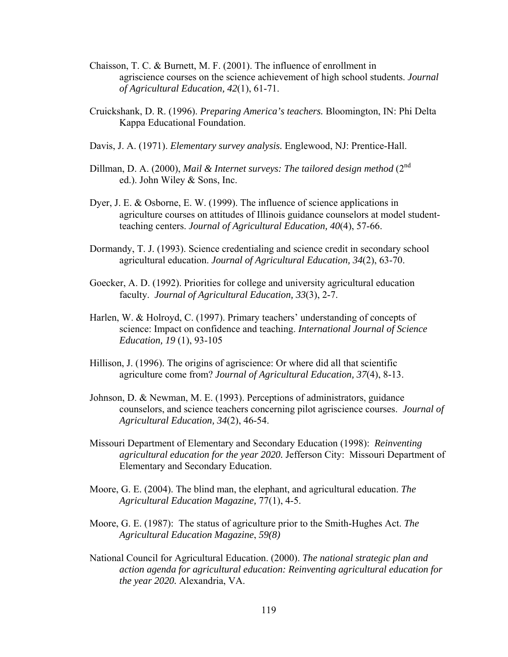- Chaisson, T. C. & Burnett, M. F. (2001). The influence of enrollment in agriscience courses on the science achievement of high school students. *Journal of Agricultural Education, 42*(1), 61-71.
- Cruickshank, D. R. (1996). *Preparing America's teachers.* Bloomington, IN: Phi Delta Kappa Educational Foundation.
- Davis, J. A. (1971). *Elementary survey analysis.* Englewood, NJ: Prentice-Hall.
- Dillman, D. A. (2000), *Mail & Internet surveys: The tailored design method* (2<sup>nd</sup> ed.). John Wiley & Sons, Inc.
- Dyer, J. E. & Osborne, E. W. (1999). The influence of science applications in agriculture courses on attitudes of Illinois guidance counselors at model studentteaching centers. *Journal of Agricultural Education, 40*(4), 57-66.
- Dormandy, T. J. (1993). Science credentialing and science credit in secondary school agricultural education. *Journal of Agricultural Education, 34*(2), 63-70.
- Goecker, A. D. (1992). Priorities for college and university agricultural education faculty. *Journal of Agricultural Education, 33*(3), 2-7.
- Harlen, W. & Holroyd, C. (1997). Primary teachers' understanding of concepts of science: Impact on confidence and teaching. *International Journal of Science Education, 19* (1), 93-105
- Hillison, J. (1996). The origins of agriscience: Or where did all that scientific agriculture come from? *Journal of Agricultural Education, 37*(4), 8-13.
- Johnson, D. & Newman, M. E. (1993). Perceptions of administrators, guidance counselors, and science teachers concerning pilot agriscience courses. *Journal of Agricultural Education, 34*(2), 46-54.
- Missouri Department of Elementary and Secondary Education (1998): *Reinventing agricultural education for the year 2020.* Jefferson City: Missouri Department of Elementary and Secondary Education.
- Moore, G. E. (2004). The blind man, the elephant, and agricultural education. *The Agricultural Education Magazine,* 77(1), 4-5.
- Moore, G. E. (1987): The status of agriculture prior to the Smith-Hughes Act. *The Agricultural Education Magazine*, *59(8)*
- National Council for Agricultural Education. (2000). *The national strategic plan and action agenda for agricultural education: Reinventing agricultural education for the year 2020.* Alexandria, VA.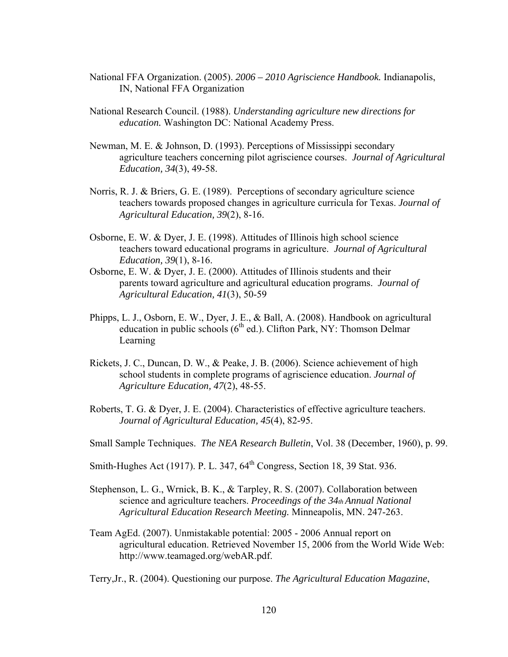- National FFA Organization. (2005). *2006 2010 Agriscience Handbook.* Indianapolis, IN, National FFA Organization
- National Research Council. (1988). *Understanding agriculture new directions for education.* Washington DC: National Academy Press.
- Newman, M. E. & Johnson, D. (1993). Perceptions of Mississippi secondary agriculture teachers concerning pilot agriscience courses. *Journal of Agricultural Education, 34*(3), 49-58.
- Norris, R. J. & Briers, G. E. (1989). Perceptions of secondary agriculture science teachers towards proposed changes in agriculture curricula for Texas. *Journal of Agricultural Education, 39*(2), 8-16.
- Osborne, E. W. & Dyer, J. E. (1998). Attitudes of Illinois high school science teachers toward educational programs in agriculture. *Journal of Agricultural Education, 39*(1), 8-16.
- Osborne, E. W. & Dyer, J. E. (2000). Attitudes of Illinois students and their parents toward agriculture and agricultural education programs. *Journal of Agricultural Education, 41*(3), 50-59
- Phipps, L. J., Osborn, E. W., Dyer, J. E., & Ball, A. (2008). Handbook on agricultural education in public schools  $(6<sup>th</sup>$  ed.). Clifton Park, NY: Thomson Delmar Learning
- Rickets, J. C., Duncan, D. W., & Peake, J. B. (2006). Science achievement of high school students in complete programs of agriscience education. *Journal of Agriculture Education, 47*(2), 48-55.
- Roberts, T. G. & Dyer, J. E. (2004). Characteristics of effective agriculture teachers. *Journal of Agricultural Education, 45*(4), 82-95.
- Small Sample Techniques. *The NEA Research Bulletin*, Vol. 38 (December, 1960), p. 99.
- Smith-Hughes Act (1917). P. L. 347, 64<sup>th</sup> Congress, Section 18, 39 Stat. 936.
- Stephenson, L. G., Wrnick, B. K., & Tarpley, R. S. (2007). Collaboration between science and agriculture teachers. *Proceedings of the 34th Annual National Agricultural Education Research Meeting.* Minneapolis, MN. 247-263.
- Team AgEd. (2007). Unmistakable potential: 2005 2006 Annual report on agricultural education. Retrieved November 15, 2006 from the World Wide Web: http://www.teamaged.org/webAR.pdf.

Terry,Jr., R. (2004). Questioning our purpose. *The Agricultural Education Magazine*,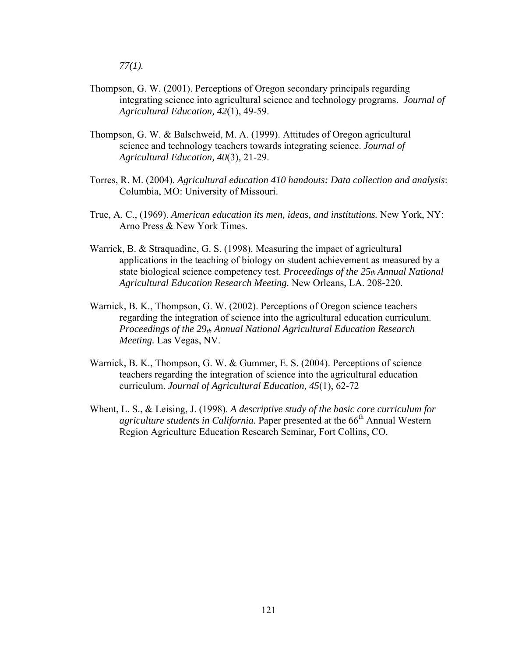*77(1).* 

- Thompson, G. W. (2001). Perceptions of Oregon secondary principals regarding integrating science into agricultural science and technology programs. *Journal of Agricultural Education, 42*(1), 49-59.
- Thompson, G. W. & Balschweid, M. A. (1999). Attitudes of Oregon agricultural science and technology teachers towards integrating science. *Journal of Agricultural Education, 40*(3), 21-29.
- Torres, R. M. (2004). *Agricultural education 410 handouts: Data collection and analysis*: Columbia, MO: University of Missouri.
- True, A. C., (1969). *American education its men, ideas, and institutions.* New York, NY: Arno Press & New York Times.
- Warrick, B. & Straquadine, G. S. (1998). Measuring the impact of agricultural applications in the teaching of biology on student achievement as measured by a state biological science competency test. *Proceedings of the 25th Annual National Agricultural Education Research Meeting.* New Orleans, LA. 208-220.
- Warnick, B. K., Thompson, G. W. (2002). Perceptions of Oregon science teachers regarding the integration of science into the agricultural education curriculum. *Proceedings of the 29<sub>th</sub> Annual National Agricultural Education Research Meeting.* Las Vegas, NV.
- Warnick, B. K., Thompson, G. W. & Gummer, E. S. (2004). Perceptions of science teachers regarding the integration of science into the agricultural education curriculum. *Journal of Agricultural Education, 45*(1), 62-72
- Whent, L. S., & Leising, J. (1998). *A descriptive study of the basic core curriculum for agriculture students in California.* Paper presented at the 66<sup>th</sup> Annual Western Region Agriculture Education Research Seminar, Fort Collins, CO.